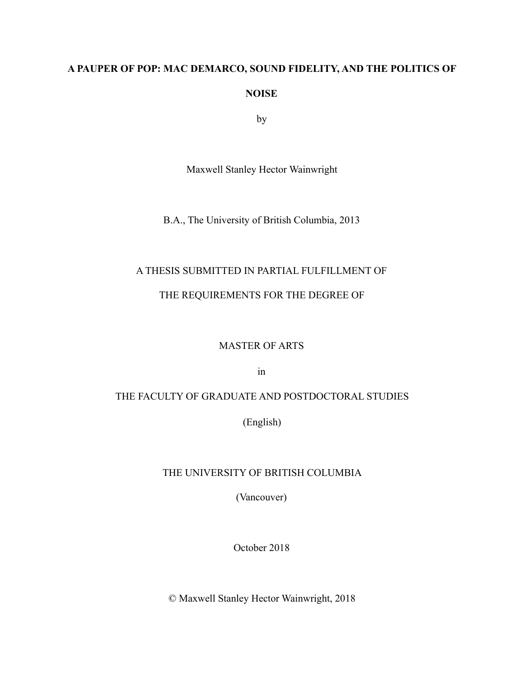# **A PAUPER OF POP: MAC DEMARCO, SOUND FIDELITY, AND THE POLITICS OF NOISE**

by

Maxwell Stanley Hector Wainwright

B.A., The University of British Columbia, 2013

### A THESIS SUBMITTED IN PARTIAL FULFILLMENT OF

### THE REQUIREMENTS FOR THE DEGREE OF

#### MASTER OF ARTS

in

### THE FACULTY OF GRADUATE AND POSTDOCTORAL STUDIES

(English)

### THE UNIVERSITY OF BRITISH COLUMBIA

(Vancouver)

October 2018

© Maxwell Stanley Hector Wainwright, 2018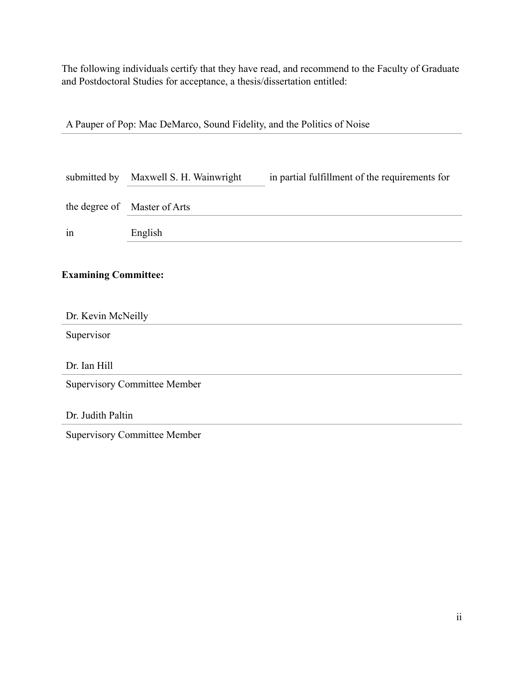The following individuals certify that they have read, and recommend to the Faculty of Graduate and Postdoctoral Studies for acceptance, a thesis/dissertation entitled:

| submitted by                        | Maxwell S. H. Wainwright | in partial fulfillment of the requirements for |
|-------------------------------------|--------------------------|------------------------------------------------|
| the degree of                       | Master of Arts           |                                                |
| 1n                                  | English                  |                                                |
| <b>Examining Committee:</b>         |                          |                                                |
| Dr. Kevin McNeilly                  |                          |                                                |
| Supervisor                          |                          |                                                |
| Dr. Ian Hill                        |                          |                                                |
| <b>Supervisory Committee Member</b> |                          |                                                |
|                                     |                          |                                                |
| Dr. Judith Paltin                   |                          |                                                |
| <b>Supervisory Committee Member</b> |                          |                                                |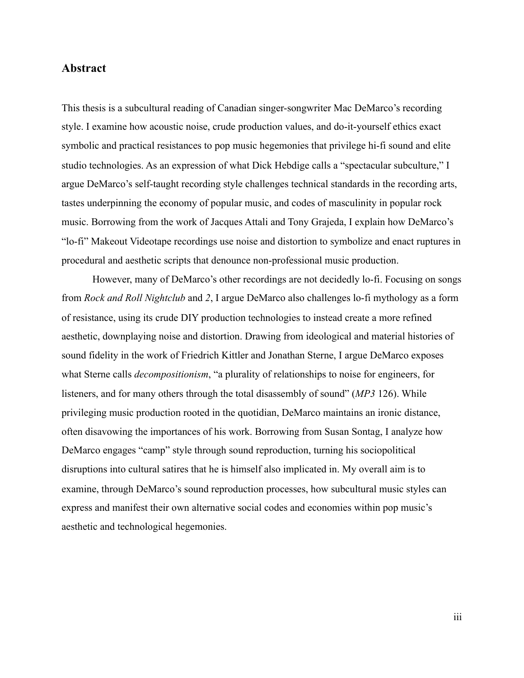### <span id="page-2-0"></span>**Abstract**

This thesis is a subcultural reading of Canadian singer-songwriter Mac DeMarco's recording style. I examine how acoustic noise, crude production values, and do-it-yourself ethics exact symbolic and practical resistances to pop music hegemonies that privilege hi-fi sound and elite studio technologies. As an expression of what Dick Hebdige calls a "spectacular subculture," I argue DeMarco's self-taught recording style challenges technical standards in the recording arts, tastes underpinning the economy of popular music, and codes of masculinity in popular rock music. Borrowing from the work of Jacques Attali and Tony Grajeda, I explain how DeMarco's "lo-fi" Makeout Videotape recordings use noise and distortion to symbolize and enact ruptures in procedural and aesthetic scripts that denounce non-professional music production.

 However, many of DeMarco's other recordings are not decidedly lo-fi. Focusing on songs from *Rock and Roll Nightclub* and *2*, I argue DeMarco also challenges lo-fi mythology as a form of resistance, using its crude DIY production technologies to instead create a more refined aesthetic, downplaying noise and distortion. Drawing from ideological and material histories of sound fidelity in the work of Friedrich Kittler and Jonathan Sterne, I argue DeMarco exposes what Sterne calls *decompositionism*, "a plurality of relationships to noise for engineers, for listeners, and for many others through the total disassembly of sound" (*MP3* 126). While privileging music production rooted in the quotidian, DeMarco maintains an ironic distance, often disavowing the importances of his work. Borrowing from Susan Sontag, I analyze how DeMarco engages "camp" style through sound reproduction, turning his sociopolitical disruptions into cultural satires that he is himself also implicated in. My overall aim is to examine, through DeMarco's sound reproduction processes, how subcultural music styles can express and manifest their own alternative social codes and economies within pop music's aesthetic and technological hegemonies.

iii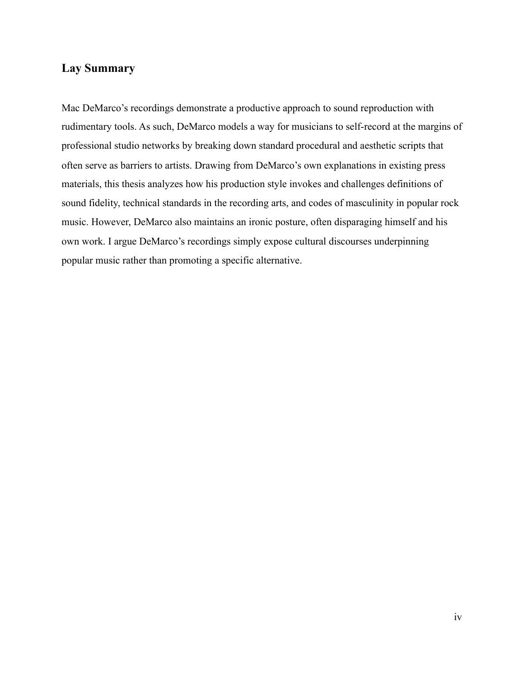## <span id="page-3-0"></span>**Lay Summary**

Mac DeMarco's recordings demonstrate a productive approach to sound reproduction with rudimentary tools. As such, DeMarco models a way for musicians to self-record at the margins of professional studio networks by breaking down standard procedural and aesthetic scripts that often serve as barriers to artists. Drawing from DeMarco's own explanations in existing press materials, this thesis analyzes how his production style invokes and challenges definitions of sound fidelity, technical standards in the recording arts, and codes of masculinity in popular rock music. However, DeMarco also maintains an ironic posture, often disparaging himself and his own work. I argue DeMarco's recordings simply expose cultural discourses underpinning popular music rather than promoting a specific alternative.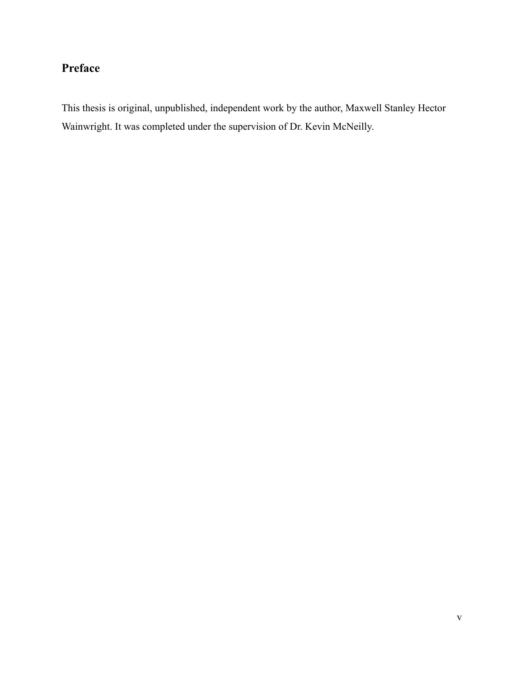# <span id="page-4-0"></span>**Preface**

This thesis is original, unpublished, independent work by the author, Maxwell Stanley Hector Wainwright. It was completed under the supervision of Dr. Kevin McNeilly.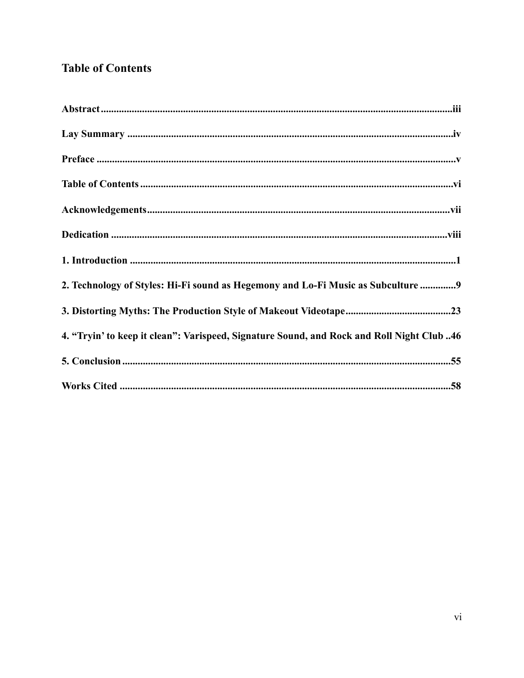## <span id="page-5-0"></span>**Table of Contents**

| 2. Technology of Styles: Hi-Fi sound as Hegemony and Lo-Fi Music as Subculture  9         |
|-------------------------------------------------------------------------------------------|
|                                                                                           |
| 4. "Tryin' to keep it clean": Varispeed, Signature Sound, and Rock and Roll Night Club 46 |
|                                                                                           |
|                                                                                           |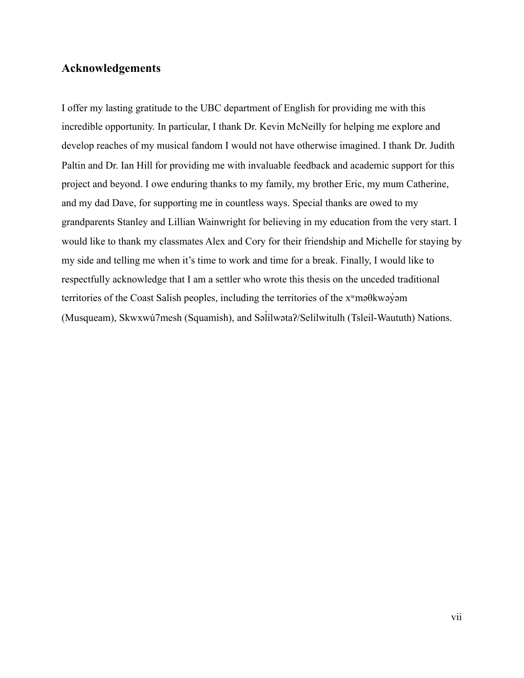## <span id="page-6-0"></span>**Acknowledgements**

I offer my lasting gratitude to the UBC department of English for providing me with this incredible opportunity. In particular, I thank Dr. Kevin McNeilly for helping me explore and develop reaches of my musical fandom I would not have otherwise imagined. I thank Dr. Judith Paltin and Dr. Ian Hill for providing me with invaluable feedback and academic support for this project and beyond. I owe enduring thanks to my family, my brother Eric, my mum Catherine, and my dad Dave, for supporting me in countless ways. Special thanks are owed to my grandparents Stanley and Lillian Wainwright for believing in my education from the very start. I would like to thank my classmates Alex and Cory for their friendship and Michelle for staying by my side and telling me when it's time to work and time for a break. Finally, I would like to respectfully acknowledge that I am a settler who wrote this thesis on the unceded traditional territories of the Coast Salish peoples, including the territories of the xʷməθkwəy̓əm (Musqueam), Skwxwú7mesh (Squamish), and Səl ílwətaʔ/Selilwitulh (Tsleil-Waututh) Nations. ̓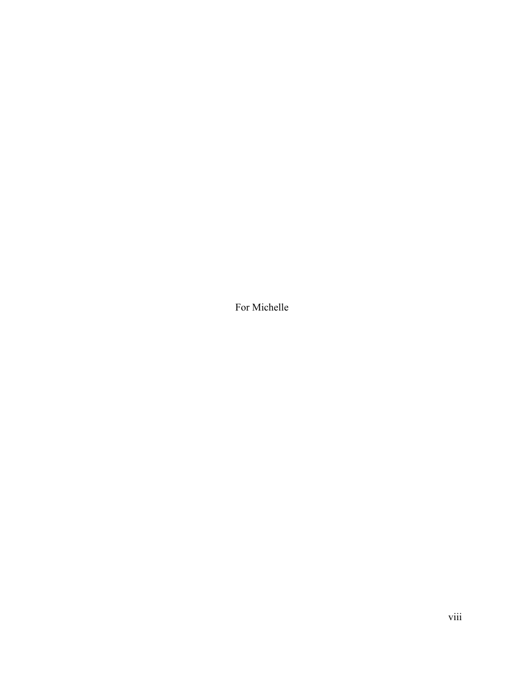<span id="page-7-0"></span>For Michelle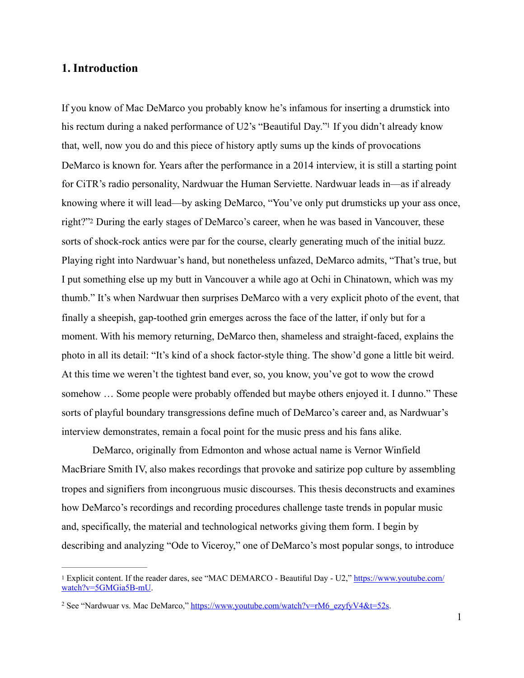### <span id="page-8-0"></span>**1. Introduction**

<span id="page-8-4"></span><span id="page-8-3"></span>If you know of Mac DeMarco you probably know he's infamous for inserting a drumstick into his rectum during a naked performance of U2's ["](#page-8-1)Beautiful Day."<sup>[1](#page-8-1)</sup> If you didn't already know that, well, now you do and this piece of history aptly sums up the kinds of provocations DeMarco is known for. Years after the performance in a 2014 interview, it is still a starting point for CiTR's radio personality, Nardwuar the Human Serviette. Nardwuar leads in—as if already knowing where it will lead—by asking DeMarco, "You've only put drumsticks up your ass once, right?["2](#page-8-2) During the early stages of DeMarco's career, when he was based in Vancouver, these sorts of shock-rock antics were par for the course, clearly generating much of the initial buzz. Playing right into Nardwuar's hand, but nonetheless unfazed, DeMarco admits, "That's true, but I put something else up my butt in Vancouver a while ago at Ochi in Chinatown, which was my thumb." It's when Nardwuar then surprises DeMarco with a very explicit photo of the event, that finally a sheepish, gap-toothed grin emerges across the face of the latter, if only but for a moment. With his memory returning, DeMarco then, shameless and straight-faced, explains the photo in all its detail: "It's kind of a shock factor-style thing. The show'd gone a little bit weird. At this time we weren't the tightest band ever, so, you know, you've got to wow the crowd somehow … Some people were probably offended but maybe others enjoyed it. I dunno." These sorts of playful boundary transgressions define much of DeMarco's career and, as Nardwuar's interview demonstrates, remain a focal point for the music press and his fans alike.

 DeMarco, originally from Edmonton and whose actual name is Vernor Winfield MacBriare Smith IV, also makes recordings that provoke and satirize pop culture by assembling tropes and signifiers from incongruous music discourses. This thesis deconstructs and examines how DeMarco's recordings and recording procedures challenge taste trends in popular music and, specifically, the material and technological networks giving them form. I begin by describing and analyzing "Ode to Viceroy," one of DeMarco's most popular songs, to introduce

<span id="page-8-1"></span>Explicit content. If the reader dares, see "MAC DEMARCO - Beautiful Day - U2," [https://www.youtube.com/](https://www.youtube.com/watch?v=5GMGia5B-mU) [1](#page-8-3) [watch?v=5GMGia5B-mU](https://www.youtube.com/watch?v=5GMGia5B-mU).

<span id="page-8-2"></span><sup>&</sup>lt;sup>2</sup> See "Nardwuar vs. Mac DeMarco," [https://www.youtube.com/watch?v=rM6\\_ezyfyV4&t=52s.](https://www.youtube.com/watch?v=rM6_ezyfyV4&t=52s)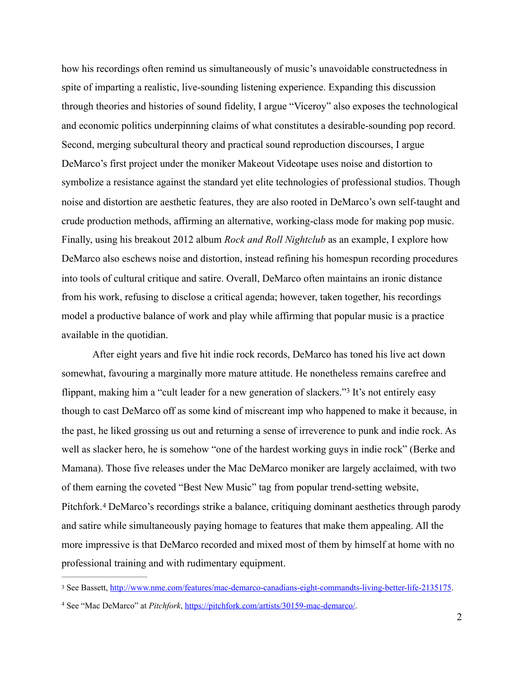how his recordings often remind us simultaneously of music's unavoidable constructedness in spite of imparting a realistic, live-sounding listening experience. Expanding this discussion through theories and histories of sound fidelity, I argue "Viceroy" also exposes the technological and economic politics underpinning claims of what constitutes a desirable-sounding pop record. Second, merging subcultural theory and practical sound reproduction discourses, I argue DeMarco's first project under the moniker Makeout Videotape uses noise and distortion to symbolize a resistance against the standard yet elite technologies of professional studios. Though noise and distortion are aesthetic features, they are also rooted in DeMarco's own self-taught and crude production methods, affirming an alternative, working-class mode for making pop music. Finally, using his breakout 2012 album *Rock and Roll Nightclub* as an example, I explore how DeMarco also eschews noise and distortion, instead refining his homespun recording procedures into tools of cultural critique and satire. Overall, DeMarco often maintains an ironic distance from his work, refusing to disclose a critical agenda; however, taken together, his recordings model a productive balance of work and play while affirming that popular music is a practice available in the quotidian.

<span id="page-9-2"></span> After eight years and five hit indie rock records, DeMarco has toned his live act down somewhat, favouring a marginally more mature attitude. He nonetheless remains carefree and flippant,making him a "cult leader for a new generation of slackers."<sup>[3](#page-9-0)</sup> It's not entirely easy though to cast DeMarco off as some kind of miscreant imp who happened to make it because, in the past, he liked grossing us out and returning a sense of irreverence to punk and indie rock. As well as slacker hero, he is somehow "one of the hardest working guys in indie rock" (Berke and Mamana). Those five releases under the Mac DeMarco moniker are largely acclaimed, with two of them earning the coveted "Best New Music" tag from popular trend-setting website, Pitchfork.<sup>4</sup>DeMarco's recordings strike a balance, critiquing dominant aesthetics through parody and satire while simultaneously paying homage to features that make them appealing. All the more impressive is that DeMarco recorded and mixed most of them by himself at home with no professional training and with rudimentary equipment.

<span id="page-9-3"></span><span id="page-9-0"></span><sup>&</sup>lt;sup>3</sup> See Bassett, [http://www.nme.com/features/mac-demarco-canadians-eight-commandts-living-better-life-2135175.](http://www.nme.com/features/mac-demarco-canadians-eight-commandts-living-better-life-2135175)

<span id="page-9-1"></span>See "Mac DeMarco" at *Pitchfork*,<https://pitchfork.com/artists/30159-mac-demarco/>. [4](#page-9-3)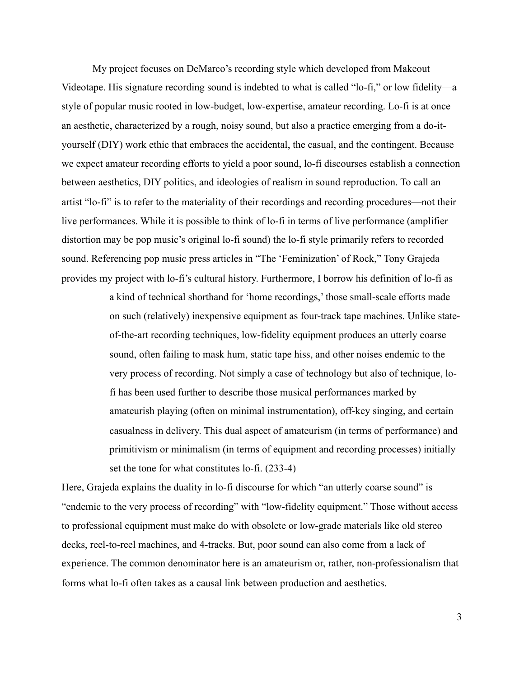My project focuses on DeMarco's recording style which developed from Makeout Videotape. His signature recording sound is indebted to what is called "lo-fi," or low fidelity—a style of popular music rooted in low-budget, low-expertise, amateur recording. Lo-fi is at once an aesthetic, characterized by a rough, noisy sound, but also a practice emerging from a do-ityourself (DIY) work ethic that embraces the accidental, the casual, and the contingent. Because we expect amateur recording efforts to yield a poor sound, lo-fi discourses establish a connection between aesthetics, DIY politics, and ideologies of realism in sound reproduction. To call an artist "lo-fi" is to refer to the materiality of their recordings and recording procedures—not their live performances. While it is possible to think of lo-fi in terms of live performance (amplifier distortion may be pop music's original lo-fi sound) the lo-fi style primarily refers to recorded sound. Referencing pop music press articles in "The 'Feminization' of Rock," Tony Grajeda provides my project with lo-fi's cultural history. Furthermore, I borrow his definition of lo-fi as

> a kind of technical shorthand for 'home recordings,' those small-scale efforts made on such (relatively) inexpensive equipment as four-track tape machines. Unlike stateof-the-art recording techniques, low-fidelity equipment produces an utterly coarse sound, often failing to mask hum, static tape hiss, and other noises endemic to the very process of recording. Not simply a case of technology but also of technique, lofi has been used further to describe those musical performances marked by amateurish playing (often on minimal instrumentation), off-key singing, and certain casualness in delivery. This dual aspect of amateurism (in terms of performance) and primitivism or minimalism (in terms of equipment and recording processes) initially set the tone for what constitutes lo-fi. (233-4)

Here, Grajeda explains the duality in lo-fi discourse for which "an utterly coarse sound" is "endemic to the very process of recording" with "low-fidelity equipment." Those without access to professional equipment must make do with obsolete or low-grade materials like old stereo decks, reel-to-reel machines, and 4-tracks. But, poor sound can also come from a lack of experience. The common denominator here is an amateurism or, rather, non-professionalism that forms what lo-fi often takes as a causal link between production and aesthetics.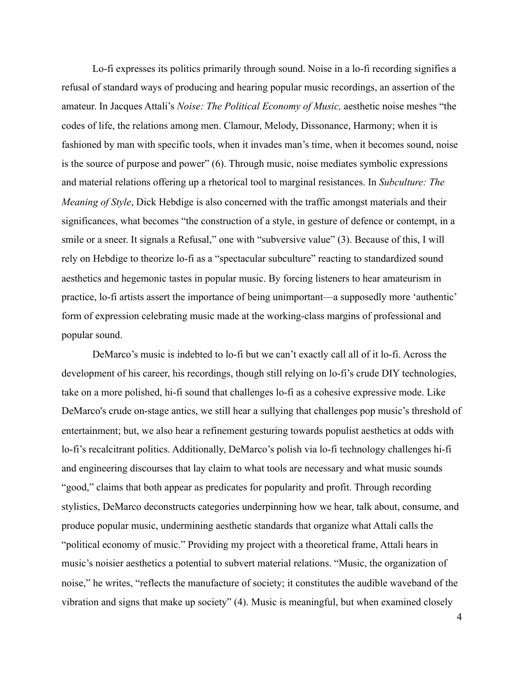Lo-fi expresses its politics primarily through sound. Noise in a lo-fi recording signifies a refusal of standard ways of producing and hearing popular music recordings, an assertion of the amateur. In Jacques Attali's *Noise: The Political Economy of Music,* aesthetic noise meshes "the codes of life, the relations among men. Clamour, Melody, Dissonance, Harmony; when it is fashioned by man with specific tools, when it invades man's time, when it becomes sound, noise is the source of purpose and power" (6). Through music, noise mediates symbolic expressions and material relations offering up a rhetorical tool to marginal resistances. In *Subculture: The Meaning of Style*, Dick Hebdige is also concerned with the traffic amongst materials and their significances, what becomes "the construction of a style, in gesture of defence or contempt, in a smile or a sneer. It signals a Refusal," one with "subversive value" (3). Because of this, I will rely on Hebdige to theorize lo-fi as a "spectacular subculture" reacting to standardized sound aesthetics and hegemonic tastes in popular music. By forcing listeners to hear amateurism in practice, lo-fi artists assert the importance of being unimportant—a supposedly more 'authentic' form of expression celebrating music made at the working-class margins of professional and popular sound.

 DeMarco's music is indebted to lo-fi but we can't exactly call all of it lo-fi. Across the development of his career, his recordings, though still relying on lo-fi's crude DIY technologies, take on a more polished, hi-fi sound that challenges lo-fi as a cohesive expressive mode. Like DeMarco's crude on-stage antics, we still hear a sullying that challenges pop music's threshold of entertainment; but, we also hear a refinement gesturing towards populist aesthetics at odds with lo-fi's recalcitrant politics. Additionally, DeMarco's polish via lo-fi technology challenges hi-fi and engineering discourses that lay claim to what tools are necessary and what music sounds "good," claims that both appear as predicates for popularity and profit. Through recording stylistics, DeMarco deconstructs categories underpinning how we hear, talk about, consume, and produce popular music, undermining aesthetic standards that organize what Attali calls the "political economy of music." Providing my project with a theoretical frame, Attali hears in music's noisier aesthetics a potential to subvert material relations. "Music, the organization of noise," he writes, "reflects the manufacture of society; it constitutes the audible waveband of the vibration and signs that make up society" (4). Music is meaningful, but when examined closely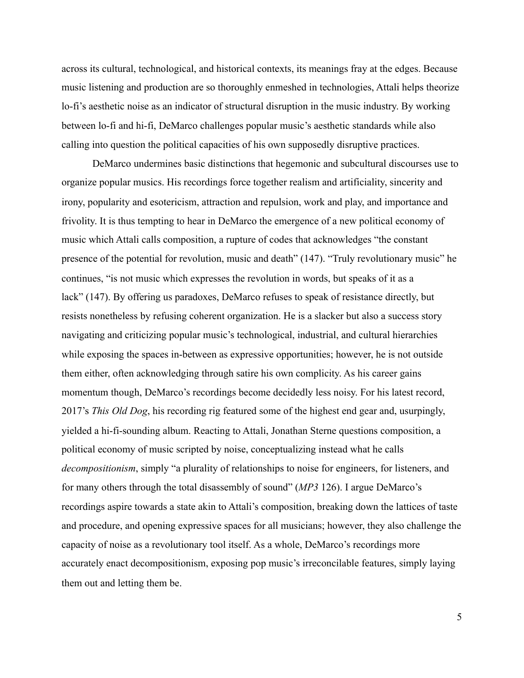across its cultural, technological, and historical contexts, its meanings fray at the edges. Because music listening and production are so thoroughly enmeshed in technologies, Attali helps theorize lo-fi's aesthetic noise as an indicator of structural disruption in the music industry. By working between lo-fi and hi-fi, DeMarco challenges popular music's aesthetic standards while also calling into question the political capacities of his own supposedly disruptive practices.

 DeMarco undermines basic distinctions that hegemonic and subcultural discourses use to organize popular musics. His recordings force together realism and artificiality, sincerity and irony, popularity and esotericism, attraction and repulsion, work and play, and importance and frivolity. It is thus tempting to hear in DeMarco the emergence of a new political economy of music which Attali calls composition, a rupture of codes that acknowledges "the constant presence of the potential for revolution, music and death" (147). "Truly revolutionary music" he continues, "is not music which expresses the revolution in words, but speaks of it as a lack" (147). By offering us paradoxes, DeMarco refuses to speak of resistance directly, but resists nonetheless by refusing coherent organization. He is a slacker but also a success story navigating and criticizing popular music's technological, industrial, and cultural hierarchies while exposing the spaces in-between as expressive opportunities; however, he is not outside them either, often acknowledging through satire his own complicity. As his career gains momentum though, DeMarco's recordings become decidedly less noisy. For his latest record, 2017's *This Old Dog*, his recording rig featured some of the highest end gear and, usurpingly, yielded a hi-fi-sounding album. Reacting to Attali, Jonathan Sterne questions composition, a political economy of music scripted by noise, conceptualizing instead what he calls *decompositionism*, simply "a plurality of relationships to noise for engineers, for listeners, and for many others through the total disassembly of sound" (*MP3* 126). I argue DeMarco's recordings aspire towards a state akin to Attali's composition, breaking down the lattices of taste and procedure, and opening expressive spaces for all musicians; however, they also challenge the capacity of noise as a revolutionary tool itself. As a whole, DeMarco's recordings more accurately enact decompositionism, exposing pop music's irreconcilable features, simply laying them out and letting them be.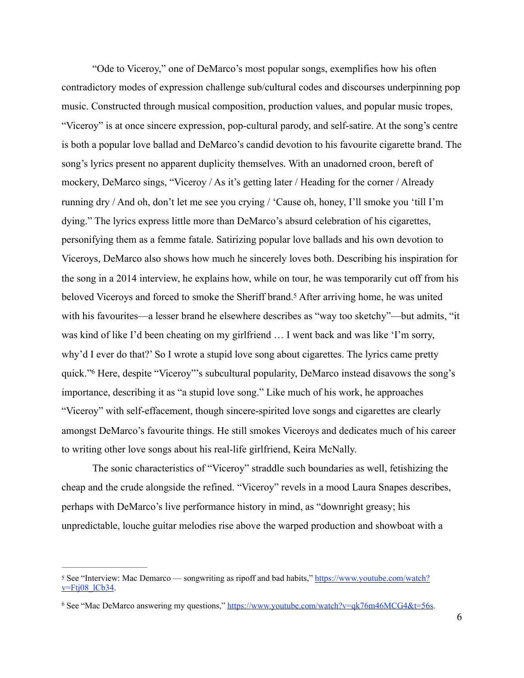"Ode to Viceroy," one of DeMarco's most popular songs, exemplifies how his often contradictory modes of expression challenge sub/cultural codes and discourses underpinning pop music. Constructed through musical composition, production values, and popular music tropes, "Viceroy" is at once sincere expression, pop-cultural parody, and self-satire. At the song's centre is both a popular love ballad and DeMarco's candid devotion to his favourite cigarette brand. The song's lyrics present no apparent duplicity themselves. With an unadorned croon, bereft of mockery, DeMarco sings, "Viceroy / As it's getting later / Heading for the corner / Already running dry / And oh, don't let me see you crying / 'Cause oh, honey, I'll smoke you 'till I'm dying." The lyrics express little more than DeMarco's absurd celebration of his cigarettes, personifying them as a femme fatale. Satirizing popular love ballads and his own devotion to Viceroys, DeMarco also shows how much he sincerely loves both. Describing his inspiration for the song in a 2014 interview, he explains how, while on tour, he was temporarily cut off from his beloved Viceroys and forced to smoke the Sheriff brand[.](#page-13-0)<sup>[5](#page-13-0)</sup> After arriving home, he was united with his favourites—a lesser brand he elsewhere describes as "way too sketchy"—but admits, "it was kind of like I'd been cheating on my girlfriend … I went back and was like 'I'm sorry, why'd I ever do that?' So I wrote a stupid love song about cigarettes. The lyrics came pretty quick."Here, despite "Viceroy"'s subcultural popularity, DeMarco instead disavows the song's importance, describing it as "a stupid love song." Like much of his work, he approaches "Viceroy" with self-effacement, though sincere-spirited love songs and cigarettes are clearly amongst DeMarco's favourite things. He still smokes Viceroys and dedicates much of his career to writing other love songs about his real-life girlfriend, Keira McNally.

<span id="page-13-3"></span><span id="page-13-2"></span>The sonic characteristics of "Viceroy" straddle such boundaries as well, fetishizing the cheap and the crude alongside the refined. "Viceroy" revels in a mood Laura Snapes describes, perhaps with DeMarco's live performance history in mind, as "downright greasy; his unpredictable, louche guitar melodies rise above the warped production and showboat with a

<span id="page-13-0"></span>[<sup>5</sup>](#page-13-2) See "Interview: Mac Demarco — songwriting as ripoff and bad habits," [https://www.youtube.com/watch?](https://www.youtube.com/watch?v=Ftj08_lCb34) [v=Ftj08\\_lCb34](https://www.youtube.com/watch?v=Ftj08_lCb34).

<span id="page-13-1"></span><sup>&</sup>lt;sup>6</sup> See "Mac DeMarco answering my questions," <https://www.youtube.com/watch?v=qk76m46MCG4&t=56s>.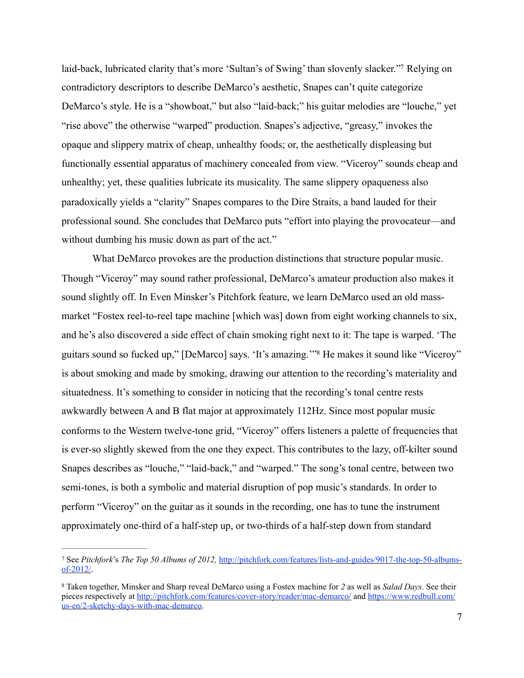<span id="page-14-2"></span>laid-back, lubricated clarity that's more 'Sultan's of Swing' than slovenly slacker.["](#page-14-0) Relying on contradictory descriptors to describe DeMarco's aesthetic, Snapes can't quite categorize DeMarco's style. He is a "showboat," but also "laid-back;" his guitar melodies are "louche," yet "rise above" the otherwise "warped" production. Snapes's adjective, "greasy," invokes the opaque and slippery matrix of cheap, unhealthy foods; or, the aesthetically displeasing but functionally essential apparatus of machinery concealed from view. "Viceroy" sounds cheap and unhealthy; yet, these qualities lubricate its musicality. The same slippery opaqueness also paradoxically yields a "clarity" Snapes compares to the Dire Straits, a band lauded for their professional sound. She concludes that DeMarco puts "effort into playing the provocateur—and without dumbing his music down as part of the act."

<span id="page-14-3"></span>What DeMarco provokes are the production distinctions that structure popular music. Though "Viceroy" may sound rather professional, DeMarco's amateur production also makes it sound slightly off. In Even Minsker's Pitchfork feature, we learn DeMarco used an old massmarket "Fostex reel-to-reel tape machine [which was] down from eight working channels to six, and he's also discovered a side effect of chain smoking right next to it: The tape is warped. 'The guitars sound so fucked up,["](#page-14-1) [DeMarco] says. 'It's amazing."<sup>[8](#page-14-1)</sup> He makes it sound like "Viceroy" is about smoking and made by smoking, drawing our attention to the recording's materiality and situatedness. It's something to consider in noticing that the recording's tonal centre rests awkwardly between A and B flat major at approximately 112Hz. Since most popular music conforms to the Western twelve-tone grid, "Viceroy" offers listeners a palette of frequencies that is ever-so slightly skewed from the one they expect. This contributes to the lazy, off-kilter sound Snapes describes as "louche," "laid-back," and "warped." The song's tonal centre, between two semi-tones, is both a symbolic and material disruption of pop music's standards. In order to perform "Viceroy" on the guitar as it sounds in the recording, one has to tune the instrument approximately one-third of a half-step up, or two-thirds of a half-step down from standard

<span id="page-14-0"></span>[<sup>7</sup>](#page-14-2) See *Pitchfork*'s *The Top 50 Albums of 2012*, [http://pitchfork.com/features/lists-and-guides/9017-the-top-50-albums](http://pitchfork.com/features/lists-and-guides/9017-the-top-50-albums-of-2012/) [of-2012/](http://pitchfork.com/features/lists-and-guides/9017-the-top-50-albums-of-2012/).

<span id="page-14-1"></span>Taken together, Minsker and Sharp reveal DeMarco using a Fostex machine for *2* as well as *Salad Days*. See their [8](#page-14-3) pieces respectively at <http://pitchfork.com/features/cover-story/reader/mac-demarco/> and [https://www.redbull.com/](https://www.redbull.com/us-en/2-sketchy-days-with-mac-demarco) [us-en/2-sketchy-days-with-mac-demarco.](https://www.redbull.com/us-en/2-sketchy-days-with-mac-demarco)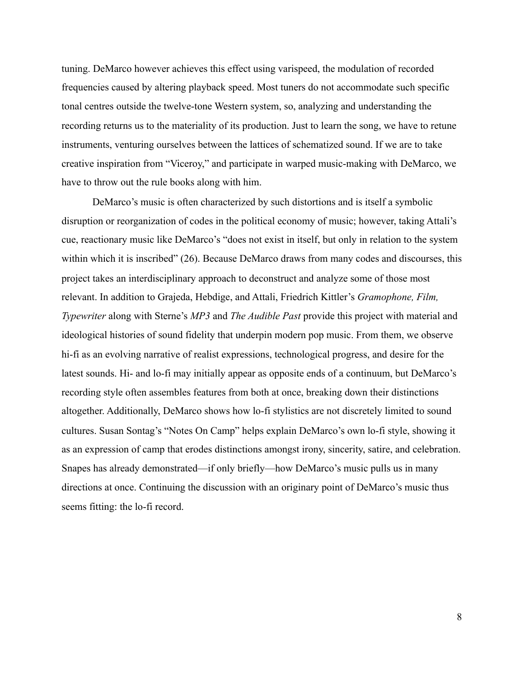tuning. DeMarco however achieves this effect using varispeed, the modulation of recorded frequencies caused by altering playback speed. Most tuners do not accommodate such specific tonal centres outside the twelve-tone Western system, so, analyzing and understanding the recording returns us to the materiality of its production. Just to learn the song, we have to retune instruments, venturing ourselves between the lattices of schematized sound. If we are to take creative inspiration from "Viceroy," and participate in warped music-making with DeMarco, we have to throw out the rule books along with him.

DeMarco's music is often characterized by such distortions and is itself a symbolic disruption or reorganization of codes in the political economy of music; however, taking Attali's cue, reactionary music like DeMarco's "does not exist in itself, but only in relation to the system within which it is inscribed" (26). Because DeMarco draws from many codes and discourses, this project takes an interdisciplinary approach to deconstruct and analyze some of those most relevant. In addition to Grajeda, Hebdige, and Attali, Friedrich Kittler's *Gramophone, Film, Typewriter* along with Sterne's *MP3* and *The Audible Past* provide this project with material and ideological histories of sound fidelity that underpin modern pop music. From them, we observe hi-fi as an evolving narrative of realist expressions, technological progress, and desire for the latest sounds. Hi- and lo-fi may initially appear as opposite ends of a continuum, but DeMarco's recording style often assembles features from both at once, breaking down their distinctions altogether. Additionally, DeMarco shows how lo-fi stylistics are not discretely limited to sound cultures. Susan Sontag's "Notes On Camp" helps explain DeMarco's own lo-fi style, showing it as an expression of camp that erodes distinctions amongst irony, sincerity, satire, and celebration. Snapes has already demonstrated—if only briefly—how DeMarco's music pulls us in many directions at once. Continuing the discussion with an originary point of DeMarco's music thus seems fitting: the lo-fi record.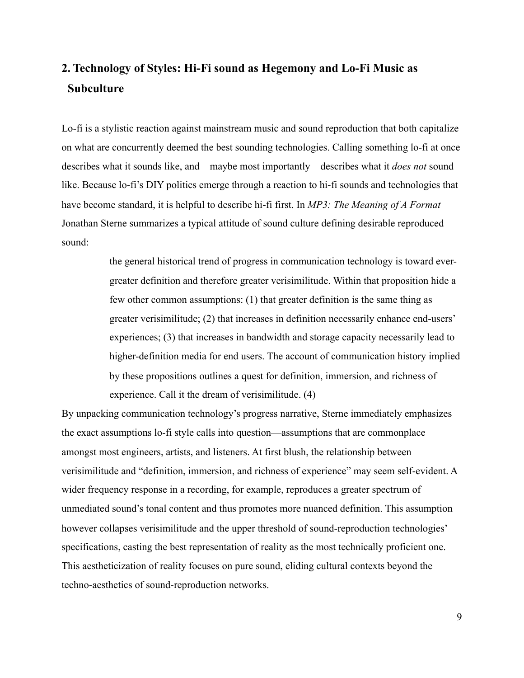# <span id="page-16-0"></span>**2. Technology of Styles: Hi-Fi sound as Hegemony and Lo-Fi Music as Subculture**

Lo-fi is a stylistic reaction against mainstream music and sound reproduction that both capitalize on what are concurrently deemed the best sounding technologies. Calling something lo-fi at once describes what it sounds like, and—maybe most importantly—describes what it *does not* sound like. Because lo-fi's DIY politics emerge through a reaction to hi-fi sounds and technologies that have become standard, it is helpful to describe hi-fi first. In *MP3: The Meaning of A Format* Jonathan Sterne summarizes a typical attitude of sound culture defining desirable reproduced sound:

> the general historical trend of progress in communication technology is toward evergreater definition and therefore greater verisimilitude. Within that proposition hide a few other common assumptions: (1) that greater definition is the same thing as greater verisimilitude; (2) that increases in definition necessarily enhance end-users' experiences; (3) that increases in bandwidth and storage capacity necessarily lead to higher-definition media for end users. The account of communication history implied by these propositions outlines a quest for definition, immersion, and richness of experience. Call it the dream of verisimilitude. (4)

By unpacking communication technology's progress narrative, Sterne immediately emphasizes the exact assumptions lo-fi style calls into question—assumptions that are commonplace amongst most engineers, artists, and listeners. At first blush, the relationship between verisimilitude and "definition, immersion, and richness of experience" may seem self-evident. A wider frequency response in a recording, for example, reproduces a greater spectrum of unmediated sound's tonal content and thus promotes more nuanced definition. This assumption however collapses verisimilitude and the upper threshold of sound-reproduction technologies' specifications, casting the best representation of reality as the most technically proficient one. This aestheticization of reality focuses on pure sound, eliding cultural contexts beyond the techno-aesthetics of sound-reproduction networks.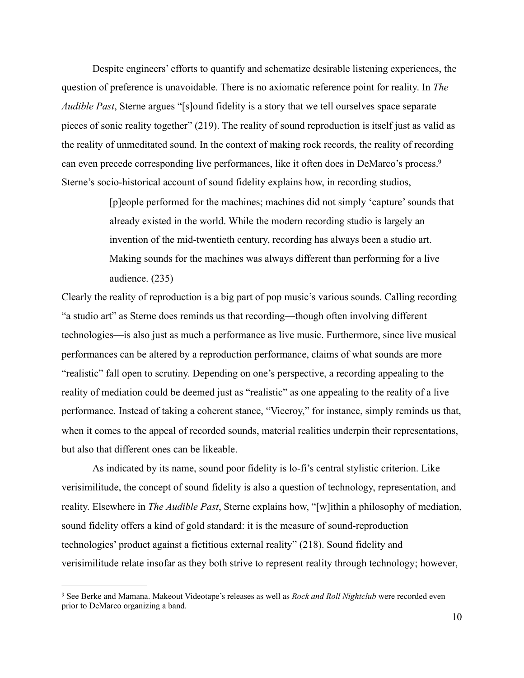Despite engineers' efforts to quantify and schematize desirable listening experiences, the question of preference is unavoidable. There is no axiomatic reference point for reality. In *The Audible Past*, Sterne argues "[s]ound fidelity is a story that we tell ourselves space separate pieces of sonic reality together" (219). The reality of sound reproduction is itself just as valid as the reality of unmeditated sound. In the context of making rock records, the reality of recording can even precede corresponding live performances, like it often does in DeMarco's process[.9](#page-17-0) Sterne's socio-historical account of sound fidelity explains how, in recording studios,

> <span id="page-17-1"></span>[p]eople performed for the machines; machines did not simply 'capture' sounds that already existed in the world. While the modern recording studio is largely an invention of the mid-twentieth century, recording has always been a studio art. Making sounds for the machines was always different than performing for a live audience. (235)

Clearly the reality of reproduction is a big part of pop music's various sounds. Calling recording "a studio art" as Sterne does reminds us that recording—though often involving different technologies—is also just as much a performance as live music. Furthermore, since live musical performances can be altered by a reproduction performance, claims of what sounds are more "realistic" fall open to scrutiny. Depending on one's perspective, a recording appealing to the reality of mediation could be deemed just as "realistic" as one appealing to the reality of a live performance. Instead of taking a coherent stance, "Viceroy," for instance, simply reminds us that, when it comes to the appeal of recorded sounds, material realities underpin their representations, but also that different ones can be likeable.

 As indicated by its name, sound poor fidelity is lo-fi's central stylistic criterion. Like verisimilitude, the concept of sound fidelity is also a question of technology, representation, and reality. Elsewhere in *The Audible Past*, Sterne explains how, "[w]ithin a philosophy of mediation, sound fidelity offers a kind of gold standard: it is the measure of sound-reproduction technologies' product against a fictitious external reality" (218). Sound fidelity and verisimilitude relate insofar as they both strive to represent reality through technology; however,

<span id="page-17-0"></span>See Berke and Mamana. Makeout Videotape's releases as well as *Rock and Roll Nightclub* were recorded even [9](#page-17-1) prior to DeMarco organizing a band.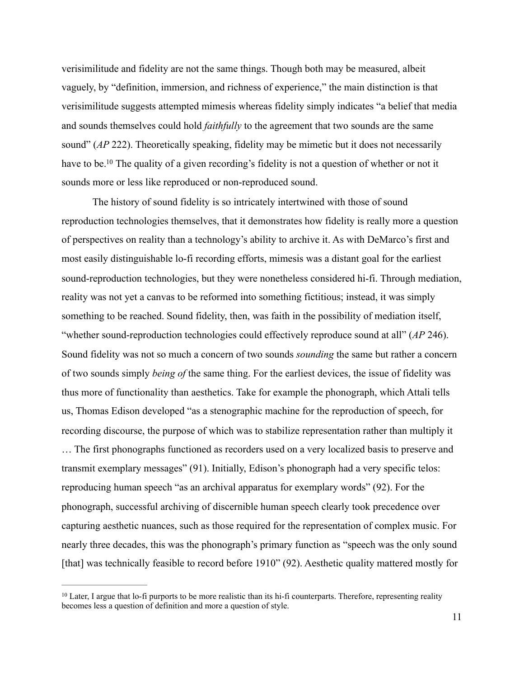verisimilitude and fidelity are not the same things. Though both may be measured, albeit vaguely, by "definition, immersion, and richness of experience," the main distinction is that verisimilitude suggests attempted mimesis whereas fidelity simply indicates "a belief that media and sounds themselves could hold *faithfully* to the agreement that two sounds are the same sound" (*AP* 222). Theoretically speaking, fidelity may be mimetic but it does not necessarily have to be[.](#page-18-0)<sup>[10](#page-18-0)</sup> The quality of a given recording's fidelity is not a question of whether or not it sounds more or less like reproduced or non-reproduced sound.

<span id="page-18-1"></span> The history of sound fidelity is so intricately intertwined with those of sound reproduction technologies themselves, that it demonstrates how fidelity is really more a question of perspectives on reality than a technology's ability to archive it. As with DeMarco's first and most easily distinguishable lo-fi recording efforts, mimesis was a distant goal for the earliest sound-reproduction technologies, but they were nonetheless considered hi-fi. Through mediation, reality was not yet a canvas to be reformed into something fictitious; instead, it was simply something to be reached. Sound fidelity, then, was faith in the possibility of mediation itself, "whether sound-reproduction technologies could effectively reproduce sound at all" (*AP* 246). Sound fidelity was not so much a concern of two sounds *sounding* the same but rather a concern of two sounds simply *being of* the same thing. For the earliest devices, the issue of fidelity was thus more of functionality than aesthetics. Take for example the phonograph, which Attali tells us, Thomas Edison developed "as a stenographic machine for the reproduction of speech, for recording discourse, the purpose of which was to stabilize representation rather than multiply it

… The first phonographs functioned as recorders used on a very localized basis to preserve and transmit exemplary messages" (91). Initially, Edison's phonograph had a very specific telos: reproducing human speech "as an archival apparatus for exemplary words" (92). For the phonograph, successful archiving of discernible human speech clearly took precedence over capturing aesthetic nuances, such as those required for the representation of complex music. For nearly three decades, this was the phonograph's primary function as "speech was the only sound [that] was technically feasible to record before 1910" (92). Aesthetic quality mattered mostly for

<span id="page-18-0"></span> $10$ Later, I argue that lo-fi purports to be more realistic than its hi-fi counterparts. Therefore, representing reality becomes less a question of definition and more a question of style.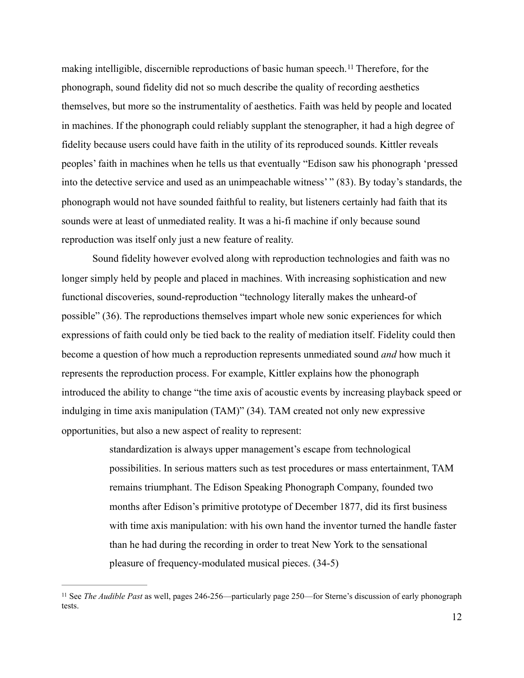<span id="page-19-1"></span>making intelligible, discernible reproductions of basic human speech.<sup>[11](#page-19-0)</sup> Therefore, for the phonograph, sound fidelity did not so much describe the quality of recording aesthetics themselves, but more so the instrumentality of aesthetics. Faith was held by people and located in machines. If the phonograph could reliably supplant the stenographer, it had a high degree of fidelity because users could have faith in the utility of its reproduced sounds. Kittler reveals peoples' faith in machines when he tells us that eventually "Edison saw his phonograph 'pressed into the detective service and used as an unimpeachable witness' " (83). By today's standards, the phonograph would not have sounded faithful to reality, but listeners certainly had faith that its sounds were at least of unmediated reality. It was a hi-fi machine if only because sound reproduction was itself only just a new feature of reality.

 Sound fidelity however evolved along with reproduction technologies and faith was no longer simply held by people and placed in machines. With increasing sophistication and new functional discoveries, sound-reproduction "technology literally makes the unheard-of possible" (36). The reproductions themselves impart whole new sonic experiences for which expressions of faith could only be tied back to the reality of mediation itself. Fidelity could then become a question of how much a reproduction represents unmediated sound *and* how much it represents the reproduction process. For example, Kittler explains how the phonograph introduced the ability to change "the time axis of acoustic events by increasing playback speed or indulging in time axis manipulation (TAM)" (34). TAM created not only new expressive opportunities, but also a new aspect of reality to represent:

> standardization is always upper management's escape from technological possibilities. In serious matters such as test procedures or mass entertainment, TAM remains triumphant. The Edison Speaking Phonograph Company, founded two months after Edison's primitive prototype of December 1877, did its first business with time axis manipulation: with his own hand the inventor turned the handle faster than he had during the recording in order to treat New York to the sensational pleasure of frequency-modulated musical pieces. (34-5)

<span id="page-19-0"></span><sup>&</sup>lt;sup>[11](#page-19-1)</sup> See *The Audible Past* as well, pages 246-256—particularly page 250—for Sterne's discussion of early phonograph tests.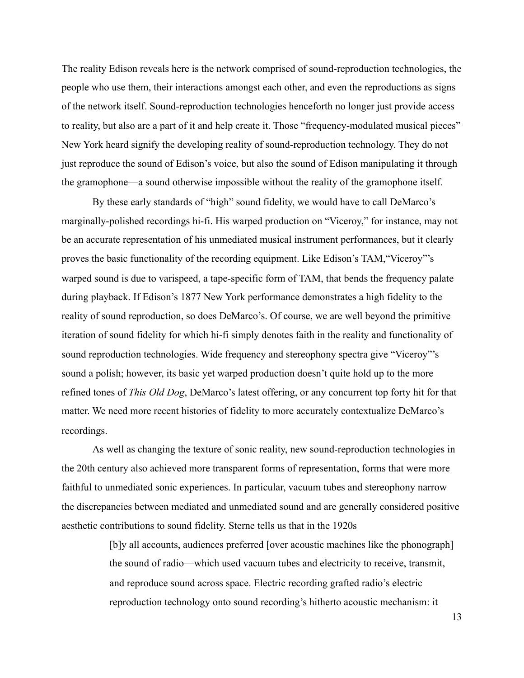The reality Edison reveals here is the network comprised of sound-reproduction technologies, the people who use them, their interactions amongst each other, and even the reproductions as signs of the network itself. Sound-reproduction technologies henceforth no longer just provide access to reality, but also are a part of it and help create it. Those "frequency-modulated musical pieces" New York heard signify the developing reality of sound-reproduction technology. They do not just reproduce the sound of Edison's voice, but also the sound of Edison manipulating it through the gramophone—a sound otherwise impossible without the reality of the gramophone itself.

 By these early standards of "high" sound fidelity, we would have to call DeMarco's marginally-polished recordings hi-fi. His warped production on "Viceroy," for instance, may not be an accurate representation of his unmediated musical instrument performances, but it clearly proves the basic functionality of the recording equipment. Like Edison's TAM,"Viceroy"'s warped sound is due to varispeed, a tape-specific form of TAM, that bends the frequency palate during playback. If Edison's 1877 New York performance demonstrates a high fidelity to the reality of sound reproduction, so does DeMarco's. Of course, we are well beyond the primitive iteration of sound fidelity for which hi-fi simply denotes faith in the reality and functionality of sound reproduction technologies. Wide frequency and stereophony spectra give "Viceroy"'s sound a polish; however, its basic yet warped production doesn't quite hold up to the more refined tones of *This Old Dog*, DeMarco's latest offering, or any concurrent top forty hit for that matter. We need more recent histories of fidelity to more accurately contextualize DeMarco's recordings.

 As well as changing the texture of sonic reality, new sound-reproduction technologies in the 20th century also achieved more transparent forms of representation, forms that were more faithful to unmediated sonic experiences. In particular, vacuum tubes and stereophony narrow the discrepancies between mediated and unmediated sound and are generally considered positive aesthetic contributions to sound fidelity. Sterne tells us that in the 1920s

> [b]y all accounts, audiences preferred [over acoustic machines like the phonograph] the sound of radio—which used vacuum tubes and electricity to receive, transmit, and reproduce sound across space. Electric recording grafted radio's electric reproduction technology onto sound recording's hitherto acoustic mechanism: it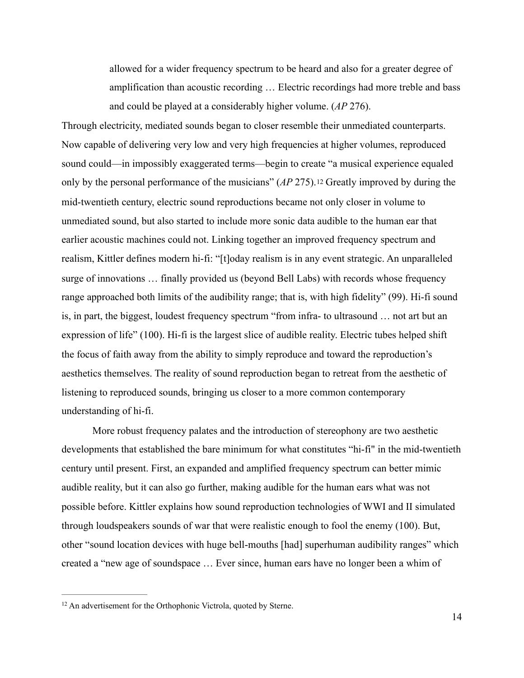<span id="page-21-1"></span>allowed for a wider frequency spectrum to be heard and also for a greater degree of amplification than acoustic recording … Electric recordings had more treble and bass and could be played at a considerably higher volume. (*AP* 276).

Through electricity, mediated sounds began to closer resemble their unmediated counterparts. Now capable of delivering very low and very high frequencies at higher volumes, reproduced sound could—in impossibly exaggerated terms—begin to create "a musical experience equaled only by the personal performance of the musicians" (*AP* 275).[12](#page-21-0) Greatly improved by during the mid-twentieth century, electric sound reproductions became not only closer in volume to unmediated sound, but also started to include more sonic data audible to the human ear that earlier acoustic machines could not. Linking together an improved frequency spectrum and realism, Kittler defines modern hi-fi: "[t]oday realism is in any event strategic. An unparalleled surge of innovations … finally provided us (beyond Bell Labs) with records whose frequency range approached both limits of the audibility range; that is, with high fidelity" (99). Hi-fi sound is, in part, the biggest, loudest frequency spectrum "from infra- to ultrasound … not art but an expression of life" (100). Hi-fi is the largest slice of audible reality. Electric tubes helped shift the focus of faith away from the ability to simply reproduce and toward the reproduction's aesthetics themselves. The reality of sound reproduction began to retreat from the aesthetic of listening to reproduced sounds, bringing us closer to a more common contemporary understanding of hi-fi.

 More robust frequency palates and the introduction of stereophony are two aesthetic developments that established the bare minimum for what constitutes "hi-fi" in the mid-twentieth century until present. First, an expanded and amplified frequency spectrum can better mimic audible reality, but it can also go further, making audible for the human ears what was not possible before. Kittler explains how sound reproduction technologies of WWI and II simulated through loudspeakers sounds of war that were realistic enough to fool the enemy (100). But, other "sound location devices with huge bell-mouths [had] superhuman audibility ranges" which created a "new age of soundspace … Ever since, human ears have no longer been a whim of

<span id="page-21-0"></span><sup>&</sup>lt;sup>[12](#page-21-1)</sup> An advertisement for the Orthophonic Victrola, quoted by Sterne.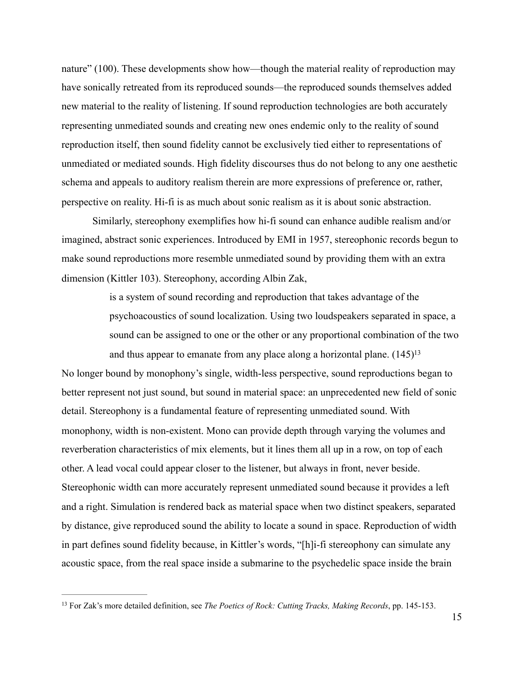nature" (100). These developments show how—though the material reality of reproduction may have sonically retreated from its reproduced sounds—the reproduced sounds themselves added new material to the reality of listening. If sound reproduction technologies are both accurately representing unmediated sounds and creating new ones endemic only to the reality of sound reproduction itself, then sound fidelity cannot be exclusively tied either to representations of unmediated or mediated sounds. High fidelity discourses thus do not belong to any one aesthetic schema and appeals to auditory realism therein are more expressions of preference or, rather, perspective on reality. Hi-fi is as much about sonic realism as it is about sonic abstraction.

 Similarly, stereophony exemplifies how hi-fi sound can enhance audible realism and/or imagined, abstract sonic experiences. Introduced by EMI in 1957, stereophonic records begun to make sound reproductions more resemble unmediated sound by providing them with an extra dimension (Kittler 103). Stereophony, according Albin Zak,

> <span id="page-22-1"></span>is a system of sound recording and reproduction that takes advantage of the psychoacoustics of sound localization. Using two loudspeakers separated in space, a sound can be assigned to one or the other or any proportional combination of the two and thus appear to emanate from any place along a horizontal plane. (145[\)13](#page-22-0)

No longer bound by monophony's single, width-less perspective, sound reproductions began to better represent not just sound, but sound in material space: an unprecedented new field of sonic detail. Stereophony is a fundamental feature of representing unmediated sound. With monophony, width is non-existent. Mono can provide depth through varying the volumes and reverberation characteristics of mix elements, but it lines them all up in a row, on top of each other. A lead vocal could appear closer to the listener, but always in front, never beside. Stereophonic width can more accurately represent unmediated sound because it provides a left and a right. Simulation is rendered back as material space when two distinct speakers, separated by distance, give reproduced sound the ability to locate a sound in space. Reproduction of width in part defines sound fidelity because, in Kittler's words, "[h]i-fi stereophony can simulate any acoustic space, from the real space inside a submarine to the psychedelic space inside the brain

<span id="page-22-0"></span><sup>&</sup>lt;sup>[13](#page-22-1)</sup> For Zak's more detailed definition, see *The Poetics of Rock: Cutting Tracks, Making Records*, pp. 145-153.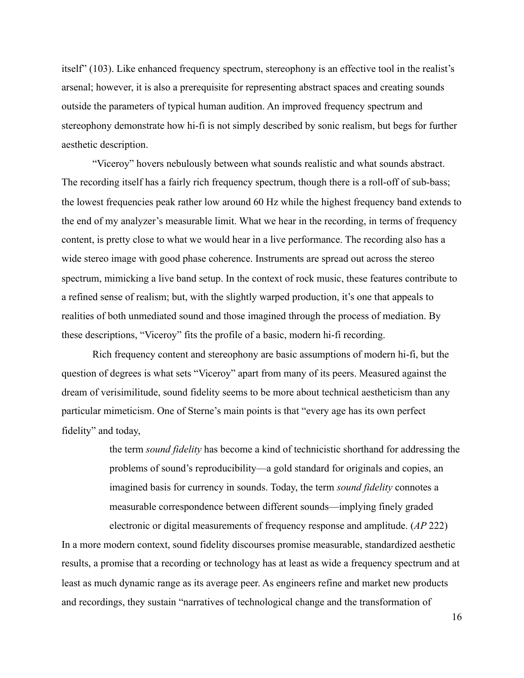itself" (103). Like enhanced frequency spectrum, stereophony is an effective tool in the realist's arsenal; however, it is also a prerequisite for representing abstract spaces and creating sounds outside the parameters of typical human audition. An improved frequency spectrum and stereophony demonstrate how hi-fi is not simply described by sonic realism, but begs for further aesthetic description.

 "Viceroy" hovers nebulously between what sounds realistic and what sounds abstract. The recording itself has a fairly rich frequency spectrum, though there is a roll-off of sub-bass; the lowest frequencies peak rather low around 60 Hz while the highest frequency band extends to the end of my analyzer's measurable limit. What we hear in the recording, in terms of frequency content, is pretty close to what we would hear in a live performance. The recording also has a wide stereo image with good phase coherence. Instruments are spread out across the stereo spectrum, mimicking a live band setup. In the context of rock music, these features contribute to a refined sense of realism; but, with the slightly warped production, it's one that appeals to realities of both unmediated sound and those imagined through the process of mediation. By these descriptions, "Viceroy" fits the profile of a basic, modern hi-fi recording.

Rich frequency content and stereophony are basic assumptions of modern hi-fi, but the question of degrees is what sets "Viceroy" apart from many of its peers. Measured against the dream of verisimilitude, sound fidelity seems to be more about technical aestheticism than any particular mimeticism. One of Sterne's main points is that "every age has its own perfect fidelity" and today,

> the term *sound fidelity* has become a kind of technicistic shorthand for addressing the problems of sound's reproducibility—a gold standard for originals and copies, an imagined basis for currency in sounds. Today, the term *sound fidelity* connotes a measurable correspondence between different sounds—implying finely graded electronic or digital measurements of frequency response and amplitude. (*AP* 222)

In a more modern context, sound fidelity discourses promise measurable, standardized aesthetic results, a promise that a recording or technology has at least as wide a frequency spectrum and at least as much dynamic range as its average peer. As engineers refine and market new products and recordings, they sustain "narratives of technological change and the transformation of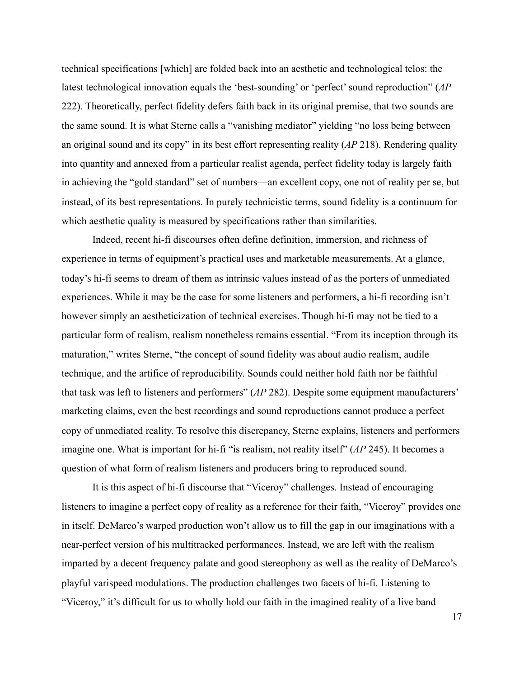technical specifications [which] are folded back into an aesthetic and technological telos: the latest technological innovation equals the 'best-sounding' or 'perfect' sound reproduction" (*AP*  222). Theoretically, perfect fidelity defers faith back in its original premise, that two sounds are the same sound. It is what Sterne calls a "vanishing mediator" yielding "no loss being between an original sound and its copy" in its best effort representing reality (*AP* 218). Rendering quality into quantity and annexed from a particular realist agenda, perfect fidelity today is largely faith in achieving the "gold standard" set of numbers—an excellent copy, one not of reality per se, but instead, of its best representations. In purely technicistic terms, sound fidelity is a continuum for which aesthetic quality is measured by specifications rather than similarities.

 Indeed, recent hi-fi discourses often define definition, immersion, and richness of experience in terms of equipment's practical uses and marketable measurements. At a glance, today's hi-fi seems to dream of them as intrinsic values instead of as the porters of unmediated experiences. While it may be the case for some listeners and performers, a hi-fi recording isn't however simply an aestheticization of technical exercises. Though hi-fi may not be tied to a particular form of realism, realism nonetheless remains essential. "From its inception through its maturation," writes Sterne, "the concept of sound fidelity was about audio realism, audile technique, and the artifice of reproducibility. Sounds could neither hold faith nor be faithful that task was left to listeners and performers" (*AP* 282). Despite some equipment manufacturers' marketing claims, even the best recordings and sound reproductions cannot produce a perfect copy of unmediated reality. To resolve this discrepancy, Sterne explains, listeners and performers imagine one. What is important for hi-fi "is realism, not reality itself" (*AP* 245). It becomes a question of what form of realism listeners and producers bring to reproduced sound.

 It is this aspect of hi-fi discourse that "Viceroy" challenges. Instead of encouraging listeners to imagine a perfect copy of reality as a reference for their faith, "Viceroy" provides one in itself. DeMarco's warped production won't allow us to fill the gap in our imaginations with a near-perfect version of his multitracked performances. Instead, we are left with the realism imparted by a decent frequency palate and good stereophony as well as the reality of DeMarco's playful varispeed modulations. The production challenges two facets of hi-fi. Listening to "Viceroy," it's difficult for us to wholly hold our faith in the imagined reality of a live band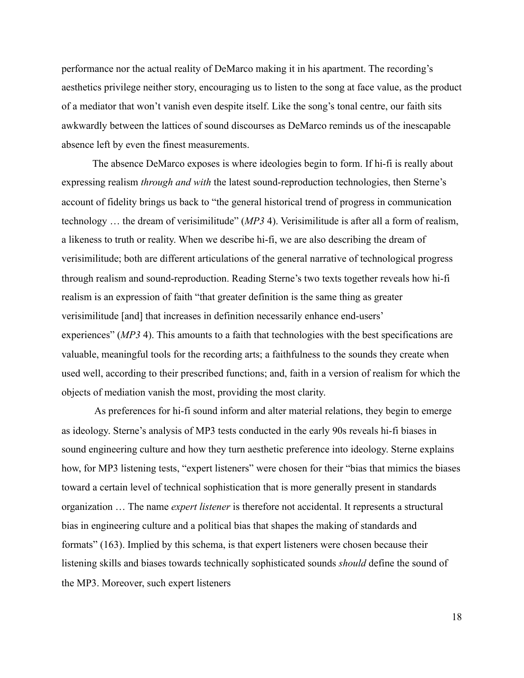performance nor the actual reality of DeMarco making it in his apartment. The recording's aesthetics privilege neither story, encouraging us to listen to the song at face value, as the product of a mediator that won't vanish even despite itself. Like the song's tonal centre, our faith sits awkwardly between the lattices of sound discourses as DeMarco reminds us of the inescapable absence left by even the finest measurements.

 The absence DeMarco exposes is where ideologies begin to form. If hi-fi is really about expressing realism *through and with* the latest sound-reproduction technologies, then Sterne's account of fidelity brings us back to "the general historical trend of progress in communication technology … the dream of verisimilitude" (*MP3* 4). Verisimilitude is after all a form of realism, a likeness to truth or reality. When we describe hi-fi, we are also describing the dream of verisimilitude; both are different articulations of the general narrative of technological progress through realism and sound-reproduction. Reading Sterne's two texts together reveals how hi-fi realism is an expression of faith "that greater definition is the same thing as greater verisimilitude [and] that increases in definition necessarily enhance end-users' experiences" (*MP3* 4). This amounts to a faith that technologies with the best specifications are valuable, meaningful tools for the recording arts; a faithfulness to the sounds they create when used well, according to their prescribed functions; and, faith in a version of realism for which the objects of mediation vanish the most, providing the most clarity.

 As preferences for hi-fi sound inform and alter material relations, they begin to emerge as ideology. Sterne's analysis of MP3 tests conducted in the early 90s reveals hi-fi biases in sound engineering culture and how they turn aesthetic preference into ideology. Sterne explains how, for MP3 listening tests, "expert listeners" were chosen for their "bias that mimics the biases toward a certain level of technical sophistication that is more generally present in standards organization … The name *expert listener* is therefore not accidental. It represents a structural bias in engineering culture and a political bias that shapes the making of standards and formats" (163). Implied by this schema, is that expert listeners were chosen because their listening skills and biases towards technically sophisticated sounds *should* define the sound of the MP3. Moreover, such expert listeners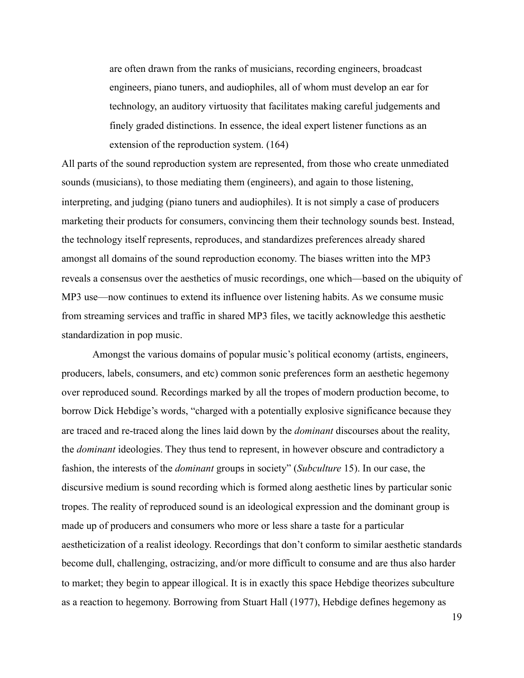are often drawn from the ranks of musicians, recording engineers, broadcast engineers, piano tuners, and audiophiles, all of whom must develop an ear for technology, an auditory virtuosity that facilitates making careful judgements and finely graded distinctions. In essence, the ideal expert listener functions as an extension of the reproduction system. (164)

All parts of the sound reproduction system are represented, from those who create unmediated sounds (musicians), to those mediating them (engineers), and again to those listening, interpreting, and judging (piano tuners and audiophiles). It is not simply a case of producers marketing their products for consumers, convincing them their technology sounds best. Instead, the technology itself represents, reproduces, and standardizes preferences already shared amongst all domains of the sound reproduction economy. The biases written into the MP3 reveals a consensus over the aesthetics of music recordings, one which—based on the ubiquity of MP3 use—now continues to extend its influence over listening habits. As we consume music from streaming services and traffic in shared MP3 files, we tacitly acknowledge this aesthetic standardization in pop music.

 Amongst the various domains of popular music's political economy (artists, engineers, producers, labels, consumers, and etc) common sonic preferences form an aesthetic hegemony over reproduced sound. Recordings marked by all the tropes of modern production become, to borrow Dick Hebdige's words, "charged with a potentially explosive significance because they are traced and re-traced along the lines laid down by the *dominant* discourses about the reality, the *dominant* ideologies. They thus tend to represent, in however obscure and contradictory a fashion, the interests of the *dominant* groups in society" (*Subculture* 15). In our case, the discursive medium is sound recording which is formed along aesthetic lines by particular sonic tropes. The reality of reproduced sound is an ideological expression and the dominant group is made up of producers and consumers who more or less share a taste for a particular aestheticization of a realist ideology. Recordings that don't conform to similar aesthetic standards become dull, challenging, ostracizing, and/or more difficult to consume and are thus also harder to market; they begin to appear illogical. It is in exactly this space Hebdige theorizes subculture as a reaction to hegemony. Borrowing from Stuart Hall (1977), Hebdige defines hegemony as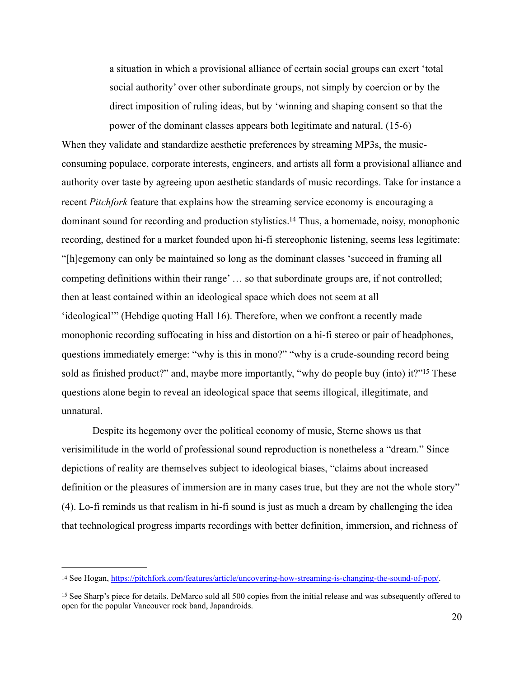<span id="page-27-2"></span>a situation in which a provisional alliance of certain social groups can exert 'total social authority' over other subordinate groups, not simply by coercion or by the direct imposition of ruling ideas, but by 'winning and shaping consent so that the power of the dominant classes appears both legitimate and natural. (15-6)

When they validate and standardize aesthetic preferences by streaming MP3s, the musicconsuming populace, corporate interests, engineers, and artists all form a provisional alliance and authority over taste by agreeing upon aesthetic standards of music recordings. Take for instance a recent *Pitchfork* feature that explains how the streaming service economy is encouraging a dominant sound for recording and production stylistics[.](#page-27-0)<sup>[14](#page-27-0)</sup> Thus, a homemade, noisy, monophonic recording, destined for a market founded upon hi-fi stereophonic listening, seems less legitimate: "[h]egemony can only be maintained so long as the dominant classes 'succeed in framing all competing definitions within their range' … so that subordinate groups are, if not controlled; then at least contained within an ideological space which does not seem at all 'ideological'" (Hebdige quoting Hall 16). Therefore, when we confront a recently made monophonic recording suffocating in hiss and distortion on a hi-fi stereo or pair of headphones, questions immediately emerge: "why is this in mono?" "why is a crude-sounding record being sold as finished product?["](#page-27-1) and, maybe more importantly, "why do people buy (into) it?"<sup>[15](#page-27-1)</sup> These questions alone begin to reveal an ideological space that seems illogical, illegitimate, and unnatural.

<span id="page-27-3"></span> Despite its hegemony over the political economy of music, Sterne shows us that verisimilitude in the world of professional sound reproduction is nonetheless a "dream." Since depictions of reality are themselves subject to ideological biases, "claims about increased definition or the pleasures of immersion are in many cases true, but they are not the whole story" (4). Lo-fi reminds us that realism in hi-fi sound is just as much a dream by challenging the idea that technological progress imparts recordings with better definition, immersion, and richness of

<span id="page-27-0"></span><sup>&</sup>lt;sup>14</sup> See Hogan, [https://pitchfork.com/features/article/uncovering-how-streaming-is-changing-the-sound-of-pop/.](https://pitchfork.com/features/article/uncovering-how-streaming-is-changing-the-sound-of-pop/)

<span id="page-27-1"></span><sup>&</sup>lt;sup>15</sup>See Sharp's piece for details. DeMarco sold all 500 copies from the initial release and was subsequently offered to open for the popular Vancouver rock band, Japandroids.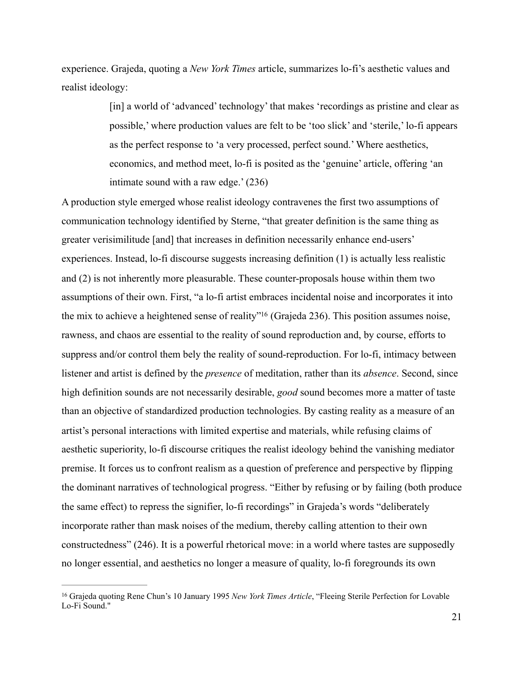experience. Grajeda, quoting a *New York Times* article, summarizes lo-fi's aesthetic values and realist ideology:

> [in] a world of 'advanced' technology' that makes 'recordings as pristine and clear as possible,' where production values are felt to be 'too slick' and 'sterile,' lo-fi appears as the perfect response to 'a very processed, perfect sound.' Where aesthetics, economics, and method meet, lo-fi is posited as the 'genuine' article, offering 'an intimate sound with a raw edge.' (236)

<span id="page-28-1"></span>A production style emerged whose realist ideology contravenes the first two assumptions of communication technology identified by Sterne, "that greater definition is the same thing as greater verisimilitude [and] that increases in definition necessarily enhance end-users' experiences. Instead, lo-fi discourse suggests increasing definition (1) is actually less realistic and (2) is not inherently more pleasurable. These counter-proposals house within them two assumptions of their own. First, "a lo-fi artist embraces incidental noise and incorporates it into the mix to achieve a heightened sense of reality["](#page-28-0)<sup>[16](#page-28-0)</sup> (Grajeda 236). This position assumes noise, rawness, and chaos are essential to the reality of sound reproduction and, by course, efforts to suppress and/or control them bely the reality of sound-reproduction. For lo-fi, intimacy between listener and artist is defined by the *presence* of meditation, rather than its *absence*. Second, since high definition sounds are not necessarily desirable, *good* sound becomes more a matter of taste than an objective of standardized production technologies. By casting reality as a measure of an artist's personal interactions with limited expertise and materials, while refusing claims of aesthetic superiority, lo-fi discourse critiques the realist ideology behind the vanishing mediator premise. It forces us to confront realism as a question of preference and perspective by flipping the dominant narratives of technological progress. "Either by refusing or by failing (both produce the same effect) to repress the signifier, lo-fi recordings" in Grajeda's words "deliberately incorporate rather than mask noises of the medium, thereby calling attention to their own constructedness" (246). It is a powerful rhetorical move: in a world where tastes are supposedly no longer essential, and aesthetics no longer a measure of quality, lo-fi foregrounds its own

<span id="page-28-0"></span><sup>&</sup>lt;sup>[16](#page-28-1)</sup> Grajeda quoting Rene Chun's 10 January 1995 *New York Times Article*, "Fleeing Sterile Perfection for Lovable Lo-Fi Sound."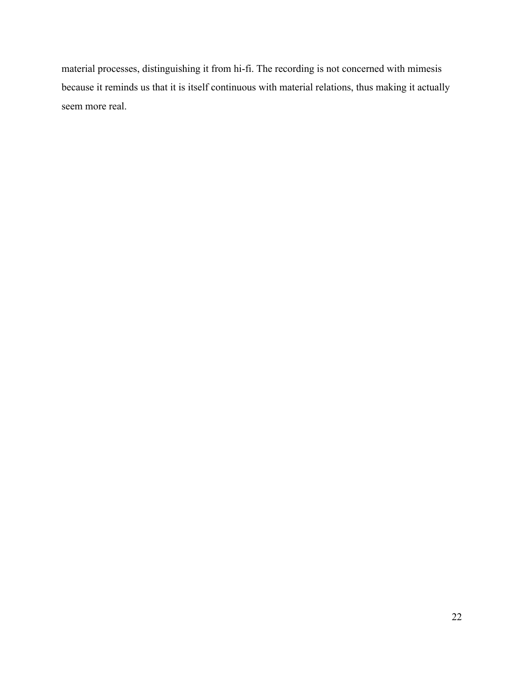material processes, distinguishing it from hi-fi. The recording is not concerned with mimesis because it reminds us that it is itself continuous with material relations, thus making it actually seem more real.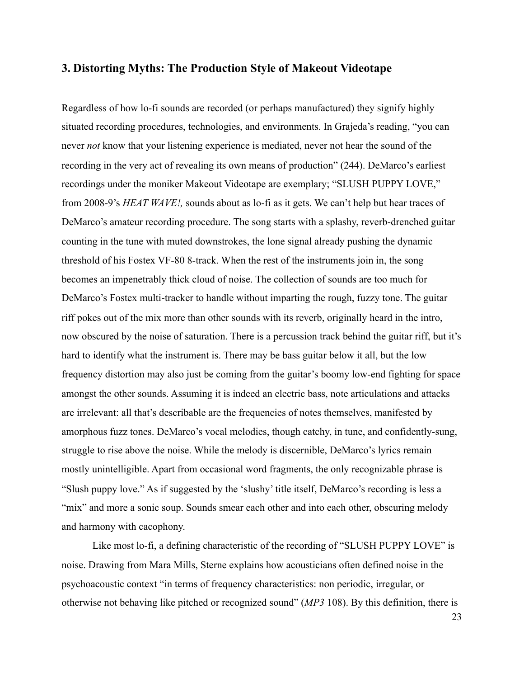### <span id="page-30-0"></span>**3. Distorting Myths: The Production Style of Makeout Videotape**

Regardless of how lo-fi sounds are recorded (or perhaps manufactured) they signify highly situated recording procedures, technologies, and environments. In Grajeda's reading, "you can never *not* know that your listening experience is mediated, never not hear the sound of the recording in the very act of revealing its own means of production" (244). DeMarco's earliest recordings under the moniker Makeout Videotape are exemplary; "SLUSH PUPPY LOVE," from 2008-9's *HEAT WAVE!,* sounds about as lo-fi as it gets. We can't help but hear traces of DeMarco's amateur recording procedure. The song starts with a splashy, reverb-drenched guitar counting in the tune with muted downstrokes, the lone signal already pushing the dynamic threshold of his Fostex VF-80 8-track. When the rest of the instruments join in, the song becomes an impenetrably thick cloud of noise. The collection of sounds are too much for DeMarco's Fostex multi-tracker to handle without imparting the rough, fuzzy tone. The guitar riff pokes out of the mix more than other sounds with its reverb, originally heard in the intro, now obscured by the noise of saturation. There is a percussion track behind the guitar riff, but it's hard to identify what the instrument is. There may be bass guitar below it all, but the low frequency distortion may also just be coming from the guitar's boomy low-end fighting for space amongst the other sounds. Assuming it is indeed an electric bass, note articulations and attacks are irrelevant: all that's describable are the frequencies of notes themselves, manifested by amorphous fuzz tones. DeMarco's vocal melodies, though catchy, in tune, and confidently-sung, struggle to rise above the noise. While the melody is discernible, DeMarco's lyrics remain mostly unintelligible. Apart from occasional word fragments, the only recognizable phrase is "Slush puppy love." As if suggested by the 'slushy' title itself, DeMarco's recording is less a "mix" and more a sonic soup. Sounds smear each other and into each other, obscuring melody and harmony with cacophony.

 Like most lo-fi, a defining characteristic of the recording of "SLUSH PUPPY LOVE" is noise. Drawing from Mara Mills, Sterne explains how acousticians often defined noise in the psychoacoustic context "in terms of frequency characteristics: non periodic, irregular, or otherwise not behaving like pitched or recognized sound" (*MP3* 108). By this definition, there is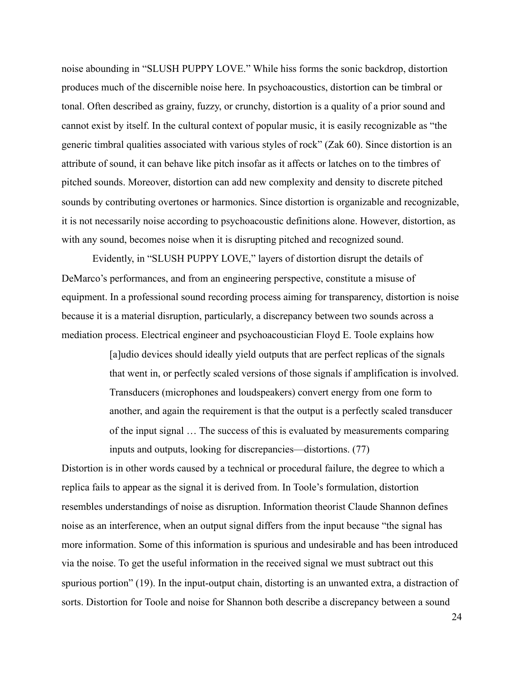noise abounding in "SLUSH PUPPY LOVE." While hiss forms the sonic backdrop, distortion produces much of the discernible noise here. In psychoacoustics, distortion can be timbral or tonal. Often described as grainy, fuzzy, or crunchy, distortion is a quality of a prior sound and cannot exist by itself. In the cultural context of popular music, it is easily recognizable as "the generic timbral qualities associated with various styles of rock" (Zak 60). Since distortion is an attribute of sound, it can behave like pitch insofar as it affects or latches on to the timbres of pitched sounds. Moreover, distortion can add new complexity and density to discrete pitched sounds by contributing overtones or harmonics. Since distortion is organizable and recognizable, it is not necessarily noise according to psychoacoustic definitions alone. However, distortion, as with any sound, becomes noise when it is disrupting pitched and recognized sound.

 Evidently, in "SLUSH PUPPY LOVE," layers of distortion disrupt the details of DeMarco's performances, and from an engineering perspective, constitute a misuse of equipment. In a professional sound recording process aiming for transparency, distortion is noise because it is a material disruption, particularly, a discrepancy between two sounds across a mediation process. Electrical engineer and psychoacoustician Floyd E. Toole explains how

> [a]udio devices should ideally yield outputs that are perfect replicas of the signals that went in, or perfectly scaled versions of those signals if amplification is involved. Transducers (microphones and loudspeakers) convert energy from one form to another, and again the requirement is that the output is a perfectly scaled transducer of the input signal … The success of this is evaluated by measurements comparing inputs and outputs, looking for discrepancies—distortions. (77)

Distortion is in other words caused by a technical or procedural failure, the degree to which a replica fails to appear as the signal it is derived from. In Toole's formulation, distortion resembles understandings of noise as disruption. Information theorist Claude Shannon defines noise as an interference, when an output signal differs from the input because "the signal has more information. Some of this information is spurious and undesirable and has been introduced via the noise. To get the useful information in the received signal we must subtract out this spurious portion" (19). In the input-output chain, distorting is an unwanted extra, a distraction of sorts. Distortion for Toole and noise for Shannon both describe a discrepancy between a sound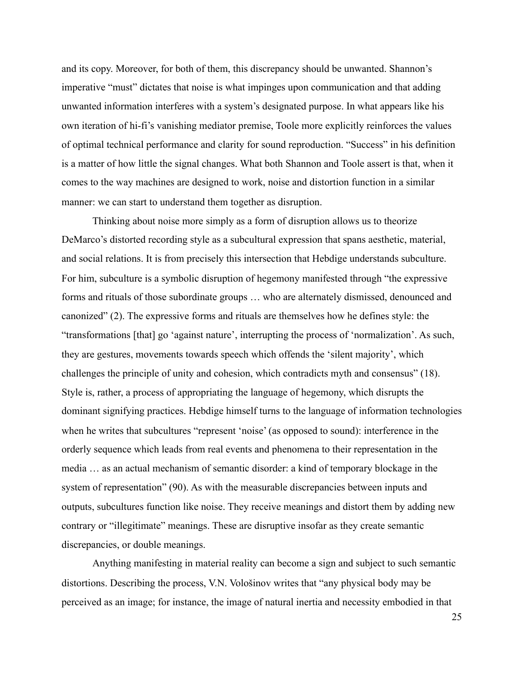and its copy. Moreover, for both of them, this discrepancy should be unwanted. Shannon's imperative "must" dictates that noise is what impinges upon communication and that adding unwanted information interferes with a system's designated purpose. In what appears like his own iteration of hi-fi's vanishing mediator premise, Toole more explicitly reinforces the values of optimal technical performance and clarity for sound reproduction. "Success" in his definition is a matter of how little the signal changes. What both Shannon and Toole assert is that, when it comes to the way machines are designed to work, noise and distortion function in a similar manner: we can start to understand them together as disruption.

 Thinking about noise more simply as a form of disruption allows us to theorize DeMarco's distorted recording style as a subcultural expression that spans aesthetic, material, and social relations. It is from precisely this intersection that Hebdige understands subculture. For him, subculture is a symbolic disruption of hegemony manifested through "the expressive forms and rituals of those subordinate groups … who are alternately dismissed, denounced and canonized" (2). The expressive forms and rituals are themselves how he defines style: the "transformations [that] go 'against nature', interrupting the process of 'normalization'. As such, they are gestures, movements towards speech which offends the 'silent majority', which challenges the principle of unity and cohesion, which contradicts myth and consensus" (18). Style is, rather, a process of appropriating the language of hegemony, which disrupts the dominant signifying practices. Hebdige himself turns to the language of information technologies when he writes that subcultures "represent 'noise' (as opposed to sound): interference in the orderly sequence which leads from real events and phenomena to their representation in the media … as an actual mechanism of semantic disorder: a kind of temporary blockage in the system of representation" (90). As with the measurable discrepancies between inputs and outputs, subcultures function like noise. They receive meanings and distort them by adding new contrary or "illegitimate" meanings. These are disruptive insofar as they create semantic discrepancies, or double meanings.

 Anything manifesting in material reality can become a sign and subject to such semantic distortions. Describing the process, V.N. Vološinov writes that "any physical body may be perceived as an image; for instance, the image of natural inertia and necessity embodied in that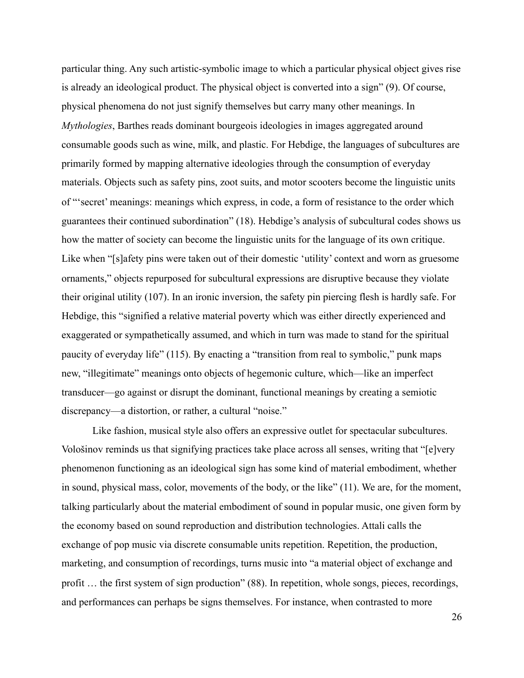particular thing. Any such artistic-symbolic image to which a particular physical object gives rise is already an ideological product. The physical object is converted into a sign" (9). Of course, physical phenomena do not just signify themselves but carry many other meanings. In *Mythologies*, Barthes reads dominant bourgeois ideologies in images aggregated around consumable goods such as wine, milk, and plastic. For Hebdige, the languages of subcultures are primarily formed by mapping alternative ideologies through the consumption of everyday materials. Objects such as safety pins, zoot suits, and motor scooters become the linguistic units of "'secret' meanings: meanings which express, in code, a form of resistance to the order which guarantees their continued subordination" (18). Hebdige's analysis of subcultural codes shows us how the matter of society can become the linguistic units for the language of its own critique. Like when "[s]afety pins were taken out of their domestic 'utility' context and worn as gruesome ornaments," objects repurposed for subcultural expressions are disruptive because they violate their original utility (107). In an ironic inversion, the safety pin piercing flesh is hardly safe. For Hebdige, this "signified a relative material poverty which was either directly experienced and exaggerated or sympathetically assumed, and which in turn was made to stand for the spiritual paucity of everyday life" (115). By enacting a "transition from real to symbolic," punk maps new, "illegitimate" meanings onto objects of hegemonic culture, which—like an imperfect transducer—go against or disrupt the dominant, functional meanings by creating a semiotic discrepancy—a distortion, or rather, a cultural "noise."

 Like fashion, musical style also offers an expressive outlet for spectacular subcultures. Vološinov reminds us that signifying practices take place across all senses, writing that "[e]very phenomenon functioning as an ideological sign has some kind of material embodiment, whether in sound, physical mass, color, movements of the body, or the like" (11). We are, for the moment, talking particularly about the material embodiment of sound in popular music, one given form by the economy based on sound reproduction and distribution technologies. Attali calls the exchange of pop music via discrete consumable units repetition. Repetition, the production, marketing, and consumption of recordings, turns music into "a material object of exchange and profit … the first system of sign production" (88). In repetition, whole songs, pieces, recordings, and performances can perhaps be signs themselves. For instance, when contrasted to more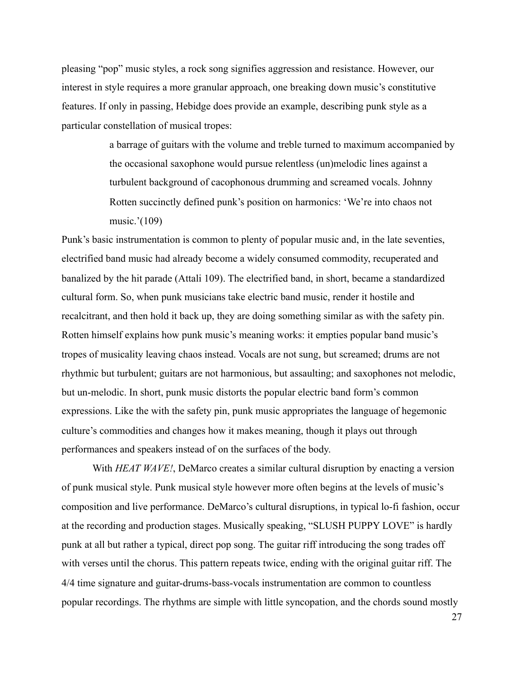pleasing "pop" music styles, a rock song signifies aggression and resistance. However, our interest in style requires a more granular approach, one breaking down music's constitutive features. If only in passing, Hebidge does provide an example, describing punk style as a particular constellation of musical tropes:

> a barrage of guitars with the volume and treble turned to maximum accompanied by the occasional saxophone would pursue relentless (un)melodic lines against a turbulent background of cacophonous drumming and screamed vocals. Johnny Rotten succinctly defined punk's position on harmonics: 'We're into chaos not music.'(109)

Punk's basic instrumentation is common to plenty of popular music and, in the late seventies, electrified band music had already become a widely consumed commodity, recuperated and banalized by the hit parade (Attali 109). The electrified band, in short, became a standardized cultural form. So, when punk musicians take electric band music, render it hostile and recalcitrant, and then hold it back up, they are doing something similar as with the safety pin. Rotten himself explains how punk music's meaning works: it empties popular band music's tropes of musicality leaving chaos instead. Vocals are not sung, but screamed; drums are not rhythmic but turbulent; guitars are not harmonious, but assaulting; and saxophones not melodic, but un-melodic. In short, punk music distorts the popular electric band form's common expressions. Like the with the safety pin, punk music appropriates the language of hegemonic culture's commodities and changes how it makes meaning, though it plays out through performances and speakers instead of on the surfaces of the body.

With *HEAT WAVE!*, DeMarco creates a similar cultural disruption by enacting a version of punk musical style. Punk musical style however more often begins at the levels of music's composition and live performance. DeMarco's cultural disruptions, in typical lo-fi fashion, occur at the recording and production stages. Musically speaking, "SLUSH PUPPY LOVE" is hardly punk at all but rather a typical, direct pop song. The guitar riff introducing the song trades off with verses until the chorus. This pattern repeats twice, ending with the original guitar riff. The 4/4 time signature and guitar-drums-bass-vocals instrumentation are common to countless popular recordings. The rhythms are simple with little syncopation, and the chords sound mostly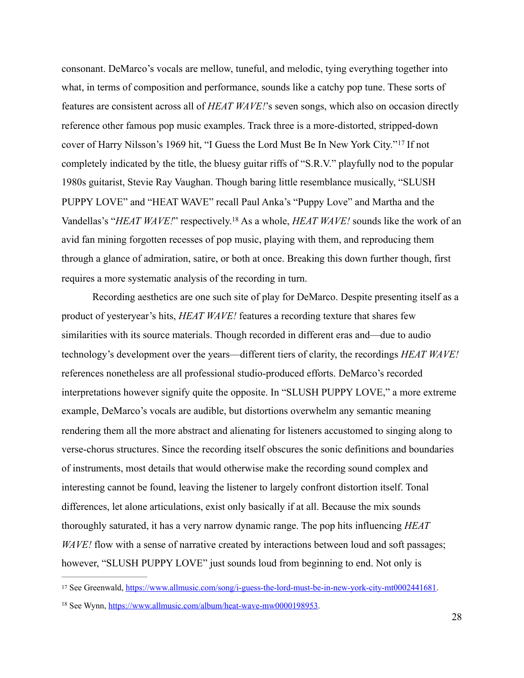<span id="page-35-2"></span>consonant. DeMarco's vocals are mellow, tuneful, and melodic, tying everything together into what, in terms of composition and performance, sounds like a catchy pop tune. These sorts of features are consistent across all of *HEAT WAVE!*'s seven songs, which also on occasion directly reference other famous pop music examples. Track three is a more-distorted, stripped-down cover of Harry Nilsson's 1969 hit, ["](#page-35-0)I Guess the Lord Must Be In New York City."<sup>[17](#page-35-0)</sup> If not completely indicated by the title, the bluesy guitar riffs of "S.R.V." playfully nod to the popular 1980s guitarist, Stevie Ray Vaughan. Though baring little resemblance musically, "SLUSH PUPPY LOVE" and "HEAT WAVE" recall Paul Anka's "Puppy Love" and Martha and the Vandellas's "*HEAT WAVE!*" respectively[.](#page-35-1)<sup>18</sup> As a whole, *HEAT WAVE!* sounds like the work of an avid fan mining forgotten recesses of pop music, playing with them, and reproducing them through a glance of admiration, satire, or both at once. Breaking this down further though, first requires a more systematic analysis of the recording in turn.

<span id="page-35-3"></span> Recording aesthetics are one such site of play for DeMarco. Despite presenting itself as a product of yesteryear's hits, *HEAT WAVE!* features a recording texture that shares few similarities with its source materials. Though recorded in different eras and—due to audio technology's development over the years—different tiers of clarity, the recordings *HEAT WAVE!* references nonetheless are all professional studio-produced efforts. DeMarco's recorded interpretations however signify quite the opposite. In "SLUSH PUPPY LOVE," a more extreme example, DeMarco's vocals are audible, but distortions overwhelm any semantic meaning rendering them all the more abstract and alienating for listeners accustomed to singing along to verse-chorus structures. Since the recording itself obscures the sonic definitions and boundaries of instruments, most details that would otherwise make the recording sound complex and interesting cannot be found, leaving the listener to largely confront distortion itself. Tonal differences, let alone articulations, exist only basically if at all. Because the mix sounds thoroughly saturated, it has a very narrow dynamic range. The pop hits influencing *HEAT WAVE!* flow with a sense of narrative created by interactions between loud and soft passages; however, "SLUSH PUPPY LOVE" just sounds loud from beginning to end. Not only is

<span id="page-35-0"></span><sup>&</sup>lt;sup>17</sup> See Greenwald, <https://www.allmusic.com/song/i-guess-the-lord-must-be-in-new-york-city-mt0002441681>.

<span id="page-35-1"></span><sup>&</sup>lt;sup>18</sup> See Wynn, [https://www.allmusic.com/album/heat-wave-mw0000198953.](https://www.allmusic.com/album/heat-wave-mw0000198953)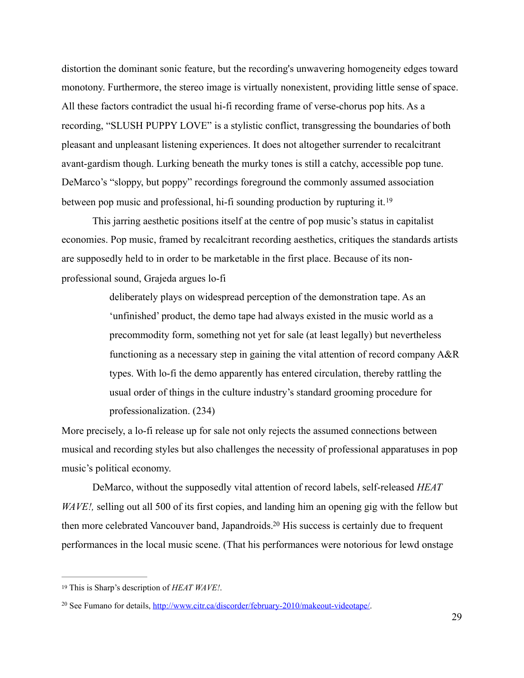distortion the dominant sonic feature, but the recording's unwavering homogeneity edges toward monotony. Furthermore, the stereo image is virtually nonexistent, providing little sense of space. All these factors contradict the usual hi-fi recording frame of verse-chorus pop hits. As a recording, "SLUSH PUPPY LOVE" is a stylistic conflict, transgressing the boundaries of both pleasant and unpleasant listening experiences. It does not altogether surrender to recalcitrant avant-gardism though. Lurking beneath the murky tones is still a catchy, accessible pop tune. DeMarco's "sloppy, but poppy" recordings foreground the commonly assumed association between pop music and professional, hi-fi sounding production by rupturing it.[19](#page-36-0)

 This jarring aesthetic positions itself at the centre of pop music's status in capitalist economies. Pop music, framed by recalcitrant recording aesthetics, critiques the standards artists are supposedly held to in order to be marketable in the first place. Because of its nonprofessional sound, Grajeda argues lo-fi

> <span id="page-36-2"></span>deliberately plays on widespread perception of the demonstration tape. As an 'unfinished' product, the demo tape had always existed in the music world as a precommodity form, something not yet for sale (at least legally) but nevertheless functioning as a necessary step in gaining the vital attention of record company A&R types. With lo-fi the demo apparently has entered circulation, thereby rattling the usual order of things in the culture industry's standard grooming procedure for professionalization. (234)

More precisely, a lo-fi release up for sale not only rejects the assumed connections between musical and recording styles but also challenges the necessity of professional apparatuses in pop music's political economy.

<span id="page-36-3"></span> DeMarco, without the supposedly vital attention of record labels, self-released *HEAT WAVE!*, selling out all 500 of its first copies, and landing him an opening gig with the fellow but then more celebrated Vancouver band, Japandroids[.](#page-36-1)<sup>[20](#page-36-1)</sup> His success is certainly due to frequent performances in the local music scene. (That his performances were notorious for lewd onstage

<span id="page-36-0"></span><sup>&</sup>lt;sup>[19](#page-36-2)</sup> This is Sharp's description of *HEAT WAVE!*.

<span id="page-36-1"></span><sup>&</sup>lt;sup>20</sup> See Fumano for details, <http://www.citr.ca/discorder/february-2010/makeout-videotape/>.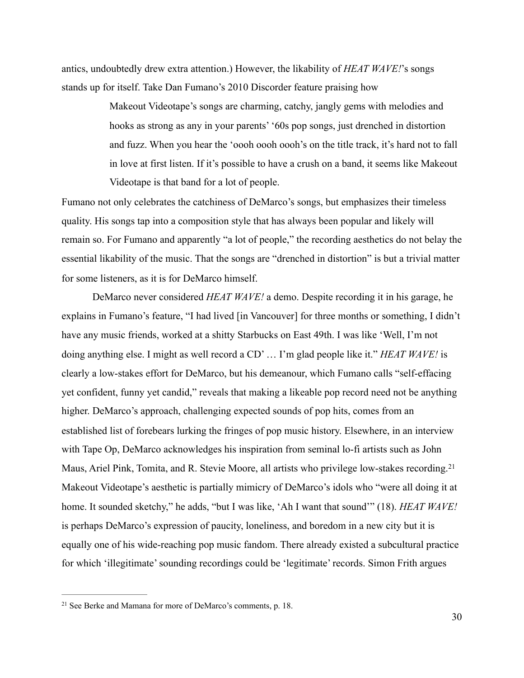antics, undoubtedly drew extra attention.) However, the likability of *HEAT WAVE!*'s songs stands up for itself. Take Dan Fumano's 2010 Discorder feature praising how

> Makeout Videotape's songs are charming, catchy, jangly gems with melodies and hooks as strong as any in your parents' '60s pop songs, just drenched in distortion and fuzz. When you hear the 'oooh oooh oooh's on the title track, it's hard not to fall in love at first listen. If it's possible to have a crush on a band, it seems like Makeout Videotape is that band for a lot of people.

Fumano not only celebrates the catchiness of DeMarco's songs, but emphasizes their timeless quality. His songs tap into a composition style that has always been popular and likely will remain so. For Fumano and apparently "a lot of people," the recording aesthetics do not belay the essential likability of the music. That the songs are "drenched in distortion" is but a trivial matter for some listeners, as it is for DeMarco himself.

 DeMarco never considered *HEAT WAVE!* a demo. Despite recording it in his garage, he explains in Fumano's feature, "I had lived [in Vancouver] for three months or something, I didn't have any music friends, worked at a shitty Starbucks on East 49th. I was like 'Well, I'm not doing anything else. I might as well record a CD' … I'm glad people like it." *HEAT WAVE!* is clearly a low-stakes effort for DeMarco, but his demeanour, which Fumano calls "self-effacing yet confident, funny yet candid," reveals that making a likeable pop record need not be anything higher. DeMarco's approach, challenging expected sounds of pop hits, comes from an established list of forebears lurking the fringes of pop music history. Elsewhere, in an interview with Tape Op, DeMarco acknowledges his inspiration from seminal lo-fi artists such as John Maus, Ariel Pink, Tomita, and R. Stevie Moore, all artists who privilege low-stakes recording.[21](#page-37-0) Makeout Videotape's aesthetic is partially mimicry of DeMarco's idols who "were all doing it at home. It sounded sketchy," he adds, "but I was like, 'Ah I want that sound'" (18). *HEAT WAVE!* is perhaps DeMarco's expression of paucity, loneliness, and boredom in a new city but it is equally one of his wide-reaching pop music fandom. There already existed a subcultural practice for which 'illegitimate' sounding recordings could be 'legitimate' records. Simon Frith argues

<span id="page-37-1"></span><span id="page-37-0"></span> $21$  See Berke and Mamana for more of DeMarco's comments, p. 18.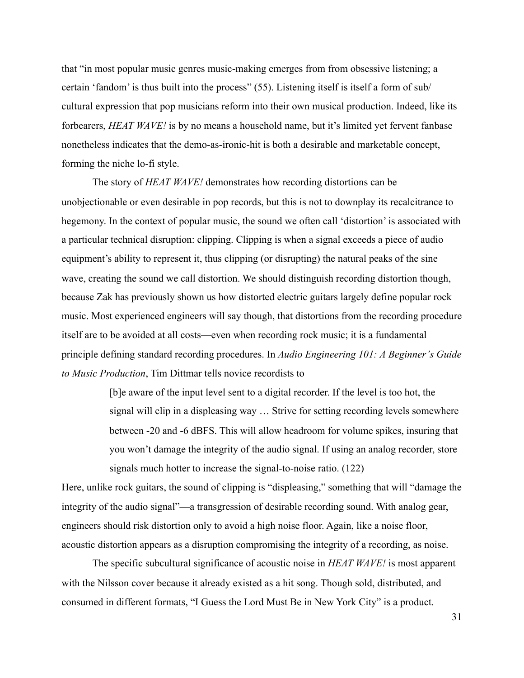that "in most popular music genres music-making emerges from from obsessive listening; a certain 'fandom' is thus built into the process" (55). Listening itself is itself a form of sub/ cultural expression that pop musicians reform into their own musical production. Indeed, like its forbearers, *HEAT WAVE!* is by no means a household name, but it's limited yet fervent fanbase nonetheless indicates that the demo-as-ironic-hit is both a desirable and marketable concept, forming the niche lo-fi style.

 The story of *HEAT WAVE!* demonstrates how recording distortions can be unobjectionable or even desirable in pop records, but this is not to downplay its recalcitrance to hegemony. In the context of popular music, the sound we often call 'distortion' is associated with a particular technical disruption: clipping. Clipping is when a signal exceeds a piece of audio equipment's ability to represent it, thus clipping (or disrupting) the natural peaks of the sine wave, creating the sound we call distortion. We should distinguish recording distortion though, because Zak has previously shown us how distorted electric guitars largely define popular rock music. Most experienced engineers will say though, that distortions from the recording procedure itself are to be avoided at all costs—even when recording rock music; it is a fundamental principle defining standard recording procedures. In *Audio Engineering 101: A Beginner's Guide to Music Production*, Tim Dittmar tells novice recordists to

> [b]e aware of the input level sent to a digital recorder. If the level is too hot, the signal will clip in a displeasing way … Strive for setting recording levels somewhere between -20 and -6 dBFS. This will allow headroom for volume spikes, insuring that you won't damage the integrity of the audio signal. If using an analog recorder, store signals much hotter to increase the signal-to-noise ratio. (122)

Here, unlike rock guitars, the sound of clipping is "displeasing," something that will "damage the integrity of the audio signal"—a transgression of desirable recording sound. With analog gear, engineers should risk distortion only to avoid a high noise floor. Again, like a noise floor, acoustic distortion appears as a disruption compromising the integrity of a recording, as noise.

 The specific subcultural significance of acoustic noise in *HEAT WAVE!* is most apparent with the Nilsson cover because it already existed as a hit song. Though sold, distributed, and consumed in different formats, "I Guess the Lord Must Be in New York City" is a product.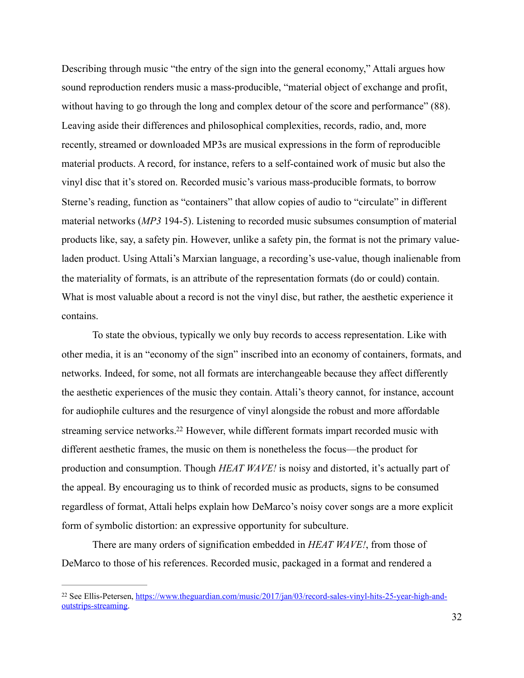Describing through music "the entry of the sign into the general economy," Attali argues how sound reproduction renders music a mass-producible, "material object of exchange and profit, without having to go through the long and complex detour of the score and performance" (88). Leaving aside their differences and philosophical complexities, records, radio, and, more recently, streamed or downloaded MP3s are musical expressions in the form of reproducible material products. A record, for instance, refers to a self-contained work of music but also the vinyl disc that it's stored on. Recorded music's various mass-producible formats, to borrow Sterne's reading, function as "containers" that allow copies of audio to "circulate" in different material networks (*MP3* 194-5). Listening to recorded music subsumes consumption of material products like, say, a safety pin. However, unlike a safety pin, the format is not the primary valueladen product. Using Attali's Marxian language, a recording's use-value, though inalienable from the materiality of formats, is an attribute of the representation formats (do or could) contain. What is most valuable about a record is not the vinyl disc, but rather, the aesthetic experience it contains.

<span id="page-39-1"></span> To state the obvious, typically we only buy records to access representation. Like with other media, it is an "economy of the sign" inscribed into an economy of containers, formats, and networks. Indeed, for some, not all formats are interchangeable because they affect differently the aesthetic experiences of the music they contain. Attali's theory cannot, for instance, account for audiophile cultures and the resurgence of vinyl alongside the robust and more affordable streaming service networks[.](#page-39-0)<sup>[22](#page-39-0)</sup> However, while different formats impart recorded music with different aesthetic frames, the music on them is nonetheless the focus—the product for production and consumption. Though *HEAT WAVE!* is noisy and distorted, it's actually part of the appeal. By encouraging us to think of recorded music as products, signs to be consumed regardless of format, Attali helps explain how DeMarco's noisy cover songs are a more explicit form of symbolic distortion: an expressive opportunity for subculture.

 There are many orders of signification embedded in *HEAT WAVE!*, from those of DeMarco to those of his references. Recorded music, packaged in a format and rendered a

<span id="page-39-0"></span><sup>&</sup>lt;sup>22</sup> See Ellis-Petersen, [https://www.theguardian.com/music/2017/jan/03/record-sales-vinyl-hits-25-year-high-and](https://www.theguardian.com/music/2017/jan/03/record-sales-vinyl-hits-25-year-high-and-outstrips-streaming) [outstrips-streaming](https://www.theguardian.com/music/2017/jan/03/record-sales-vinyl-hits-25-year-high-and-outstrips-streaming).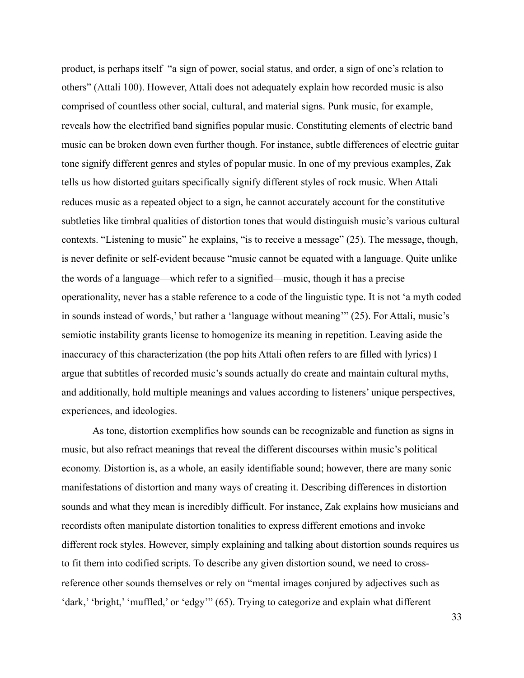product, is perhaps itself "a sign of power, social status, and order, a sign of one's relation to others" (Attali 100). However, Attali does not adequately explain how recorded music is also comprised of countless other social, cultural, and material signs. Punk music, for example, reveals how the electrified band signifies popular music. Constituting elements of electric band music can be broken down even further though. For instance, subtle differences of electric guitar tone signify different genres and styles of popular music. In one of my previous examples, Zak tells us how distorted guitars specifically signify different styles of rock music. When Attali reduces music as a repeated object to a sign, he cannot accurately account for the constitutive subtleties like timbral qualities of distortion tones that would distinguish music's various cultural contexts. "Listening to music" he explains, "is to receive a message" (25). The message, though, is never definite or self-evident because "music cannot be equated with a language. Quite unlike the words of a language—which refer to a signified—music, though it has a precise operationality, never has a stable reference to a code of the linguistic type. It is not 'a myth coded in sounds instead of words,' but rather a 'language without meaning'" (25). For Attali, music's semiotic instability grants license to homogenize its meaning in repetition. Leaving aside the inaccuracy of this characterization (the pop hits Attali often refers to are filled with lyrics) I argue that subtitles of recorded music's sounds actually do create and maintain cultural myths, and additionally, hold multiple meanings and values according to listeners' unique perspectives, experiences, and ideologies.

 As tone, distortion exemplifies how sounds can be recognizable and function as signs in music, but also refract meanings that reveal the different discourses within music's political economy. Distortion is, as a whole, an easily identifiable sound; however, there are many sonic manifestations of distortion and many ways of creating it. Describing differences in distortion sounds and what they mean is incredibly difficult. For instance, Zak explains how musicians and recordists often manipulate distortion tonalities to express different emotions and invoke different rock styles. However, simply explaining and talking about distortion sounds requires us to fit them into codified scripts. To describe any given distortion sound, we need to crossreference other sounds themselves or rely on "mental images conjured by adjectives such as 'dark,' 'bright,' 'muffled,' or 'edgy'" (65). Trying to categorize and explain what different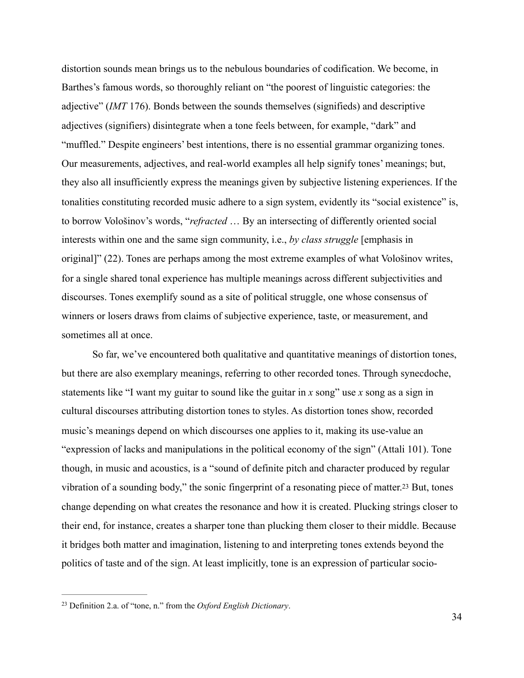distortion sounds mean brings us to the nebulous boundaries of codification. We become, in Barthes's famous words, so thoroughly reliant on "the poorest of linguistic categories: the adjective" (*IMT* 176). Bonds between the sounds themselves (signifieds) and descriptive adjectives (signifiers) disintegrate when a tone feels between, for example, "dark" and "muffled." Despite engineers' best intentions, there is no essential grammar organizing tones. Our measurements, adjectives, and real-world examples all help signify tones' meanings; but, they also all insufficiently express the meanings given by subjective listening experiences. If the tonalities constituting recorded music adhere to a sign system, evidently its "social existence" is, to borrow Vološinov's words, "*refracted* … By an intersecting of differently oriented social interests within one and the same sign community, i.e., *by class struggle* [emphasis in original]" (22). Tones are perhaps among the most extreme examples of what Vološinov writes, for a single shared tonal experience has multiple meanings across different subjectivities and discourses. Tones exemplify sound as a site of political struggle, one whose consensus of winners or losers draws from claims of subjective experience, taste, or measurement, and sometimes all at once.

 So far, we've encountered both qualitative and quantitative meanings of distortion tones, but there are also exemplary meanings, referring to other recorded tones. Through synecdoche, statements like "I want my guitar to sound like the guitar in *x* song" use *x* song as a sign in cultural discourses attributing distortion tones to styles. As distortion tones show, recorded music's meanings depend on which discourses one applies to it, making its use-value an "expression of lacks and manipulations in the political economy of the sign" (Attali 101). Tone though, in music and acoustics, is a "sound of definite pitch and character produced by regular vibration of a sounding body," the sonic fingerprint of a resonating piece of matter[.23](#page-41-0) But, tones change depending on what creates the resonance and how it is created. Plucking strings closer to their end, for instance, creates a sharper tone than plucking them closer to their middle. Because it bridges both matter and imagination, listening to and interpreting tones extends beyond the politics of taste and of the sign. At least implicitly, tone is an expression of particular socio-

<span id="page-41-1"></span><span id="page-41-0"></span>Definition 2.a. of "tone, n." from the *Oxford English Dictionary*. [23](#page-41-1)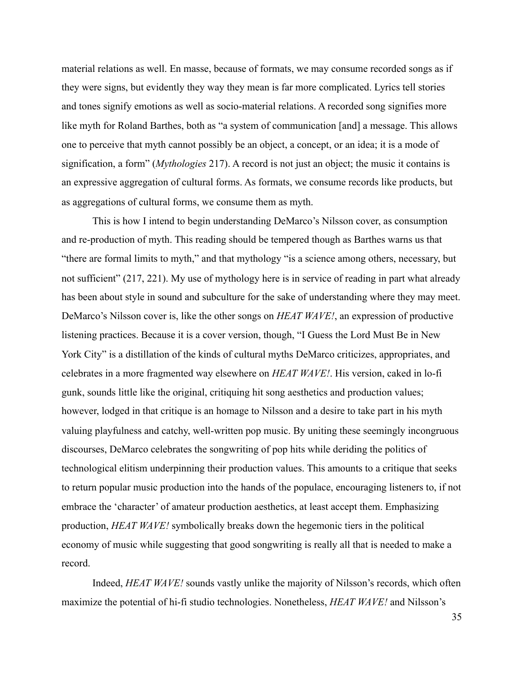material relations as well. En masse, because of formats, we may consume recorded songs as if they were signs, but evidently they way they mean is far more complicated. Lyrics tell stories and tones signify emotions as well as socio-material relations. A recorded song signifies more like myth for Roland Barthes, both as "a system of communication [and] a message. This allows one to perceive that myth cannot possibly be an object, a concept, or an idea; it is a mode of signification, a form" (*Mythologies* 217). A record is not just an object; the music it contains is an expressive aggregation of cultural forms. As formats, we consume records like products, but as aggregations of cultural forms, we consume them as myth.

 This is how I intend to begin understanding DeMarco's Nilsson cover, as consumption and re-production of myth. This reading should be tempered though as Barthes warns us that "there are formal limits to myth," and that mythology "is a science among others, necessary, but not sufficient" (217, 221). My use of mythology here is in service of reading in part what already has been about style in sound and subculture for the sake of understanding where they may meet. DeMarco's Nilsson cover is, like the other songs on *HEAT WAVE!*, an expression of productive listening practices. Because it is a cover version, though, "I Guess the Lord Must Be in New York City" is a distillation of the kinds of cultural myths DeMarco criticizes, appropriates, and celebrates in a more fragmented way elsewhere on *HEAT WAVE!*. His version, caked in lo-fi gunk, sounds little like the original, critiquing hit song aesthetics and production values; however, lodged in that critique is an homage to Nilsson and a desire to take part in his myth valuing playfulness and catchy, well-written pop music. By uniting these seemingly incongruous discourses, DeMarco celebrates the songwriting of pop hits while deriding the politics of technological elitism underpinning their production values. This amounts to a critique that seeks to return popular music production into the hands of the populace, encouraging listeners to, if not embrace the 'character' of amateur production aesthetics, at least accept them. Emphasizing production, *HEAT WAVE!* symbolically breaks down the hegemonic tiers in the political economy of music while suggesting that good songwriting is really all that is needed to make a record.

 Indeed, *HEAT WAVE!* sounds vastly unlike the majority of Nilsson's records, which often maximize the potential of hi-fi studio technologies. Nonetheless, *HEAT WAVE!* and Nilsson's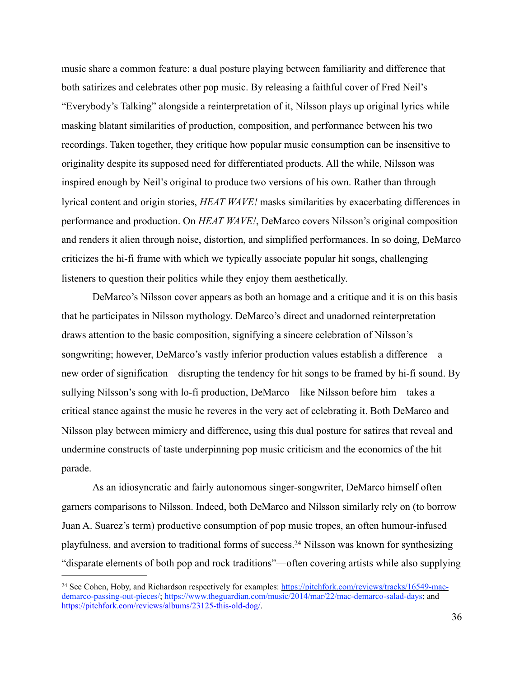music share a common feature: a dual posture playing between familiarity and difference that both satirizes and celebrates other pop music. By releasing a faithful cover of Fred Neil's "Everybody's Talking" alongside a reinterpretation of it, Nilsson plays up original lyrics while masking blatant similarities of production, composition, and performance between his two recordings. Taken together, they critique how popular music consumption can be insensitive to originality despite its supposed need for differentiated products. All the while, Nilsson was inspired enough by Neil's original to produce two versions of his own. Rather than through lyrical content and origin stories, *HEAT WAVE!* masks similarities by exacerbating differences in performance and production. On *HEAT WAVE!*, DeMarco covers Nilsson's original composition and renders it alien through noise, distortion, and simplified performances. In so doing, DeMarco criticizes the hi-fi frame with which we typically associate popular hit songs, challenging listeners to question their politics while they enjoy them aesthetically.

 DeMarco's Nilsson cover appears as both an homage and a critique and it is on this basis that he participates in Nilsson mythology. DeMarco's direct and unadorned reinterpretation draws attention to the basic composition, signifying a sincere celebration of Nilsson's songwriting; however, DeMarco's vastly inferior production values establish a difference—a new order of signification—disrupting the tendency for hit songs to be framed by hi-fi sound. By sullying Nilsson's song with lo-fi production, DeMarco—like Nilsson before him—takes a critical stance against the music he reveres in the very act of celebrating it. Both DeMarco and Nilsson play between mimicry and difference, using this dual posture for satires that reveal and undermine constructs of taste underpinning pop music criticism and the economics of the hit parade.

 As an idiosyncratic and fairly autonomous singer-songwriter, DeMarco himself often garners comparisons to Nilsson. Indeed, both DeMarco and Nilsson similarly rely on (to borrow Juan A. Suarez's term) productive consumption of pop music tropes, an often humour-infused playfulness, and aversion to traditional forms of success[.](#page-43-0)<sup>[24](#page-43-0)</sup> Nilsson was known for synthesizing "disparate elements of both pop and rock traditions"—often covering artists while also supplying

<span id="page-43-1"></span><span id="page-43-0"></span><sup>&</sup>lt;sup>24</sup> See Cohen, Hoby, and Richardson respectively for examples: [https://pitchfork.com/reviews/tracks/16549-mac](https://pitchfork.com/reviews/tracks/16549-mac-demarco-passing-out-pieces/) [demarco-passing-out-pieces/;](https://pitchfork.com/reviews/tracks/16549-mac-demarco-passing-out-pieces/) [https://www.theguardian.com/music/2014/mar/22/mac-demarco-salad-days;](https://www.theguardian.com/music/2014/mar/22/mac-demarco-salad-days) and <https://pitchfork.com/reviews/albums/23125-this-old-dog/>.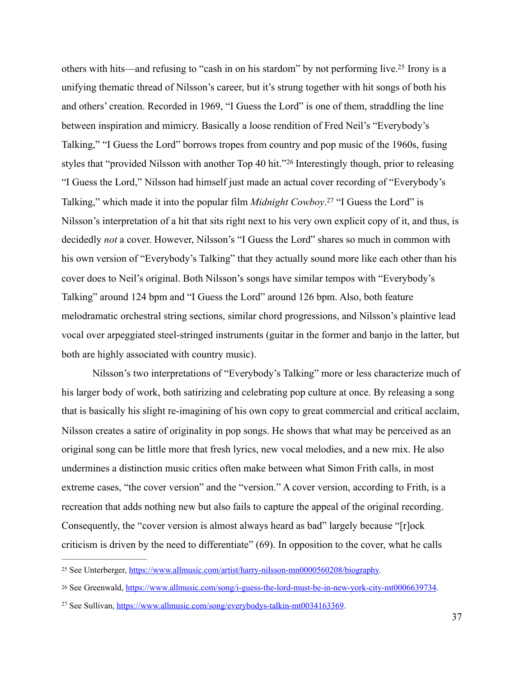<span id="page-44-5"></span><span id="page-44-4"></span><span id="page-44-3"></span>others with hits—and refusing to "cash in on his stardom" by not performing live[.](#page-44-0)<sup>[25](#page-44-0)</sup> Irony is a unifying thematic thread of Nilsson's career, but it's strung together with hit songs of both his and others' creation. Recorded in 1969, "I Guess the Lord" is one of them, straddling the line between inspiration and mimicry. Basically a loose rendition of Fred Neil's "Everybody's Talking," "I Guess the Lord" borrows tropes from country and pop music of the 1960s, fusing stylesthat "provided Nilsson with another Top 40 hit."<sup>[26](#page-44-1)</sup> Interestingly though, prior to releasing "I Guess the Lord," Nilsson had himself just made an actual cover recording of "Everybody's Talking," which made it into the popular film *Midnight Cowboy*[.](#page-44-2)<sup>[27](#page-44-2)</sup> "I Guess the Lord" is Nilsson's interpretation of a hit that sits right next to his very own explicit copy of it, and thus, is decidedly *not* a cover. However, Nilsson's "I Guess the Lord" shares so much in common with his own version of "Everybody's Talking" that they actually sound more like each other than his cover does to Neil's original. Both Nilsson's songs have similar tempos with "Everybody's Talking" around 124 bpm and "I Guess the Lord" around 126 bpm. Also, both feature melodramatic orchestral string sections, similar chord progressions, and Nilsson's plaintive lead vocal over arpeggiated steel-stringed instruments (guitar in the former and banjo in the latter, but both are highly associated with country music).

 Nilsson's two interpretations of "Everybody's Talking" more or less characterize much of his larger body of work, both satirizing and celebrating pop culture at once. By releasing a song that is basically his slight re-imagining of his own copy to great commercial and critical acclaim, Nilsson creates a satire of originality in pop songs. He shows that what may be perceived as an original song can be little more that fresh lyrics, new vocal melodies, and a new mix. He also undermines a distinction music critics often make between what Simon Frith calls, in most extreme cases, "the cover version" and the "version." A cover version, according to Frith, is a recreation that adds nothing new but also fails to capture the appeal of the original recording. Consequently, the "cover version is almost always heard as bad" largely because "[r]ock criticism is driven by the need to differentiate" (69). In opposition to the cover, what he calls

<span id="page-44-0"></span><sup>&</sup>lt;sup>25</sup> See Unterberger, [https://www.allmusic.com/artist/harry-nilsson-mn0000560208/biography.](https://www.allmusic.com/artist/harry-nilsson-mn0000560208/biography)

<span id="page-44-1"></span><sup>26</sup> See Greenwald, <https://www.allmusic.com/song/i-guess-the-lord-must-be-in-new-york-city-mt0006639734>.

<span id="page-44-2"></span><sup>&</sup>lt;sup>27</sup> See Sullivan, [https://www.allmusic.com/song/everybodys-talkin-mt0034163369.](https://www.allmusic.com/song/everybodys-talkin-mt0034163369)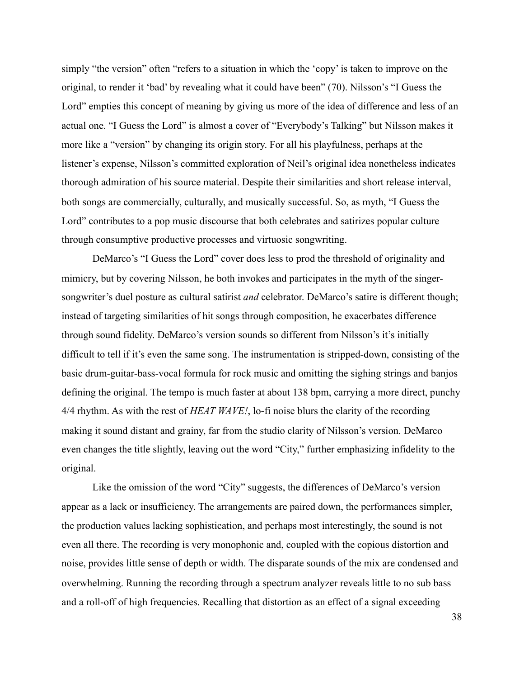simply "the version" often "refers to a situation in which the 'copy' is taken to improve on the original, to render it 'bad' by revealing what it could have been" (70). Nilsson's "I Guess the Lord" empties this concept of meaning by giving us more of the idea of difference and less of an actual one. "I Guess the Lord" is almost a cover of "Everybody's Talking" but Nilsson makes it more like a "version" by changing its origin story. For all his playfulness, perhaps at the listener's expense, Nilsson's committed exploration of Neil's original idea nonetheless indicates thorough admiration of his source material. Despite their similarities and short release interval, both songs are commercially, culturally, and musically successful. So, as myth, "I Guess the Lord" contributes to a pop music discourse that both celebrates and satirizes popular culture through consumptive productive processes and virtuosic songwriting.

 DeMarco's "I Guess the Lord" cover does less to prod the threshold of originality and mimicry, but by covering Nilsson, he both invokes and participates in the myth of the singersongwriter's duel posture as cultural satirist *and* celebrator. DeMarco's satire is different though; instead of targeting similarities of hit songs through composition, he exacerbates difference through sound fidelity. DeMarco's version sounds so different from Nilsson's it's initially difficult to tell if it's even the same song. The instrumentation is stripped-down, consisting of the basic drum-guitar-bass-vocal formula for rock music and omitting the sighing strings and banjos defining the original. The tempo is much faster at about 138 bpm, carrying a more direct, punchy 4/4 rhythm. As with the rest of *HEAT WAVE!*, lo-fi noise blurs the clarity of the recording making it sound distant and grainy, far from the studio clarity of Nilsson's version. DeMarco even changes the title slightly, leaving out the word "City," further emphasizing infidelity to the original.

 Like the omission of the word "City" suggests, the differences of DeMarco's version appear as a lack or insufficiency. The arrangements are paired down, the performances simpler, the production values lacking sophistication, and perhaps most interestingly, the sound is not even all there. The recording is very monophonic and, coupled with the copious distortion and noise, provides little sense of depth or width. The disparate sounds of the mix are condensed and overwhelming. Running the recording through a spectrum analyzer reveals little to no sub bass and a roll-off of high frequencies. Recalling that distortion as an effect of a signal exceeding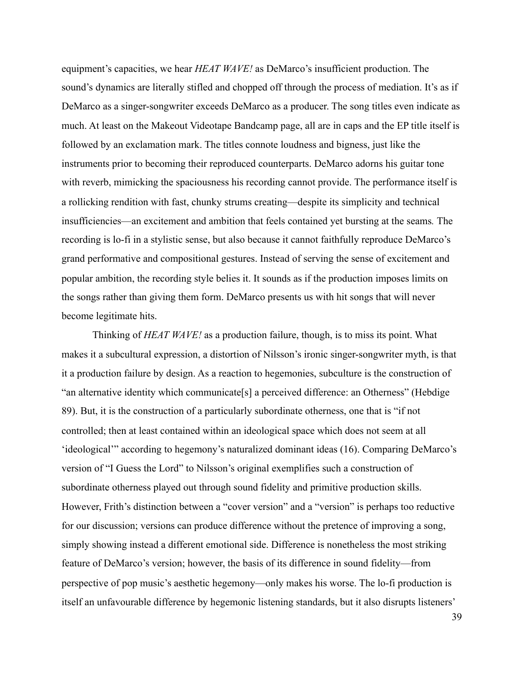equipment's capacities, we hear *HEAT WAVE!* as DeMarco's insufficient production. The sound's dynamics are literally stifled and chopped off through the process of mediation. It's as if DeMarco as a singer-songwriter exceeds DeMarco as a producer. The song titles even indicate as much. At least on the Makeout Videotape Bandcamp page, all are in caps and the EP title itself is followed by an exclamation mark. The titles connote loudness and bigness, just like the instruments prior to becoming their reproduced counterparts. DeMarco adorns his guitar tone with reverb, mimicking the spaciousness his recording cannot provide. The performance itself is a rollicking rendition with fast, chunky strums creating—despite its simplicity and technical insufficiencies—an excitement and ambition that feels contained yet bursting at the seams*.* The recording is lo-fi in a stylistic sense, but also because it cannot faithfully reproduce DeMarco's grand performative and compositional gestures. Instead of serving the sense of excitement and popular ambition, the recording style belies it. It sounds as if the production imposes limits on the songs rather than giving them form. DeMarco presents us with hit songs that will never become legitimate hits.

 Thinking of *HEAT WAVE!* as a production failure, though, is to miss its point. What makes it a subcultural expression, a distortion of Nilsson's ironic singer-songwriter myth, is that it a production failure by design. As a reaction to hegemonies, subculture is the construction of "an alternative identity which communicate[s] a perceived difference: an Otherness" (Hebdige 89). But, it is the construction of a particularly subordinate otherness, one that is "if not controlled; then at least contained within an ideological space which does not seem at all 'ideological'" according to hegemony's naturalized dominant ideas (16). Comparing DeMarco's version of "I Guess the Lord" to Nilsson's original exemplifies such a construction of subordinate otherness played out through sound fidelity and primitive production skills. However, Frith's distinction between a "cover version" and a "version" is perhaps too reductive for our discussion; versions can produce difference without the pretence of improving a song, simply showing instead a different emotional side. Difference is nonetheless the most striking feature of DeMarco's version; however, the basis of its difference in sound fidelity—from perspective of pop music's aesthetic hegemony—only makes his worse. The lo-fi production is itself an unfavourable difference by hegemonic listening standards, but it also disrupts listeners'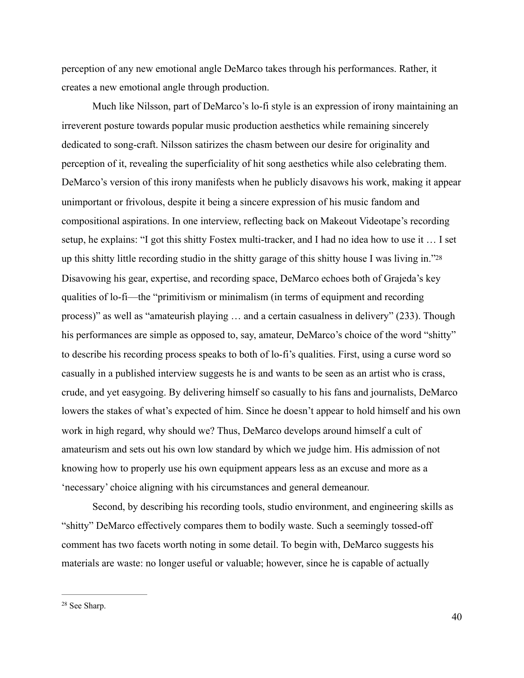perception of any new emotional angle DeMarco takes through his performances. Rather, it creates a new emotional angle through production.

<span id="page-47-1"></span> Much like Nilsson, part of DeMarco's lo-fi style is an expression of irony maintaining an irreverent posture towards popular music production aesthetics while remaining sincerely dedicated to song-craft. Nilsson satirizes the chasm between our desire for originality and perception of it, revealing the superficiality of hit song aesthetics while also celebrating them. DeMarco's version of this irony manifests when he publicly disavows his work, making it appear unimportant or frivolous, despite it being a sincere expression of his music fandom and compositional aspirations. In one interview, reflecting back on Makeout Videotape's recording setup, he explains: "I got this shitty Fostex multi-tracker, and I had no idea how to use it … I set up this shitty little recording studio in the shitty garage of this shitty house I was living in.["28](#page-47-0) Disavowing his gear, expertise, and recording space, DeMarco echoes both of Grajeda's key qualities of lo-fi—the "primitivism or minimalism (in terms of equipment and recording process)" as well as "amateurish playing … and a certain casualness in delivery" (233). Though his performances are simple as opposed to, say, amateur, DeMarco's choice of the word "shitty" to describe his recording process speaks to both of lo-fi's qualities. First, using a curse word so casually in a published interview suggests he is and wants to be seen as an artist who is crass, crude, and yet easygoing. By delivering himself so casually to his fans and journalists, DeMarco lowers the stakes of what's expected of him. Since he doesn't appear to hold himself and his own work in high regard, why should we? Thus, DeMarco develops around himself a cult of amateurism and sets out his own low standard by which we judge him. His admission of not knowing how to properly use his own equipment appears less as an excuse and more as a 'necessary' choice aligning with his circumstances and general demeanour.

 Second, by describing his recording tools, studio environment, and engineering skills as "shitty" DeMarco effectively compares them to bodily waste. Such a seemingly tossed-off comment has two facets worth noting in some detail. To begin with, DeMarco suggests his materials are waste: no longer useful or valuable; however, since he is capable of actually

<span id="page-47-0"></span><sup>&</sup>lt;sup>[28](#page-47-1)</sup> See Sharp.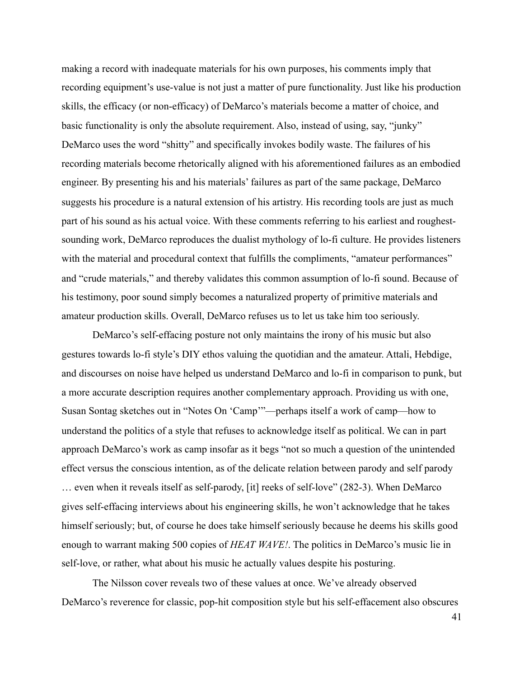making a record with inadequate materials for his own purposes, his comments imply that recording equipment's use-value is not just a matter of pure functionality. Just like his production skills, the efficacy (or non-efficacy) of DeMarco's materials become a matter of choice, and basic functionality is only the absolute requirement. Also, instead of using, say, "junky" DeMarco uses the word "shitty" and specifically invokes bodily waste. The failures of his recording materials become rhetorically aligned with his aforementioned failures as an embodied engineer. By presenting his and his materials' failures as part of the same package, DeMarco suggests his procedure is a natural extension of his artistry. His recording tools are just as much part of his sound as his actual voice. With these comments referring to his earliest and roughestsounding work, DeMarco reproduces the dualist mythology of lo-fi culture. He provides listeners with the material and procedural context that fulfills the compliments, "amateur performances" and "crude materials," and thereby validates this common assumption of lo-fi sound. Because of his testimony, poor sound simply becomes a naturalized property of primitive materials and amateur production skills. Overall, DeMarco refuses us to let us take him too seriously.

 DeMarco's self-effacing posture not only maintains the irony of his music but also gestures towards lo-fi style's DIY ethos valuing the quotidian and the amateur. Attali, Hebdige, and discourses on noise have helped us understand DeMarco and lo-fi in comparison to punk, but a more accurate description requires another complementary approach. Providing us with one, Susan Sontag sketches out in "Notes On 'Camp'"—perhaps itself a work of camp—how to understand the politics of a style that refuses to acknowledge itself as political. We can in part approach DeMarco's work as camp insofar as it begs "not so much a question of the unintended effect versus the conscious intention, as of the delicate relation between parody and self parody … even when it reveals itself as self-parody, [it] reeks of self-love" (282-3). When DeMarco gives self-effacing interviews about his engineering skills, he won't acknowledge that he takes himself seriously; but, of course he does take himself seriously because he deems his skills good enough to warrant making 500 copies of *HEAT WAVE!*. The politics in DeMarco's music lie in self-love, or rather, what about his music he actually values despite his posturing.

 The Nilsson cover reveals two of these values at once. We've already observed DeMarco's reverence for classic, pop-hit composition style but his self-effacement also obscures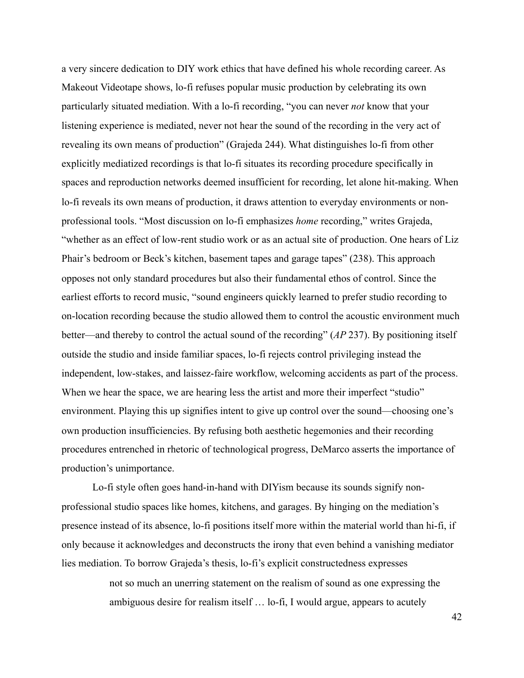a very sincere dedication to DIY work ethics that have defined his whole recording career. As Makeout Videotape shows, lo-fi refuses popular music production by celebrating its own particularly situated mediation. With a lo-fi recording, "you can never *not* know that your listening experience is mediated, never not hear the sound of the recording in the very act of revealing its own means of production" (Grajeda 244). What distinguishes lo-fi from other explicitly mediatized recordings is that lo-fi situates its recording procedure specifically in spaces and reproduction networks deemed insufficient for recording, let alone hit-making. When lo-fi reveals its own means of production, it draws attention to everyday environments or nonprofessional tools. "Most discussion on lo-fi emphasizes *home* recording," writes Grajeda, "whether as an effect of low-rent studio work or as an actual site of production. One hears of Liz Phair's bedroom or Beck's kitchen, basement tapes and garage tapes" (238). This approach opposes not only standard procedures but also their fundamental ethos of control. Since the earliest efforts to record music, "sound engineers quickly learned to prefer studio recording to on-location recording because the studio allowed them to control the acoustic environment much better—and thereby to control the actual sound of the recording" (*AP* 237). By positioning itself outside the studio and inside familiar spaces, lo-fi rejects control privileging instead the independent, low-stakes, and laissez-faire workflow, welcoming accidents as part of the process. When we hear the space, we are hearing less the artist and more their imperfect "studio" environment. Playing this up signifies intent to give up control over the sound—choosing one's own production insufficiencies. By refusing both aesthetic hegemonies and their recording procedures entrenched in rhetoric of technological progress, DeMarco asserts the importance of production's unimportance.

 Lo-fi style often goes hand-in-hand with DIYism because its sounds signify nonprofessional studio spaces like homes, kitchens, and garages. By hinging on the mediation's presence instead of its absence, lo-fi positions itself more within the material world than hi-fi, if only because it acknowledges and deconstructs the irony that even behind a vanishing mediator lies mediation. To borrow Grajeda's thesis, lo-fi's explicit constructedness expresses

> not so much an unerring statement on the realism of sound as one expressing the ambiguous desire for realism itself … lo-fi, I would argue, appears to acutely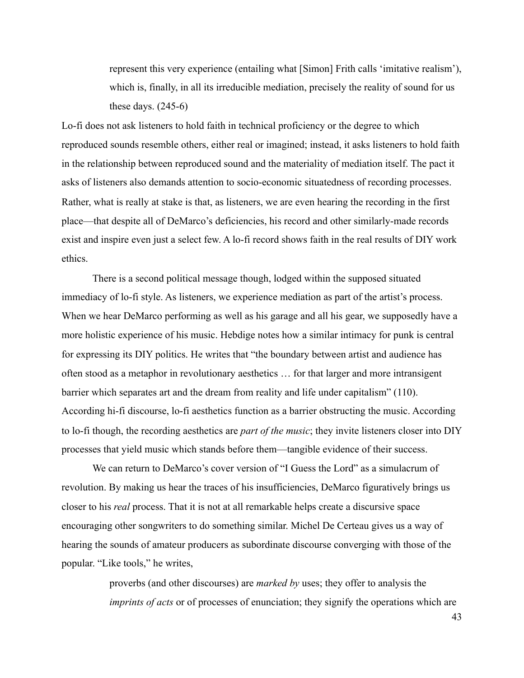represent this very experience (entailing what [Simon] Frith calls 'imitative realism'), which is, finally, in all its irreducible mediation, precisely the reality of sound for us these days.  $(245-6)$ 

Lo-fi does not ask listeners to hold faith in technical proficiency or the degree to which reproduced sounds resemble others, either real or imagined; instead, it asks listeners to hold faith in the relationship between reproduced sound and the materiality of mediation itself. The pact it asks of listeners also demands attention to socio-economic situatedness of recording processes. Rather, what is really at stake is that, as listeners, we are even hearing the recording in the first place—that despite all of DeMarco's deficiencies, his record and other similarly-made records exist and inspire even just a select few. A lo-fi record shows faith in the real results of DIY work ethics.

 There is a second political message though, lodged within the supposed situated immediacy of lo-fi style. As listeners, we experience mediation as part of the artist's process. When we hear DeMarco performing as well as his garage and all his gear, we supposedly have a more holistic experience of his music. Hebdige notes how a similar intimacy for punk is central for expressing its DIY politics. He writes that "the boundary between artist and audience has often stood as a metaphor in revolutionary aesthetics … for that larger and more intransigent barrier which separates art and the dream from reality and life under capitalism" (110). According hi-fi discourse, lo-fi aesthetics function as a barrier obstructing the music. According to lo-fi though, the recording aesthetics are *part of the music*; they invite listeners closer into DIY processes that yield music which stands before them—tangible evidence of their success.

 We can return to DeMarco's cover version of "I Guess the Lord" as a simulacrum of revolution. By making us hear the traces of his insufficiencies, DeMarco figuratively brings us closer to his *real* process. That it is not at all remarkable helps create a discursive space encouraging other songwriters to do something similar. Michel De Certeau gives us a way of hearing the sounds of amateur producers as subordinate discourse converging with those of the popular. "Like tools," he writes,

> proverbs (and other discourses) are *marked by* uses; they offer to analysis the *imprints of acts* or of processes of enunciation; they signify the operations which are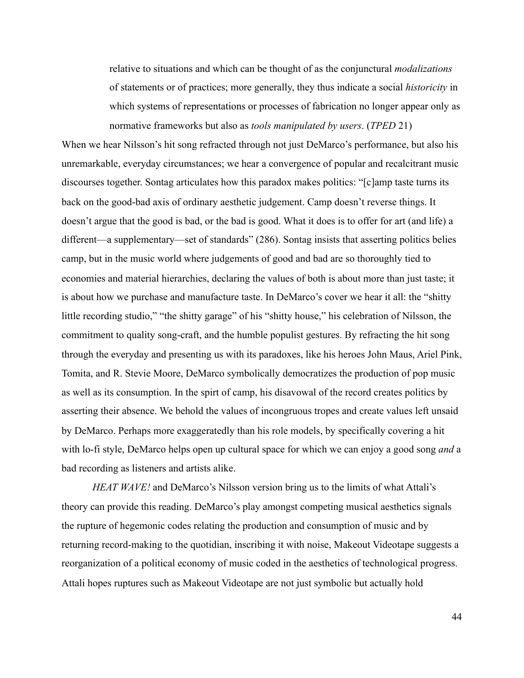relative to situations and which can be thought of as the conjunctural *modalizations*  of statements or of practices; more generally, they thus indicate a social *historicity* in which systems of representations or processes of fabrication no longer appear only as normative frameworks but also as *tools manipulated by users*. (*TPED* 21)

When we hear Nilsson's hit song refracted through not just DeMarco's performance, but also his unremarkable, everyday circumstances; we hear a convergence of popular and recalcitrant music discourses together. Sontag articulates how this paradox makes politics: "[c]amp taste turns its back on the good-bad axis of ordinary aesthetic judgement. Camp doesn't reverse things. It doesn't argue that the good is bad, or the bad is good. What it does is to offer for art (and life) a different—a supplementary—set of standards" (286). Sontag insists that asserting politics belies camp, but in the music world where judgements of good and bad are so thoroughly tied to economies and material hierarchies, declaring the values of both is about more than just taste; it is about how we purchase and manufacture taste. In DeMarco's cover we hear it all: the "shitty little recording studio," "the shitty garage" of his "shitty house," his celebration of Nilsson, the commitment to quality song-craft, and the humble populist gestures. By refracting the hit song through the everyday and presenting us with its paradoxes, like his heroes John Maus, Ariel Pink, Tomita, and R. Stevie Moore, DeMarco symbolically democratizes the production of pop music as well as its consumption. In the spirt of camp, his disavowal of the record creates politics by asserting their absence. We behold the values of incongruous tropes and create values left unsaid by DeMarco. Perhaps more exaggeratedly than his role models, by specifically covering a hit with lo-fi style, DeMarco helps open up cultural space for which we can enjoy a good song *and* a bad recording as listeners and artists alike.

*HEAT WAVE!* and DeMarco's Nilsson version bring us to the limits of what Attali's theory can provide this reading. DeMarco's play amongst competing musical aesthetics signals the rupture of hegemonic codes relating the production and consumption of music and by returning record-making to the quotidian, inscribing it with noise, Makeout Videotape suggests a reorganization of a political economy of music coded in the aesthetics of technological progress. Attali hopes ruptures such as Makeout Videotape are not just symbolic but actually hold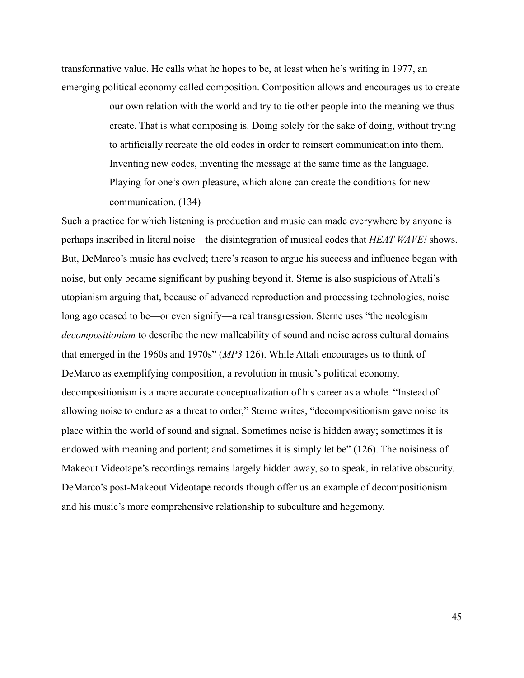transformative value. He calls what he hopes to be, at least when he's writing in 1977, an emerging political economy called composition. Composition allows and encourages us to create

> our own relation with the world and try to tie other people into the meaning we thus create. That is what composing is. Doing solely for the sake of doing, without trying to artificially recreate the old codes in order to reinsert communication into them. Inventing new codes, inventing the message at the same time as the language. Playing for one's own pleasure, which alone can create the conditions for new communication. (134)

Such a practice for which listening is production and music can made everywhere by anyone is perhaps inscribed in literal noise—the disintegration of musical codes that *HEAT WAVE!* shows. But, DeMarco's music has evolved; there's reason to argue his success and influence began with noise, but only became significant by pushing beyond it. Sterne is also suspicious of Attali's utopianism arguing that, because of advanced reproduction and processing technologies, noise long ago ceased to be—or even signify—a real transgression. Sterne uses "the neologism *decompositionism* to describe the new malleability of sound and noise across cultural domains that emerged in the 1960s and 1970s" (*MP3* 126). While Attali encourages us to think of DeMarco as exemplifying composition, a revolution in music's political economy, decompositionism is a more accurate conceptualization of his career as a whole. "Instead of allowing noise to endure as a threat to order," Sterne writes, "decompositionism gave noise its place within the world of sound and signal. Sometimes noise is hidden away; sometimes it is endowed with meaning and portent; and sometimes it is simply let be" (126). The noisiness of Makeout Videotape's recordings remains largely hidden away, so to speak, in relative obscurity. DeMarco's post-Makeout Videotape records though offer us an example of decompositionism and his music's more comprehensive relationship to subculture and hegemony.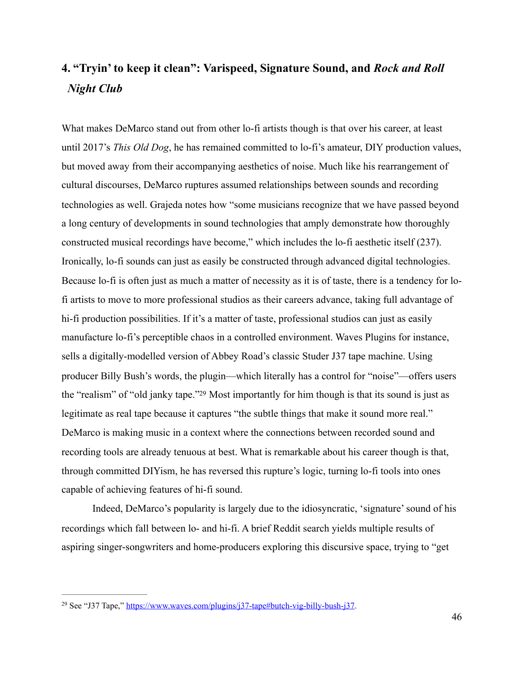# <span id="page-53-0"></span>**4. "Tryin' to keep it clean": Varispeed, Signature Sound, and** *Rock and Roll Night Club*

What makes DeMarco stand out from other lo-fi artists though is that over his career, at least until 2017's *This Old Dog*, he has remained committed to lo-fi's amateur, DIY production values, but moved away from their accompanying aesthetics of noise. Much like his rearrangement of cultural discourses, DeMarco ruptures assumed relationships between sounds and recording technologies as well. Grajeda notes how "some musicians recognize that we have passed beyond a long century of developments in sound technologies that amply demonstrate how thoroughly constructed musical recordings have become," which includes the lo-fi aesthetic itself (237). Ironically, lo-fi sounds can just as easily be constructed through advanced digital technologies. Because lo-fi is often just as much a matter of necessity as it is of taste, there is a tendency for lofi artists to move to more professional studios as their careers advance, taking full advantage of hi-fi production possibilities. If it's a matter of taste, professional studios can just as easily manufacture lo-fi's perceptible chaos in a controlled environment. Waves Plugins for instance, sells a digitally-modelled version of Abbey Road's classic Studer J37 tape machine. Using producer Billy Bush's words, the plugin—which literally has a control for "noise"—offers users the ["](#page-53-1)realism" of "old janky tape."<sup>[29](#page-53-1)</sup> Most importantly for him though is that its sound is just as legitimate as real tape because it captures "the subtle things that make it sound more real." DeMarco is making music in a context where the connections between recorded sound and recording tools are already tenuous at best. What is remarkable about his career though is that, through committed DIYism, he has reversed this rupture's logic, turning lo-fi tools into ones capable of achieving features of hi-fi sound.

<span id="page-53-2"></span> Indeed, DeMarco's popularity is largely due to the idiosyncratic, 'signature' sound of his recordings which fall between lo- and hi-fi. A brief Reddit search yields multiple results of aspiring singer-songwriters and home-producers exploring this discursive space, trying to "get

<span id="page-53-1"></span><sup>&</sup>lt;sup>29</sup> See "J37 Tape," [https://www.waves.com/plugins/j37-tape#butch-vig-billy-bush-j37.](https://www.waves.com/plugins/j37-tape#butch-vig-billy-bush-j37)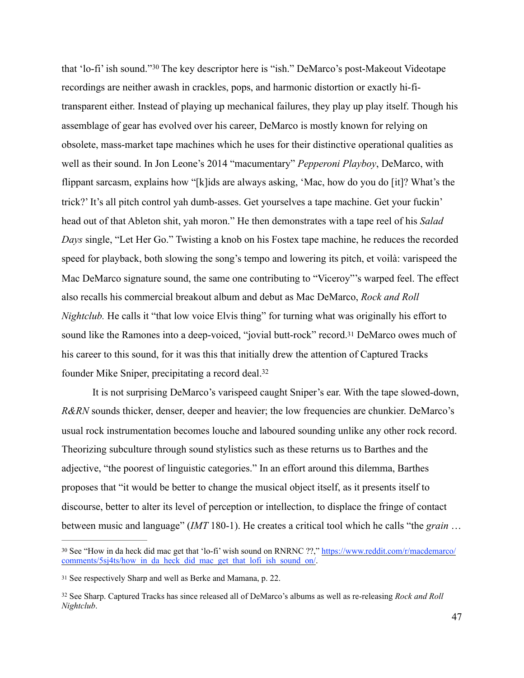<span id="page-54-3"></span>that'lo-fi' ish sound."<sup>[30](#page-54-0)</sup> The key descriptor here is "ish." DeMarco's post-Makeout Videotape recordings are neither awash in crackles, pops, and harmonic distortion or exactly hi-fitransparent either. Instead of playing up mechanical failures, they play up play itself. Though his assemblage of gear has evolved over his career, DeMarco is mostly known for relying on obsolete, mass-market tape machines which he uses for their distinctive operational qualities as well as their sound. In Jon Leone's 2014 "macumentary" *Pepperoni Playboy*, DeMarco, with flippant sarcasm, explains how "[k]ids are always asking, 'Mac, how do you do [it]? What's the trick?' It's all pitch control yah dumb-asses. Get yourselves a tape machine. Get your fuckin' head out of that Ableton shit, yah moron." He then demonstrates with a tape reel of his *Salad Days* single, "Let Her Go." Twisting a knob on his Fostex tape machine, he reduces the recorded speed for playback, both slowing the song's tempo and lowering its pitch, et voilà: varispeed the Mac DeMarco signature sound, the same one contributing to "Viceroy"'s warped feel. The effect also recalls his commercial breakout album and debut as Mac DeMarco, *Rock and Roll Nightclub.* He calls it "that low voice Elvis thing" for turning what was originally his effort to sound like the Ramones into a deep-voiced, "jovial butt-rock" record[.31](#page-54-1) DeMarco owes much of his career to this sound, for it was this that initially drew the attention of Captured Tracks founder Mike Sniper, precipitating a record deal[.32](#page-54-2)

<span id="page-54-5"></span><span id="page-54-4"></span> It is not surprising DeMarco's varispeed caught Sniper's ear. With the tape slowed-down, *R&RN* sounds thicker, denser, deeper and heavier; the low frequencies are chunkier. DeMarco's usual rock instrumentation becomes louche and laboured sounding unlike any other rock record. Theorizing subculture through sound stylistics such as these returns us to Barthes and the adjective, "the poorest of linguistic categories." In an effort around this dilemma, Barthes proposes that "it would be better to change the musical object itself, as it presents itself to discourse, better to alter its level of perception or intellection, to displace the fringe of contact between music and language" (*IMT* 180-1). He creates a critical tool which he calls "the *grain* …

<span id="page-54-0"></span><sup>30</sup> See "How in da heck did mac get that 'lo-fi' wish sound on RNRNC ??," [https://www.reddit.com/r/macdemarco/](https://www.reddit.com/r/macdemarco/comments/5sj4ts/how_in_da_heck_did_mac_get_that_lofi_ish_sound_on/) comments/5sj4ts/how in da\_heck\_did\_mac\_get\_that\_lofi\_ish\_sound\_on/.

<span id="page-54-1"></span><sup>&</sup>lt;sup>[31](#page-54-4)</sup> See respectively Sharp and well as Berke and Mamana, p. 22.

<span id="page-54-2"></span>See Sharp. Captured Tracks has since released all of DeMarco's albums as well as re-releasing *Rock and Roll* [32](#page-54-5) *Nightclub*.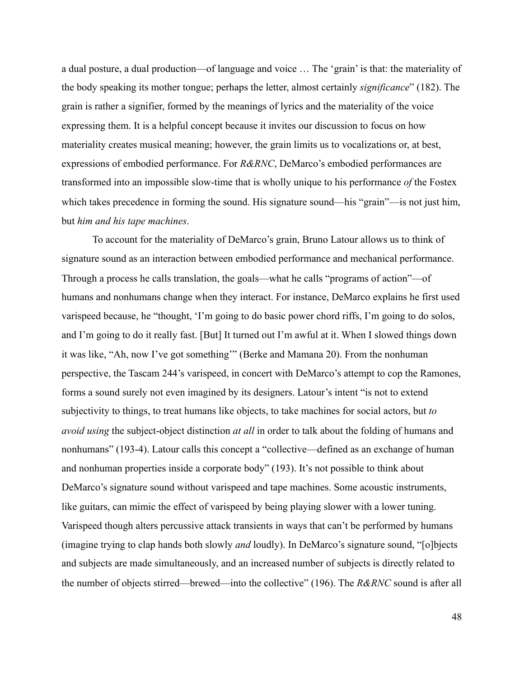a dual posture, a dual production—of language and voice … The 'grain' is that: the materiality of the body speaking its mother tongue; perhaps the letter, almost certainly *significance*" (182). The grain is rather a signifier, formed by the meanings of lyrics and the materiality of the voice expressing them. It is a helpful concept because it invites our discussion to focus on how materiality creates musical meaning; however, the grain limits us to vocalizations or, at best, expressions of embodied performance. For *R&RNC*, DeMarco's embodied performances are transformed into an impossible slow-time that is wholly unique to his performance *of* the Fostex which takes precedence in forming the sound. His signature sound—his "grain"—is not just him, but *him and his tape machines*.

 To account for the materiality of DeMarco's grain, Bruno Latour allows us to think of signature sound as an interaction between embodied performance and mechanical performance. Through a process he calls translation, the goals—what he calls "programs of action"—of humans and nonhumans change when they interact. For instance, DeMarco explains he first used varispeed because, he "thought, 'I'm going to do basic power chord riffs, I'm going to do solos, and I'm going to do it really fast. [But] It turned out I'm awful at it. When I slowed things down it was like, "Ah, now I've got something'" (Berke and Mamana 20). From the nonhuman perspective, the Tascam 244's varispeed, in concert with DeMarco's attempt to cop the Ramones, forms a sound surely not even imagined by its designers. Latour's intent "is not to extend subjectivity to things, to treat humans like objects, to take machines for social actors, but *to avoid using* the subject-object distinction *at all* in order to talk about the folding of humans and nonhumans" (193-4). Latour calls this concept a "collective—defined as an exchange of human and nonhuman properties inside a corporate body" (193). It's not possible to think about DeMarco's signature sound without varispeed and tape machines. Some acoustic instruments, like guitars, can mimic the effect of varispeed by being playing slower with a lower tuning. Varispeed though alters percussive attack transients in ways that can't be performed by humans (imagine trying to clap hands both slowly *and* loudly). In DeMarco's signature sound, "[o]bjects and subjects are made simultaneously, and an increased number of subjects is directly related to the number of objects stirred—brewed—into the collective" (196). The *R&RNC* sound is after all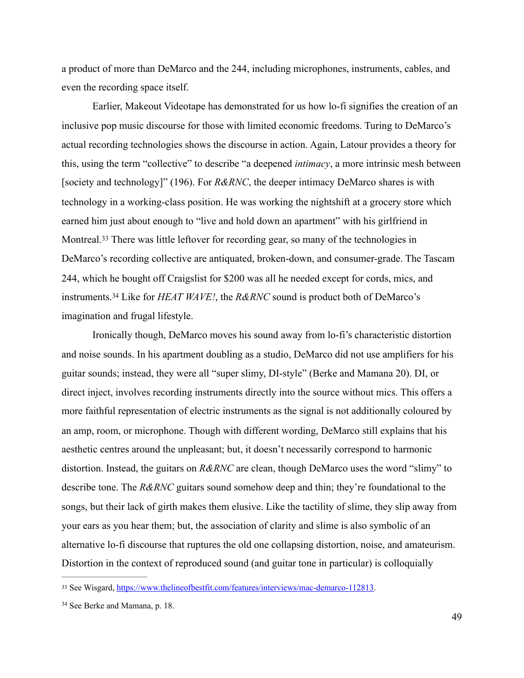a product of more than DeMarco and the 244, including microphones, instruments, cables, and even the recording space itself.

 Earlier, Makeout Videotape has demonstrated for us how lo-fi signifies the creation of an inclusive pop music discourse for those with limited economic freedoms. Turing to DeMarco's actual recording technologies shows the discourse in action. Again, Latour provides a theory for this, using the term "collective" to describe "a deepened *intimacy*, a more intrinsic mesh between [society and technology]" (196). For *R&RNC*, the deeper intimacy DeMarco shares is with technology in a working-class position. He was working the nightshift at a grocery store which earned him just about enough to "live and hold down an apartment" with his girlfriend in Montreal.<sup>[33](#page-56-0)</sup> There was little leftover for recording gear, so many of the technologies in DeMarco's recording collective are antiquated, broken-down, and consumer-grade. The Tascam 244, which he bought off Craigslist for \$200 was all he needed except for cords, mics, and instruments.<sup>34</sup>Like for *HEAT WAVE!*, the *R&RNC* sound is product both of DeMarco's imagination and frugal lifestyle.

<span id="page-56-3"></span><span id="page-56-2"></span> Ironically though, DeMarco moves his sound away from lo-fi's characteristic distortion and noise sounds. In his apartment doubling as a studio, DeMarco did not use amplifiers for his guitar sounds; instead, they were all "super slimy, DI-style" (Berke and Mamana 20). DI, or direct inject, involves recording instruments directly into the source without mics. This offers a more faithful representation of electric instruments as the signal is not additionally coloured by an amp, room, or microphone. Though with different wording, DeMarco still explains that his aesthetic centres around the unpleasant; but, it doesn't necessarily correspond to harmonic distortion. Instead, the guitars on *R&RNC* are clean, though DeMarco uses the word "slimy" to describe tone. The *R&RNC* guitars sound somehow deep and thin; they're foundational to the songs, but their lack of girth makes them elusive. Like the tactility of slime, they slip away from your ears as you hear them; but, the association of clarity and slime is also symbolic of an alternative lo-fi discourse that ruptures the old one collapsing distortion, noise, and amateurism. Distortion in the context of reproduced sound (and guitar tone in particular) is colloquially

<span id="page-56-0"></span><sup>33</sup> See Wisgard, [https://www.thelineofbestfit.com/features/interviews/mac-demarco-112813.](https://www.thelineofbestfit.com/features/interviews/mac-demarco-112813)

<span id="page-56-1"></span><sup>&</sup>lt;sup>[34](#page-56-3)</sup> See Berke and Mamana, p. 18.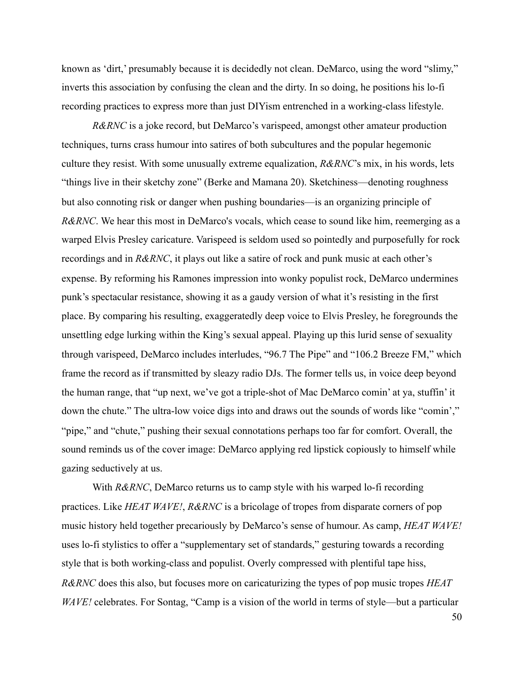known as 'dirt,' presumably because it is decidedly not clean. DeMarco, using the word "slimy," inverts this association by confusing the clean and the dirty. In so doing, he positions his lo-fi recording practices to express more than just DIYism entrenched in a working-class lifestyle.

*R&RNC* is a joke record, but DeMarco's varispeed, amongst other amateur production techniques, turns crass humour into satires of both subcultures and the popular hegemonic culture they resist. With some unusually extreme equalization, *R&RNC*'s mix, in his words, lets "things live in their sketchy zone" (Berke and Mamana 20). Sketchiness—denoting roughness but also connoting risk or danger when pushing boundaries—is an organizing principle of *R&RNC*. We hear this most in DeMarco's vocals, which cease to sound like him, reemerging as a warped Elvis Presley caricature. Varispeed is seldom used so pointedly and purposefully for rock recordings and in *R&RNC*, it plays out like a satire of rock and punk music at each other's expense. By reforming his Ramones impression into wonky populist rock, DeMarco undermines punk's spectacular resistance, showing it as a gaudy version of what it's resisting in the first place. By comparing his resulting, exaggeratedly deep voice to Elvis Presley, he foregrounds the unsettling edge lurking within the King's sexual appeal. Playing up this lurid sense of sexuality through varispeed, DeMarco includes interludes, "96.7 The Pipe" and "106.2 Breeze FM," which frame the record as if transmitted by sleazy radio DJs. The former tells us, in voice deep beyond the human range, that "up next, we've got a triple-shot of Mac DeMarco comin' at ya, stuffin' it down the chute." The ultra-low voice digs into and draws out the sounds of words like "comin'," "pipe," and "chute," pushing their sexual connotations perhaps too far for comfort. Overall, the sound reminds us of the cover image: DeMarco applying red lipstick copiously to himself while gazing seductively at us.

With *R&RNC*, DeMarco returns us to camp style with his warped lo-fi recording practices. Like *HEAT WAVE!*, *R&RNC* is a bricolage of tropes from disparate corners of pop music history held together precariously by DeMarco's sense of humour. As camp, *HEAT WAVE!*  uses lo-fi stylistics to offer a "supplementary set of standards," gesturing towards a recording style that is both working-class and populist. Overly compressed with plentiful tape hiss, *R&RNC* does this also, but focuses more on caricaturizing the types of pop music tropes *HEAT WAVE!* celebrates. For Sontag, "Camp is a vision of the world in terms of style—but a particular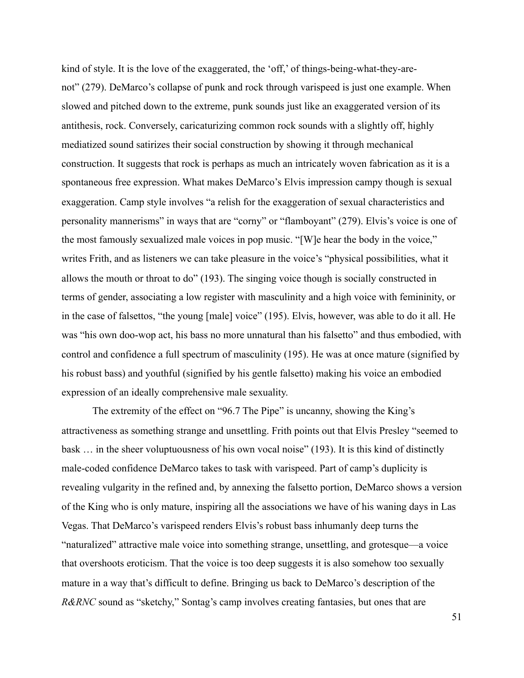kind of style. It is the love of the exaggerated, the 'off,' of things-being-what-they-arenot" (279). DeMarco's collapse of punk and rock through varispeed is just one example. When slowed and pitched down to the extreme, punk sounds just like an exaggerated version of its antithesis, rock. Conversely, caricaturizing common rock sounds with a slightly off, highly mediatized sound satirizes their social construction by showing it through mechanical construction. It suggests that rock is perhaps as much an intricately woven fabrication as it is a spontaneous free expression. What makes DeMarco's Elvis impression campy though is sexual exaggeration. Camp style involves "a relish for the exaggeration of sexual characteristics and personality mannerisms" in ways that are "corny" or "flamboyant" (279). Elvis's voice is one of the most famously sexualized male voices in pop music. "[W]e hear the body in the voice," writes Frith, and as listeners we can take pleasure in the voice's "physical possibilities, what it allows the mouth or throat to do" (193). The singing voice though is socially constructed in terms of gender, associating a low register with masculinity and a high voice with femininity, or in the case of falsettos, "the young [male] voice" (195). Elvis, however, was able to do it all. He was "his own doo-wop act, his bass no more unnatural than his falsetto" and thus embodied, with control and confidence a full spectrum of masculinity (195). He was at once mature (signified by his robust bass) and youthful (signified by his gentle falsetto) making his voice an embodied expression of an ideally comprehensive male sexuality.

 The extremity of the effect on "96.7 The Pipe" is uncanny, showing the King's attractiveness as something strange and unsettling. Frith points out that Elvis Presley "seemed to bask … in the sheer voluptuousness of his own vocal noise" (193). It is this kind of distinctly male-coded confidence DeMarco takes to task with varispeed. Part of camp's duplicity is revealing vulgarity in the refined and, by annexing the falsetto portion, DeMarco shows a version of the King who is only mature, inspiring all the associations we have of his waning days in Las Vegas. That DeMarco's varispeed renders Elvis's robust bass inhumanly deep turns the "naturalized" attractive male voice into something strange, unsettling, and grotesque—a voice that overshoots eroticism. That the voice is too deep suggests it is also somehow too sexually mature in a way that's difficult to define. Bringing us back to DeMarco's description of the *R&RNC* sound as "sketchy," Sontag's camp involves creating fantasies, but ones that are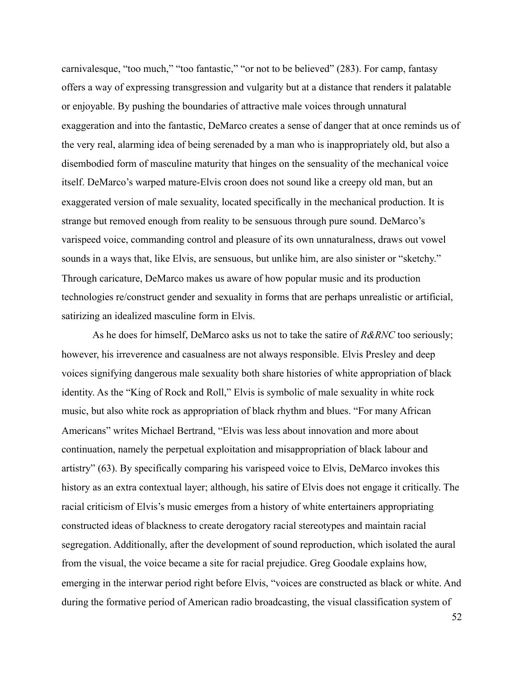carnivalesque, "too much," "too fantastic," "or not to be believed" (283). For camp, fantasy offers a way of expressing transgression and vulgarity but at a distance that renders it palatable or enjoyable. By pushing the boundaries of attractive male voices through unnatural exaggeration and into the fantastic, DeMarco creates a sense of danger that at once reminds us of the very real, alarming idea of being serenaded by a man who is inappropriately old, but also a disembodied form of masculine maturity that hinges on the sensuality of the mechanical voice itself. DeMarco's warped mature-Elvis croon does not sound like a creepy old man, but an exaggerated version of male sexuality, located specifically in the mechanical production. It is strange but removed enough from reality to be sensuous through pure sound. DeMarco's varispeed voice, commanding control and pleasure of its own unnaturalness, draws out vowel sounds in a ways that, like Elvis, are sensuous, but unlike him, are also sinister or "sketchy." Through caricature, DeMarco makes us aware of how popular music and its production technologies re/construct gender and sexuality in forms that are perhaps unrealistic or artificial, satirizing an idealized masculine form in Elvis.

 As he does for himself, DeMarco asks us not to take the satire of *R&RNC* too seriously; however, his irreverence and casualness are not always responsible. Elvis Presley and deep voices signifying dangerous male sexuality both share histories of white appropriation of black identity. As the "King of Rock and Roll," Elvis is symbolic of male sexuality in white rock music, but also white rock as appropriation of black rhythm and blues. "For many African Americans" writes Michael Bertrand, "Elvis was less about innovation and more about continuation, namely the perpetual exploitation and misappropriation of black labour and artistry" (63). By specifically comparing his varispeed voice to Elvis, DeMarco invokes this history as an extra contextual layer; although, his satire of Elvis does not engage it critically. The racial criticism of Elvis's music emerges from a history of white entertainers appropriating constructed ideas of blackness to create derogatory racial stereotypes and maintain racial segregation. Additionally, after the development of sound reproduction, which isolated the aural from the visual, the voice became a site for racial prejudice. Greg Goodale explains how, emerging in the interwar period right before Elvis, "voices are constructed as black or white. And during the formative period of American radio broadcasting, the visual classification system of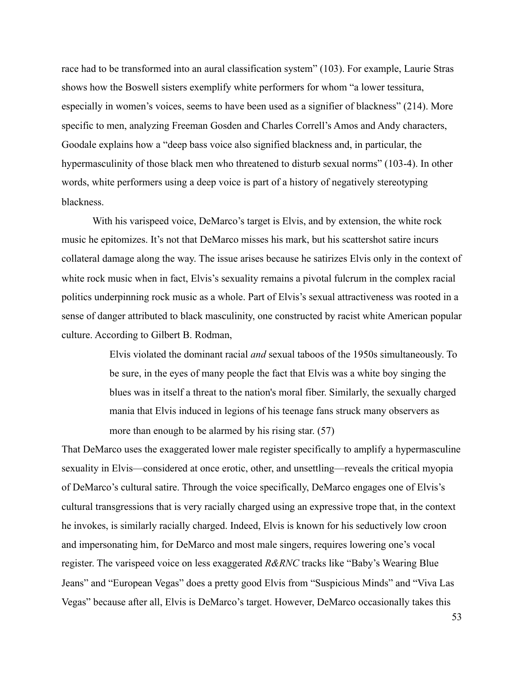race had to be transformed into an aural classification system" (103). For example, Laurie Stras shows how the Boswell sisters exemplify white performers for whom "a lower tessitura, especially in women's voices, seems to have been used as a signifier of blackness" (214). More specific to men, analyzing Freeman Gosden and Charles Correll's Amos and Andy characters, Goodale explains how a "deep bass voice also signified blackness and, in particular, the hypermasculinity of those black men who threatened to disturb sexual norms" (103-4). In other words, white performers using a deep voice is part of a history of negatively stereotyping blackness.

 With his varispeed voice, DeMarco's target is Elvis, and by extension, the white rock music he epitomizes. It's not that DeMarco misses his mark, but his scattershot satire incurs collateral damage along the way. The issue arises because he satirizes Elvis only in the context of white rock music when in fact, Elvis's sexuality remains a pivotal fulcrum in the complex racial politics underpinning rock music as a whole. Part of Elvis's sexual attractiveness was rooted in a sense of danger attributed to black masculinity, one constructed by racist white American popular culture. According to Gilbert B. Rodman,

> Elvis violated the dominant racial *and* sexual taboos of the 1950s simultaneously. To be sure, in the eyes of many people the fact that Elvis was a white boy singing the blues was in itself a threat to the nation's moral fiber. Similarly, the sexually charged mania that Elvis induced in legions of his teenage fans struck many observers as more than enough to be alarmed by his rising star. (57)

That DeMarco uses the exaggerated lower male register specifically to amplify a hypermasculine sexuality in Elvis—considered at once erotic, other, and unsettling—reveals the critical myopia of DeMarco's cultural satire. Through the voice specifically, DeMarco engages one of Elvis's cultural transgressions that is very racially charged using an expressive trope that, in the context he invokes, is similarly racially charged. Indeed, Elvis is known for his seductively low croon and impersonating him, for DeMarco and most male singers, requires lowering one's vocal register. The varispeed voice on less exaggerated *R&RNC* tracks like "Baby's Wearing Blue Jeans" and "European Vegas" does a pretty good Elvis from "Suspicious Minds" and "Viva Las Vegas" because after all, Elvis is DeMarco's target. However, DeMarco occasionally takes this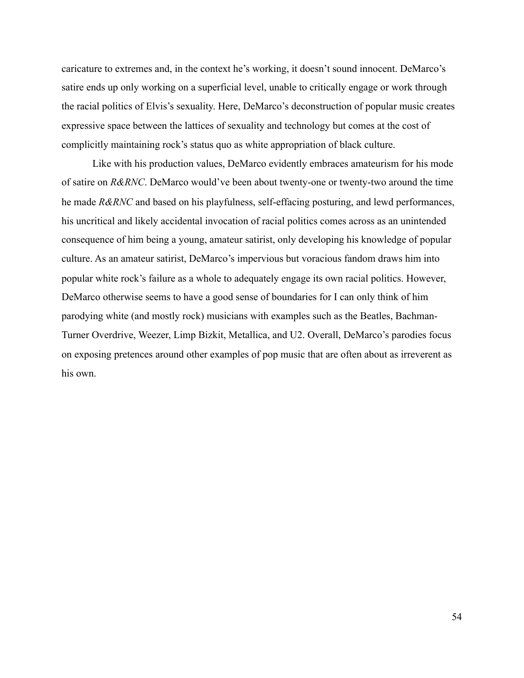caricature to extremes and, in the context he's working, it doesn't sound innocent. DeMarco's satire ends up only working on a superficial level, unable to critically engage or work through the racial politics of Elvis's sexuality. Here, DeMarco's deconstruction of popular music creates expressive space between the lattices of sexuality and technology but comes at the cost of complicitly maintaining rock's status quo as white appropriation of black culture.

 Like with his production values, DeMarco evidently embraces amateurism for his mode of satire on *R&RNC*. DeMarco would've been about twenty-one or twenty-two around the time he made *R&RNC* and based on his playfulness, self-effacing posturing, and lewd performances, his uncritical and likely accidental invocation of racial politics comes across as an unintended consequence of him being a young, amateur satirist, only developing his knowledge of popular culture. As an amateur satirist, DeMarco's impervious but voracious fandom draws him into popular white rock's failure as a whole to adequately engage its own racial politics. However, DeMarco otherwise seems to have a good sense of boundaries for I can only think of him parodying white (and mostly rock) musicians with examples such as the Beatles, Bachman-Turner Overdrive, Weezer, Limp Bizkit, Metallica, and U2. Overall, DeMarco's parodies focus on exposing pretences around other examples of pop music that are often about as irreverent as his own.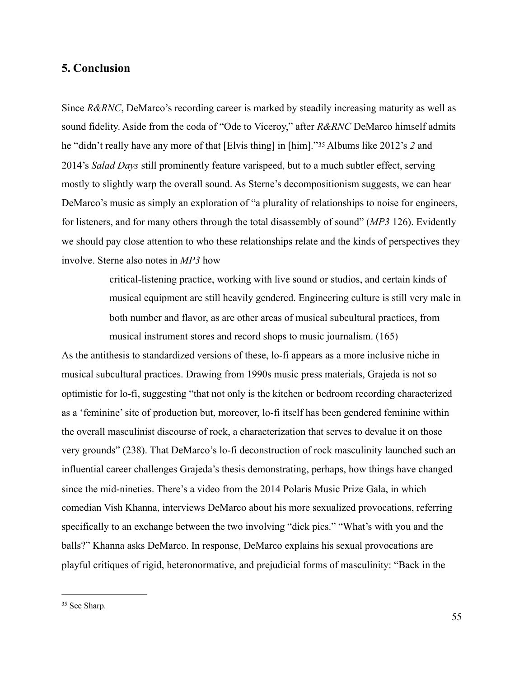### <span id="page-62-0"></span>**5. Conclusion**

Since *R&RNC*, DeMarco's recording career is marked by steadily increasing maturity as well as sound fidelity. Aside from the coda of "Ode to Viceroy," after *R&RNC* DeMarco himself admits he "didn't really have any more of that [Elvis thing] in [him]."[35](#page-62-1) Albums like 2012's *2* and 2014's *Salad Days* still prominently feature varispeed, but to a much subtler effect, serving mostly to slightly warp the overall sound. As Sterne's decompositionism suggests, we can hear DeMarco's music as simply an exploration of "a plurality of relationships to noise for engineers, for listeners, and for many others through the total disassembly of sound" (*MP3* 126). Evidently we should pay close attention to who these relationships relate and the kinds of perspectives they involve. Sterne also notes in *MP3* how

> <span id="page-62-2"></span>critical-listening practice, working with live sound or studios, and certain kinds of musical equipment are still heavily gendered. Engineering culture is still very male in both number and flavor, as are other areas of musical subcultural practices, from musical instrument stores and record shops to music journalism. (165)

As the antithesis to standardized versions of these, lo-fi appears as a more inclusive niche in musical subcultural practices. Drawing from 1990s music press materials, Grajeda is not so optimistic for lo-fi, suggesting "that not only is the kitchen or bedroom recording characterized as a 'feminine' site of production but, moreover, lo-fi itself has been gendered feminine within the overall masculinist discourse of rock, a characterization that serves to devalue it on those very grounds" (238). That DeMarco's lo-fi deconstruction of rock masculinity launched such an influential career challenges Grajeda's thesis demonstrating, perhaps, how things have changed since the mid-nineties. There's a video from the 2014 Polaris Music Prize Gala, in which comedian Vish Khanna, interviews DeMarco about his more sexualized provocations, referring specifically to an exchange between the two involving "dick pics." "What's with you and the balls?" Khanna asks DeMarco. In response, DeMarco explains his sexual provocations are playful critiques of rigid, heteronormative, and prejudicial forms of masculinity: "Back in the

<span id="page-62-1"></span><sup>&</sup>lt;sup>[35](#page-62-2)</sup> See Sharp.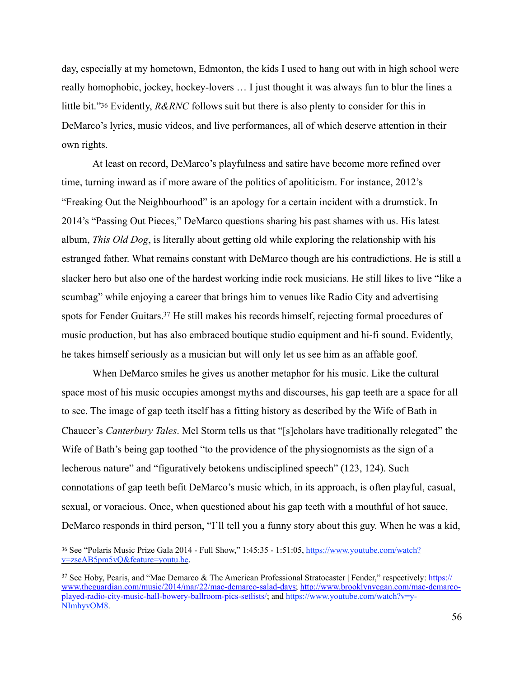<span id="page-63-2"></span>day, especially at my hometown, Edmonton, the kids I used to hang out with in high school were really homophobic, jockey, hockey-lovers … I just thought it was always fun to blur the lines a little bit."[36](#page-63-0) Evidently, *R&RNC* follows suit but there is also plenty to consider for this in DeMarco's lyrics, music videos, and live performances, all of which deserve attention in their own rights.

 At least on record, DeMarco's playfulness and satire have become more refined over time, turning inward as if more aware of the politics of apoliticism. For instance, 2012's "Freaking Out the Neighbourhood" is an apology for a certain incident with a drumstick. In 2014's "Passing Out Pieces," DeMarco questions sharing his past shames with us. His latest album, *This Old Dog*, is literally about getting old while exploring the relationship with his estranged father. What remains constant with DeMarco though are his contradictions. He is still a slacker hero but also one of the hardest working indie rock musicians. He still likes to live "like a scumbag" while enjoying a career that brings him to venues like Radio City and advertising spots for Fender Guitars[.](#page-63-1)<sup>[37](#page-63-1)</sup> He still makes his records himself, rejecting formal procedures of music production, but has also embraced boutique studio equipment and hi-fi sound. Evidently, he takes himself seriously as a musician but will only let us see him as an affable goof.

<span id="page-63-3"></span> When DeMarco smiles he gives us another metaphor for his music. Like the cultural space most of his music occupies amongst myths and discourses, his gap teeth are a space for all to see. The image of gap teeth itself has a fitting history as described by the Wife of Bath in Chaucer's *Canterbury Tales*. Mel Storm tells us that "[s]cholars have traditionally relegated" the Wife of Bath's being gap toothed "to the providence of the physiognomists as the sign of a lecherous nature" and "figuratively betokens undisciplined speech" (123, 124). Such connotations of gap teeth befit DeMarco's music which, in its approach, is often playful, casual, sexual, or voracious. Once, when questioned about his gap teeth with a mouthful of hot sauce, DeMarco responds in third person, "I'll tell you a funny story about this guy. When he was a kid,

<span id="page-63-0"></span>[<sup>36</sup>](#page-63-2) See "Polaris Music Prize Gala 2014 - Full Show," 1:45:35 - 1:51:05, [https://www.youtube.com/watch?](https://www.youtube.com/watch?v=zseAB5pm5vQ&feature=youtu.be) [v=zseAB5pm5vQ&feature=youtu.be](https://www.youtube.com/watch?v=zseAB5pm5vQ&feature=youtu.be).

<span id="page-63-1"></span><sup>&</sup>lt;sup>37</sup> See Hoby, Pearis, and "Mac Demarco & The American Professional Stratocaster | Fender," respectively: [https://](https://www.theguardian.com/music/2014/mar/22/mac-demarco-salad-days) [www.theguardian.com/music/2014/mar/22/mac-demarco-salad-days;](https://www.theguardian.com/music/2014/mar/22/mac-demarco-salad-days) [http://www.brooklynvegan.com/mac-demarco](http://www.brooklynvegan.com/mac-demarco-played-radio-city-music-hall-bowery-ballroom-pics-setlists/)[played-radio-city-music-hall-bowery-ballroom-pics-setlists/;](http://www.brooklynvegan.com/mac-demarco-played-radio-city-music-hall-bowery-ballroom-pics-setlists/) and [https://www.youtube.com/watch?v=y-](https://www.youtube.com/watch?v=y-NImhyvOM8)[NImhyvOM8](https://www.youtube.com/watch?v=y-NImhyvOM8).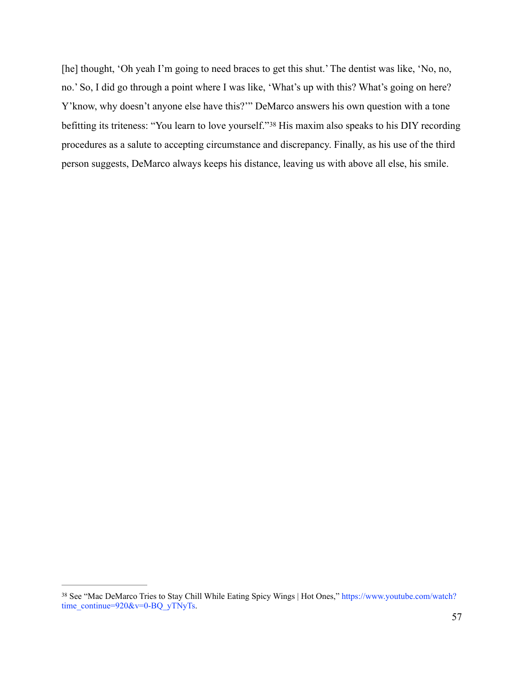<span id="page-64-1"></span>[he] thought, 'Oh yeah I'm going to need braces to get this shut.' The dentist was like, 'No, no, no.' So, I did go through a point where I was like, 'What's up with this? What's going on here? Y'know, why doesn't anyone else have this?'" DeMarco answers his own question with a tone befittingits triteness: "You learn to love yourself."<sup>[38](#page-64-0)</sup> His maxim also speaks to his DIY recording procedures as a salute to accepting circumstance and discrepancy. Finally, as his use of the third person suggests, DeMarco always keeps his distance, leaving us with above all else, his smile.

<span id="page-64-0"></span><sup>&</sup>lt;sup>[38](#page-64-1)</sup> See "Mac DeMarco Tries to Stay Chill While Eating Spicy Wings | Hot Ones," https://www.youtube.com/watch? time\_continue=920&v=0-BQ\_yTNyTs.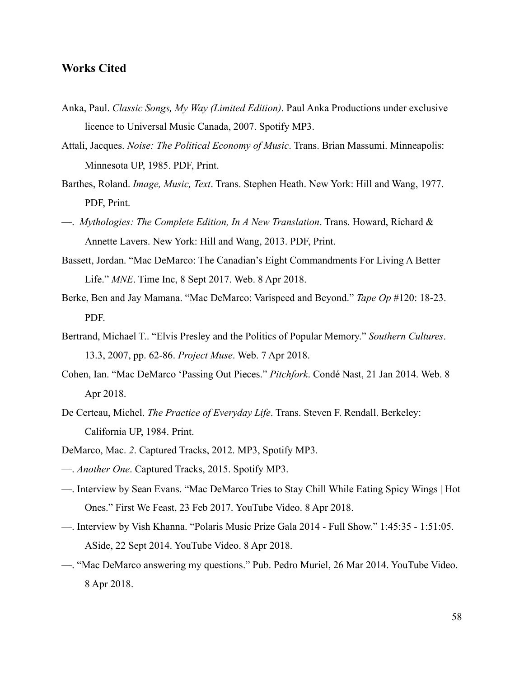### <span id="page-65-0"></span>**Works Cited**

- Anka, Paul. *Classic Songs, My Way (Limited Edition)*. Paul Anka Productions under exclusive licence to Universal Music Canada, 2007. Spotify MP3.
- Attali, Jacques. *Noise: The Political Economy of Music*. Trans. Brian Massumi. Minneapolis: Minnesota UP, 1985. PDF, Print.
- Barthes, Roland. *Image, Music, Text*. Trans. Stephen Heath. New York: Hill and Wang, 1977. PDF, Print.
- —. *Mythologies: The Complete Edition, In A New Translation*. Trans. Howard, Richard & Annette Lavers. New York: Hill and Wang, 2013. PDF, Print.
- Bassett, Jordan. "Mac DeMarco: The Canadian's Eight Commandments For Living A Better Life." *MNE*. Time Inc, 8 Sept 2017. Web. 8 Apr 2018.
- Berke, Ben and Jay Mamana. "Mac DeMarco: Varispeed and Beyond." *Tape Op* #120: 18-23. PDF.
- Bertrand, Michael T.. "Elvis Presley and the Politics of Popular Memory." *Southern Cultures*. 13.3, 2007, pp. 62-86. *Project Muse*. Web. 7 Apr 2018.
- Cohen, Ian. "Mac DeMarco 'Passing Out Pieces." *Pitchfork*. Condé Nast, 21 Jan 2014. Web. 8 Apr 2018.
- De Certeau, Michel. *The Practice of Everyday Life*. Trans. Steven F. Rendall. Berkeley: California UP, 1984. Print.
- DeMarco, Mac. *2*. Captured Tracks, 2012. MP3, Spotify MP3.
- —. *Another One*. Captured Tracks, 2015. Spotify MP3.
- —. Interview by Sean Evans. "Mac DeMarco Tries to Stay Chill While Eating Spicy Wings | Hot Ones." First We Feast, 23 Feb 2017. YouTube Video. 8 Apr 2018.
- —. Interview by Vish Khanna. "Polaris Music Prize Gala 2014 Full Show." 1:45:35 1:51:05. ASide, 22 Sept 2014. YouTube Video. 8 Apr 2018.
- —. "Mac DeMarco answering my questions." Pub. Pedro Muriel, 26 Mar 2014. YouTube Video. 8 Apr 2018.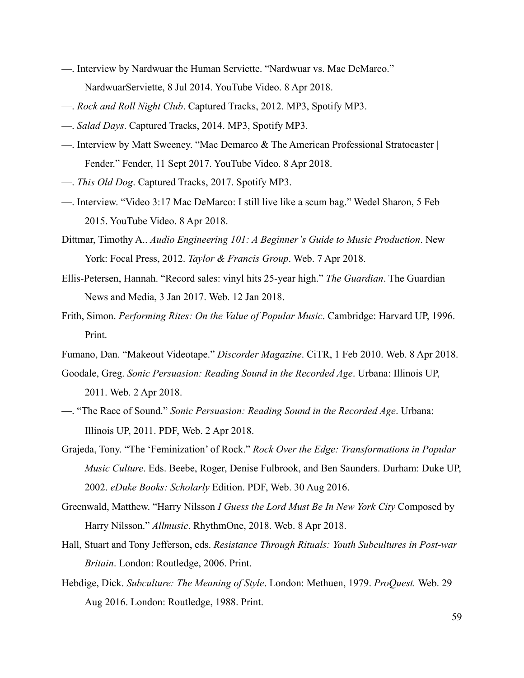- —. Interview by Nardwuar the Human Serviette. "Nardwuar vs. Mac DeMarco." NardwuarServiette, 8 Jul 2014. YouTube Video. 8 Apr 2018.
- —. *Rock and Roll Night Club*. Captured Tracks, 2012. MP3, Spotify MP3.
- —. *Salad Days*. Captured Tracks, 2014. MP3, Spotify MP3.
- —. Interview by Matt Sweeney. "Mac Demarco & The American Professional Stratocaster | Fender." Fender, 11 Sept 2017. YouTube Video. 8 Apr 2018.
- —. *This Old Dog*. Captured Tracks, 2017. Spotify MP3.
- —. Interview. "Video 3:17 Mac DeMarco: I still live like a scum bag." Wedel Sharon, 5 Feb 2015. YouTube Video. 8 Apr 2018.
- Dittmar, Timothy A.. *Audio Engineering 101: A Beginner's Guide to Music Production*. New York: Focal Press, 2012. *Taylor & Francis Group*. Web. 7 Apr 2018.
- Ellis-Petersen, Hannah. "Record sales: vinyl hits 25-year high." *The Guardian*. The Guardian News and Media, 3 Jan 2017. Web. 12 Jan 2018.
- Frith, Simon. *Performing Rites: On the Value of Popular Music*. Cambridge: Harvard UP, 1996. Print.
- Fumano, Dan. "Makeout Videotape." *Discorder Magazine*. CiTR, 1 Feb 2010. Web. 8 Apr 2018.
- Goodale, Greg. *Sonic Persuasion: Reading Sound in the Recorded Age*. Urbana: Illinois UP, 2011. Web. 2 Apr 2018.
- —. "The Race of Sound." *Sonic Persuasion: Reading Sound in the Recorded Age*. Urbana: Illinois UP, 2011. PDF, Web. 2 Apr 2018.
- Grajeda, Tony. "The 'Feminization' of Rock." *Rock Over the Edge: Transformations in Popular Music Culture*. Eds. Beebe, Roger, Denise Fulbrook, and Ben Saunders. Durham: Duke UP, 2002. *eDuke Books: Scholarly* Edition. PDF, Web. 30 Aug 2016.
- Greenwald, Matthew. "Harry Nilsson *I Guess the Lord Must Be In New York City* Composed by Harry Nilsson." *Allmusic*. RhythmOne, 2018. Web. 8 Apr 2018.
- Hall, Stuart and Tony Jefferson, eds. *Resistance Through Rituals: Youth Subcultures in Post-war Britain*. London: Routledge, 2006. Print.
- Hebdige, Dick. *Subculture: The Meaning of Style*. London: Methuen, 1979. *ProQuest.* Web. 29 Aug 2016. London: Routledge, 1988. Print.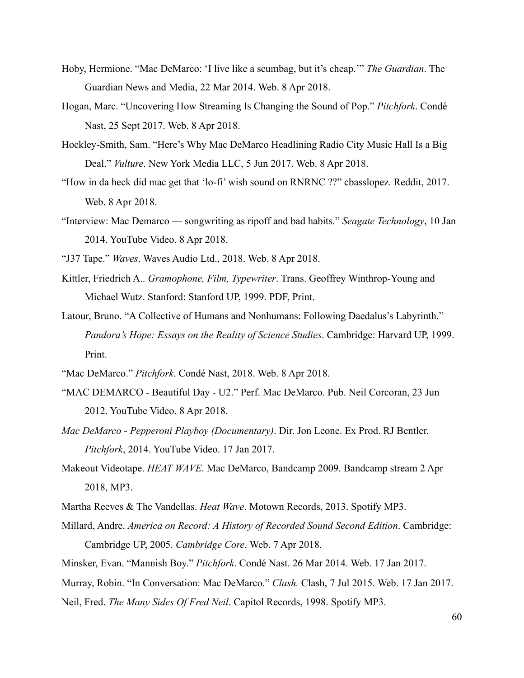- Hoby, Hermione. "Mac DeMarco: 'I live like a scumbag, but it's cheap.'" *The Guardian*. The Guardian News and Media, 22 Mar 2014. Web. 8 Apr 2018.
- Hogan, Marc. "Uncovering How Streaming Is Changing the Sound of Pop." *Pitchfork*. Condé Nast, 25 Sept 2017. Web. 8 Apr 2018.
- Hockley-Smith, Sam. "Here's Why Mac DeMarco Headlining Radio City Music Hall Is a Big Deal." *Vulture*. New York Media LLC, 5 Jun 2017. Web. 8 Apr 2018.
- "How in da heck did mac get that 'lo-fi' wish sound on RNRNC ??" cbasslopez. Reddit, 2017. Web. 8 Apr 2018.
- "Interview: Mac Demarco songwriting as ripoff and bad habits." *Seagate Technology*, 10 Jan 2014. YouTube Video. 8 Apr 2018.
- "J37 Tape." *Waves*. Waves Audio Ltd., 2018. Web. 8 Apr 2018.
- Kittler, Friedrich A.. *Gramophone, Film, Typewriter*. Trans. Geoffrey Winthrop-Young and Michael Wutz. Stanford: Stanford UP, 1999. PDF, Print.
- Latour, Bruno. "A Collective of Humans and Nonhumans: Following Daedalus's Labyrinth." *Pandora's Hope: Essays on the Reality of Science Studies*. Cambridge: Harvard UP, 1999. Print.
- "Mac DeMarco." *Pitchfork*. Condé Nast, 2018. Web. 8 Apr 2018.
- "MAC DEMARCO Beautiful Day U2." Perf. Mac DeMarco. Pub. Neil Corcoran, 23 Jun 2012. YouTube Video. 8 Apr 2018.
- *Mac DeMarco Pepperoni Playboy (Documentary)*. Dir. Jon Leone. Ex Prod. RJ Bentler. *Pitchfork*, 2014. YouTube Video. 17 Jan 2017.
- Makeout Videotape. *HEAT WAVE*. Mac DeMarco, Bandcamp 2009. Bandcamp stream 2 Apr 2018, MP3.
- Martha Reeves & The Vandellas. *Heat Wave*. Motown Records, 2013. Spotify MP3.
- Millard, Andre. *America on Record: A History of Recorded Sound Second Edition*. Cambridge: Cambridge UP, 2005. *Cambridge Core*. Web. 7 Apr 2018.
- Minsker, Evan. "Mannish Boy." *Pitchfork*. Condé Nast. 26 Mar 2014. Web. 17 Jan 2017.
- Murray, Robin. "In Conversation: Mac DeMarco." *Clash.* Clash, 7 Jul 2015. Web. 17 Jan 2017.
- Neil, Fred. *The Many Sides Of Fred Neil*. Capitol Records, 1998. Spotify MP3.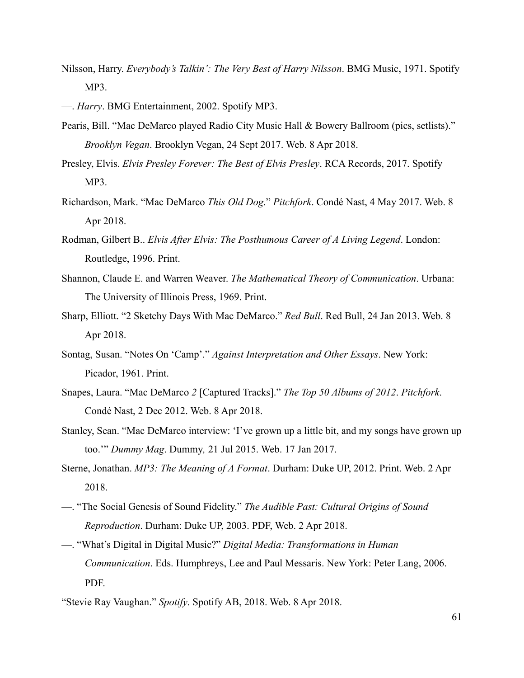- Nilsson, Harry. *Everybody's Talkin': The Very Best of Harry Nilsson*. BMG Music, 1971. Spotify MP3.
- —. *Harry*. BMG Entertainment, 2002. Spotify MP3.
- Pearis, Bill. "Mac DeMarco played Radio City Music Hall & Bowery Ballroom (pics, setlists)." *Brooklyn Vegan*. Brooklyn Vegan, 24 Sept 2017. Web. 8 Apr 2018.
- Presley, Elvis. *Elvis Presley Forever: The Best of Elvis Presley*. RCA Records, 2017. Spotify MP3.
- Richardson, Mark. "Mac DeMarco *This Old Dog*." *Pitchfork*. Condé Nast, 4 May 2017. Web. 8 Apr 2018.
- Rodman, Gilbert B.. *Elvis After Elvis: The Posthumous Career of A Living Legend*. London: Routledge, 1996. Print.
- Shannon, Claude E. and Warren Weaver. *The Mathematical Theory of Communication*. Urbana: The University of Illinois Press, 1969. Print.
- Sharp, Elliott. "2 Sketchy Days With Mac DeMarco." *Red Bull*. Red Bull, 24 Jan 2013. Web. 8 Apr 2018.
- Sontag, Susan. "Notes On 'Camp'." *Against Interpretation and Other Essays*. New York: Picador, 1961. Print.
- Snapes, Laura. "Mac DeMarco *2* [Captured Tracks]." *The Top 50 Albums of 2012*. *Pitchfork*. Condé Nast, 2 Dec 2012. Web. 8 Apr 2018.
- Stanley, Sean. "Mac DeMarco interview: 'I've grown up a little bit, and my songs have grown up too.'" *Dummy Mag*. Dummy*,* 21 Jul 2015. Web. 17 Jan 2017.
- Sterne, Jonathan. *MP3: The Meaning of A Format*. Durham: Duke UP, 2012. Print. Web. 2 Apr 2018.
- —. "The Social Genesis of Sound Fidelity." *The Audible Past: Cultural Origins of Sound Reproduction*. Durham: Duke UP, 2003. PDF, Web. 2 Apr 2018.
- —. "What's Digital in Digital Music?" *Digital Media: Transformations in Human Communication*. Eds. Humphreys, Lee and Paul Messaris. New York: Peter Lang, 2006. PDF.
- "Stevie Ray Vaughan." *Spotify*. Spotify AB, 2018. Web. 8 Apr 2018.